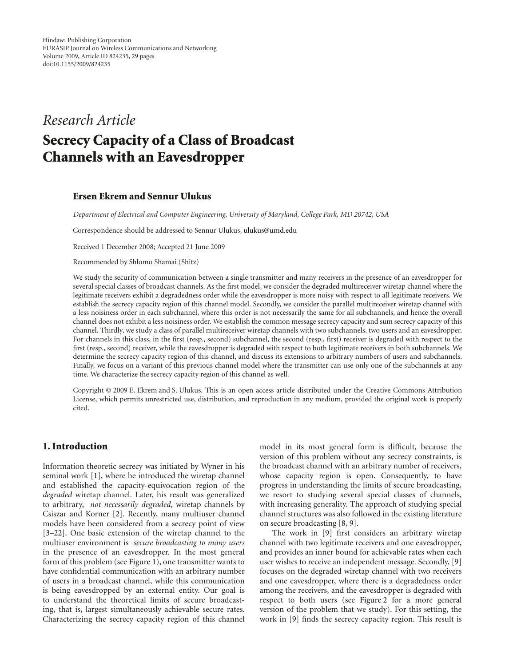Hindawi Publishing Corporation EURASIP Journal on Wireless Communications and Networking Volume 2009, Article ID 824235, 29 pages doi:10.1155/2009/824235

# *Research Article* **Secrecy Capacity of a Class of Broadcast Channels with an Eavesdropper**

### **Ersen Ekrem and Sennur Ulukus**

*Department of Electrical and Computer Engineering, University of Maryland, College Park, MD 20742, USA*

Correspondence should be addressed to Sennur Ulukus, ulukus@umd.edu

Received 1 December 2008; Accepted 21 June 2009

Recommended by Shlomo Shamai (Shitz)

We study the security of communication between a single transmitter and many receivers in the presence of an eavesdropper for several special classes of broadcast channels. As the first model, we consider the degraded multireceiver wiretap channel where the legitimate receivers exhibit a degradedness order while the eavesdropper is more noisy with respect to all legitimate receivers. We establish the secrecy capacity region of this channel model. Secondly, we consider the parallel multireceiver wiretap channel with a less noisiness order in each subchannel, where this order is not necessarily the same for all subchannels, and hence the overall channel does not exhibit a less noisiness order. We establish the common message secrecy capacity and sum secrecy capacity of this channel. Thirdly, we study a class of parallel multireceiver wiretap channels with two subchannels, two users and an eavesdropper. For channels in this class, in the first (resp., second) subchannel, the second (resp., first) receiver is degraded with respect to the first (resp., second) receiver, while the eavesdropper is degraded with respect to both legitimate receivers in both subchannels. We determine the secrecy capacity region of this channel, and discuss its extensions to arbitrary numbers of users and subchannels. Finally, we focus on a variant of this previous channel model where the transmitter can use only one of the subchannels at any time. We characterize the secrecy capacity region of this channel as well.

Copyright © 2009 E. Ekrem and S. Ulukus. This is an open access article distributed under the Creative Commons Attribution License, which permits unrestricted use, distribution, and reproduction in any medium, provided the original work is properly cited.

#### **1. Introduction**

Information theoretic secrecy was initiated by Wyner in his seminal work [1], where he introduced the wiretap channel and established the capacity-equivocation region of the *degraded* wiretap channel. Later, his result was generalized to arbitrary, *not necessarily degraded*, wiretap channels by Csiszar and Korner [2]. Recently, many multiuser channel models have been considered from a secrecy point of view [3–22]. One basic extension of the wiretap channel to the multiuser environment is *secure broadcasting to many users* in the presence of an eavesdropper. In the most general form of this problem (see Figure 1), one transmitter wants to have confidential communication with an arbitrary number of users in a broadcast channel, while this communication is being eavesdropped by an external entity. Our goal is to understand the theoretical limits of secure broadcasting, that is, largest simultaneously achievable secure rates. Characterizing the secrecy capacity region of this channel

model in its most general form is difficult, because the version of this problem without any secrecy constraints, is the broadcast channel with an arbitrary number of receivers, whose capacity region is open. Consequently, to have progress in understanding the limits of secure broadcasting, we resort to studying several special classes of channels, with increasing generality. The approach of studying special channel structures was also followed in the existing literature on secure broadcasting [8, 9].

The work in [9] first considers an arbitrary wiretap channel with two legitimate receivers and one eavesdropper, and provides an inner bound for achievable rates when each user wishes to receive an independent message. Secondly, [9] focuses on the degraded wiretap channel with two receivers and one eavesdropper, where there is a degradedness order among the receivers, and the eavesdropper is degraded with respect to both users (see Figure 2 for a more general version of the problem that we study). For this setting, the work in [9] finds the secrecy capacity region. This result is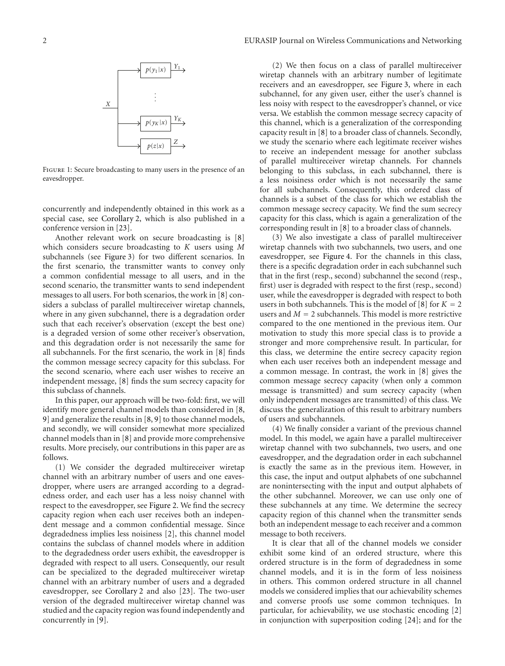

Figure 1: Secure broadcasting to many users in the presence of an eavesdropper.

concurrently and independently obtained in this work as a special case, see Corollary 2, which is also published in a conference version in [23].

Another relevant work on secure broadcasting is [8] which considers secure broadcasting to *K* users using *M* subchannels (see Figure 3) for two different scenarios. In the first scenario, the transmitter wants to convey only a common confidential message to all users, and in the second scenario, the transmitter wants to send independent messages to all users. For both scenarios, the work in [8] considers a subclass of parallel multireceiver wiretap channels, where in any given subchannel, there is a degradation order such that each receiver's observation (except the best one) is a degraded version of some other receiver's observation, and this degradation order is not necessarily the same for all subchannels. For the first scenario, the work in [8] finds the common message secrecy capacity for this subclass. For the second scenario, where each user wishes to receive an independent message, [8] finds the sum secrecy capacity for this subclass of channels.

In this paper, our approach will be two-fold: first, we will identify more general channel models than considered in [8, 9] and generalize the results in [8, 9] to those channel models, and secondly, we will consider somewhat more specialized channel models than in [8] and provide more comprehensive results. More precisely, our contributions in this paper are as follows.

(1) We consider the degraded multireceiver wiretap channel with an arbitrary number of users and one eavesdropper, where users are arranged according to a degradedness order, and each user has a less noisy channel with respect to the eavesdropper, see Figure 2. We find the secrecy capacity region when each user receives both an independent message and a common confidential message. Since degradedness implies less noisiness [2], this channel model contains the subclass of channel models where in addition to the degradedness order users exhibit, the eavesdropper is degraded with respect to all users. Consequently, our result can be specialized to the degraded multireceiver wiretap channel with an arbitrary number of users and a degraded eavesdropper, see Corollary 2 and also [23]. The two-user version of the degraded multireceiver wiretap channel was studied and the capacity region was found independently and concurrently in [9].

(2) We then focus on a class of parallel multireceiver wiretap channels with an arbitrary number of legitimate receivers and an eavesdropper, see Figure 3, where in each subchannel, for any given user, either the user's channel is less noisy with respect to the eavesdropper's channel, or vice versa. We establish the common message secrecy capacity of this channel, which is a generalization of the corresponding capacity result in [8] to a broader class of channels. Secondly, we study the scenario where each legitimate receiver wishes to receive an independent message for another subclass of parallel multireceiver wiretap channels. For channels belonging to this subclass, in each subchannel, there is a less noisiness order which is not necessarily the same for all subchannels. Consequently, this ordered class of channels is a subset of the class for which we establish the common message secrecy capacity. We find the sum secrecy capacity for this class, which is again a generalization of the corresponding result in [8] to a broader class of channels.

(3) We also investigate a class of parallel multireceiver wiretap channels with two subchannels, two users, and one eavesdropper, see Figure 4. For the channels in this class, there is a specific degradation order in each subchannel such that in the first (resp., second) subchannel the second (resp., first) user is degraded with respect to the first (resp., second) user, while the eavesdropper is degraded with respect to both users in both subchannels. This is the model of [8] for  $K = 2$ users and  $M = 2$  subchannels. This model is more restrictive compared to the one mentioned in the previous item. Our motivation to study this more special class is to provide a stronger and more comprehensive result. In particular, for this class, we determine the entire secrecy capacity region when each user receives both an independent message and a common message. In contrast, the work in [8] gives the common message secrecy capacity (when only a common message is transmitted) and sum secrecy capacity (when only independent messages are transmitted) of this class. We discuss the generalization of this result to arbitrary numbers of users and subchannels.

(4) We finally consider a variant of the previous channel model. In this model, we again have a parallel multireceiver wiretap channel with two subchannels, two users, and one eavesdropper, and the degradation order in each subchannel is exactly the same as in the previous item. However, in this case, the input and output alphabets of one subchannel are nonintersecting with the input and output alphabets of the other subchannel. Moreover, we can use only one of these subchannels at any time. We determine the secrecy capacity region of this channel when the transmitter sends both an independent message to each receiver and a common message to both receivers.

It is clear that all of the channel models we consider exhibit some kind of an ordered structure, where this ordered structure is in the form of degradedness in some channel models, and it is in the form of less noisiness in others. This common ordered structure in all channel models we considered implies that our achievability schemes and converse proofs use some common techniques. In particular, for achievability, we use stochastic encoding [2] in conjunction with superposition coding [24]; and for the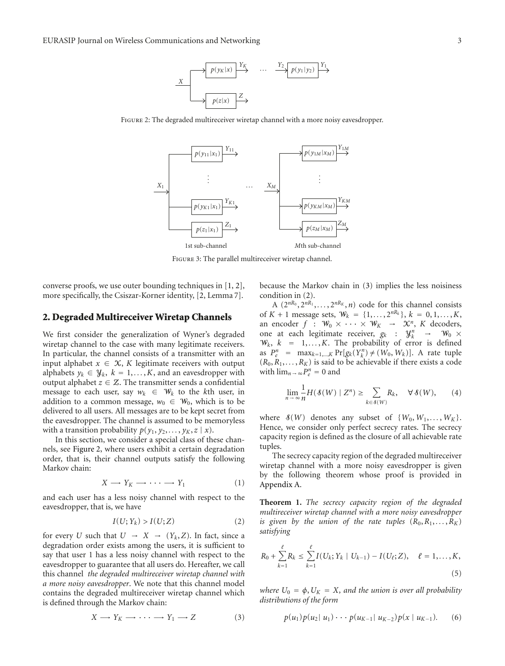

FIGURE 2: The degraded multireceiver wiretap channel with a more noisy eavesdropper.



FIGURE 3: The parallel multireceiver wiretap channel.

converse proofs, we use outer bounding techniques in [1, 2], more specifically, the Csiszar-Korner identity, [2, Lemma 7].

#### **2. Degraded Multireceiver Wiretap Channels**

We first consider the generalization of Wyner's degraded wiretap channel to the case with many legitimate receivers. In particular, the channel consists of a transmitter with an input alphabet  $x \in \mathcal{X}$ , *K* legitimate receivers with output alphabets  $y_k \in \mathcal{Y}_k$ ,  $k = 1, \ldots, K$ , and an eavesdropper with output alphabet  $z \in \mathcal{Z}$ . The transmitter sends a confidential message to each user, say  $w_k \in W_k$  to the *k*th user, in addition to a common message,  $w_0 \in W_0$ , which is to be delivered to all users. All messages are to be kept secret from the eavesdropper. The channel is assumed to be memoryless with a transition probability  $p(y_1, y_2, \ldots, y_K, z \mid x)$ .

In this section, we consider a special class of these channels, see Figure 2, where users exhibit a certain degradation order, that is, their channel outputs satisfy the following Markov chain:

$$
X \longrightarrow Y_K \longrightarrow \cdots \longrightarrow Y_1 \tag{1}
$$

and each user has a less noisy channel with respect to the eavesdropper, that is, we have

$$
I(U;Y_k) > I(U;Z)
$$
 (2)

for every *U* such that  $U \rightarrow X \rightarrow (Y_k, Z)$ . In fact, since a degradation order exists among the users, it is sufficient to say that user 1 has a less noisy channel with respect to the eavesdropper to guarantee that all users do. Hereafter, we call this channel *the degraded multireceiver wiretap channel with a more noisy eavesdropper*. We note that this channel model contains the degraded multireceiver wiretap channel which is defined through the Markov chain:

$$
X \longrightarrow Y_K \longrightarrow \cdots \longrightarrow Y_1 \longrightarrow Z \tag{3}
$$

because the Markov chain in (3) implies the less noisiness condition in (2).

A  $(2^{nR_0}, 2^{nR_1}, \ldots, 2^{nR_K}, n)$  code for this channel consists of  $K + 1$  message sets,  $W_k = \{1, ..., 2^{nR_k}\}, k = 0, 1, ..., K$ , an encoder  $f : W_0 \times \cdots \times W_K \rightarrow X^n$ , *K* decoders, one at each legitimate receiver,  $g_k$  :  $\mathcal{Y}_k^n$  →  $W_0 \times$  $W_k$ ,  $k = 1, \ldots, K$ . The probability of error is defined as  $P_e^n = \max_{k=1,...,K} \Pr[g_k(Y_k^n) \neq (W_0, W_k)].$  A rate tuple  $(R_0, R_1, \ldots, R_K)$  is said to be achievable if there exists a code with  $\lim_{n \to \infty} P_e^n = 0$  and

$$
\lim_{n \to \infty} \frac{1}{n} H(\mathcal{S}(W) \mid Z^n) \ge \sum_{k \in \mathcal{S}(W)} R_k, \quad \forall \mathcal{S}(W), \qquad (4)
$$

where  $\mathcal{S}(W)$  denotes any subset of  $\{W_0, W_1, \ldots, W_K\}$ . Hence, we consider only perfect secrecy rates. The secrecy capacity region is defined as the closure of all achievable rate tuples.

The secrecy capacity region of the degraded multireceiver wiretap channel with a more noisy eavesdropper is given by the following theorem whose proof is provided in Appendix A.

**Theorem 1.** *The secrecy capacity region of the degraded multireceiver wiretap channel with a more noisy eavesdropper is given by the union of the rate tuples*  $(R_0, R_1, \ldots, R_K)$ *satisfying*

$$
R_0 + \sum_{k=1}^{\ell} R_k \le \sum_{k=1}^{\ell} I(U_k; Y_k | U_{k-1}) - I(U_{\ell}; Z), \quad \ell = 1, ..., K,
$$
\n(5)

*where*  $U_0 = \phi$ ,  $U_K = X$ , and the union is over all probability *distributions of the form*

$$
p(u_1)p(u_2|u_1)\cdots p(u_{K-1}|u_{K-2})p(x|u_{K-1}).
$$
 (6)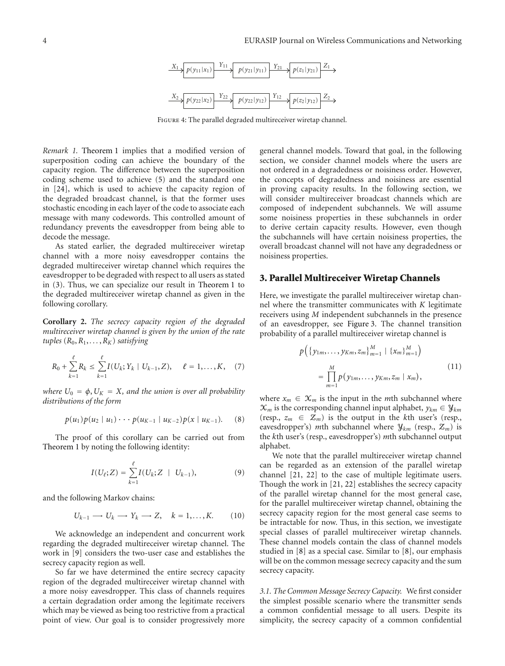

Figure 4: The parallel degraded multireceiver wiretap channel.

*Remark 1.* Theorem 1 implies that a modified version of superposition coding can achieve the boundary of the capacity region. The difference between the superposition coding scheme used to achieve (5) and the standard one in [24], which is used to achieve the capacity region of the degraded broadcast channel, is that the former uses stochastic encoding in each layer of the code to associate each message with many codewords. This controlled amount of redundancy prevents the eavesdropper from being able to decode the message.

As stated earlier, the degraded multireceiver wiretap channel with a more noisy eavesdropper contains the degraded multireceiver wiretap channel which requires the eavesdropper to be degraded with respect to all users as stated in (3). Thus, we can specialize our result in Theorem 1 to the degraded multireceiver wiretap channel as given in the following corollary.

**Corollary 2.** *The secrecy capacity region of the degraded multireceiver wiretap channel is given by the union of the rate*  $tuples (R_0, R_1, \ldots, R_K) satisfying$ 

$$
R_0 + \sum_{k=1}^{\ell} R_k \le \sum_{k=1}^{\ell} I(U_k; Y_k | U_{k-1}, Z), \quad \ell = 1, ..., K, \quad (7)
$$

*where*  $U_0 = \phi$ ,  $U_K = X$ , and the union is over all probability *distributions of the form*

$$
p(u_1)p(u_2 \mid u_1) \cdots p(u_{K-1} \mid u_{K-2})p(x \mid u_{K-1}). \quad (8)
$$

The proof of this corollary can be carried out from Theorem 1 by noting the following identity:

$$
I(U_{\ell};Z) = \sum_{k=1}^{\ell} I(U_k;Z \mid U_{k-1}), \tag{9}
$$

and the following Markov chains:

$$
U_{k-1} \longrightarrow U_k \longrightarrow Y_k \longrightarrow Z, \quad k = 1, \dots, K. \tag{10}
$$

We acknowledge an independent and concurrent work regarding the degraded multireceiver wiretap channel. The work in [9] considers the two-user case and establishes the secrecy capacity region as well.

So far we have determined the entire secrecy capacity region of the degraded multireceiver wiretap channel with a more noisy eavesdropper. This class of channels requires a certain degradation order among the legitimate receivers which may be viewed as being too restrictive from a practical point of view. Our goal is to consider progressively more general channel models. Toward that goal, in the following section, we consider channel models where the users are not ordered in a degradedness or noisiness order. However, the concepts of degradedness and noisiness are essential in proving capacity results. In the following section, we will consider multireceiver broadcast channels which are composed of independent subchannels. We will assume some noisiness properties in these subchannels in order to derive certain capacity results. However, even though the subchannels will have certain noisiness properties, the overall broadcast channel will not have any degradedness or noisiness properties.

#### **3. Parallel Multireceiver Wiretap Channels**

Here, we investigate the parallel multireceiver wiretap channel where the transmitter communicates with *K* legitimate receivers using *M* independent subchannels in the presence of an eavesdropper, see Figure 3. The channel transition probability of a parallel multireceiver wiretap channel is

$$
p\left(\{y_{1m},\ldots,y_{Km},z_m\}_{m=1}^M \mid \{x_m\}_{m=1}^M\right)
$$
  
= 
$$
\prod_{m=1}^M p(y_{1m},\ldots,y_{Km},z_m \mid x_m),
$$
 (11)

where  $x_m \in \mathcal{X}_m$  is the input in the *m*th subchannel where  $\mathcal{X}_m$  is the corresponding channel input alphabet,  $y_{km} \in \mathcal{Y}_{km}$ (resp.,  $z_m \in \mathcal{Z}_m$ ) is the output in the *k*th user's (resp., eavesdropper's) *m*th subchannel where  $\mathcal{Y}_{km}$  (resp.,  $\mathcal{Z}_m$ ) is the *k*th user's (resp., eavesdropper's) *m*th subchannel output alphabet.

We note that the parallel multireceiver wiretap channel can be regarded as an extension of the parallel wiretap channel [21, 22] to the case of multiple legitimate users. Though the work in [21, 22] establishes the secrecy capacity of the parallel wiretap channel for the most general case, for the parallel multireceiver wiretap channel, obtaining the secrecy capacity region for the most general case seems to be intractable for now. Thus, in this section, we investigate special classes of parallel multireceiver wiretap channels. These channel models contain the class of channel models studied in [8] as a special case. Similar to [8], our emphasis will be on the common message secrecy capacity and the sum secrecy capacity.

*3.1. The Common Message Secrecy Capacity.* We first consider the simplest possible scenario where the transmitter sends a common confidential message to all users. Despite its simplicity, the secrecy capacity of a common confidential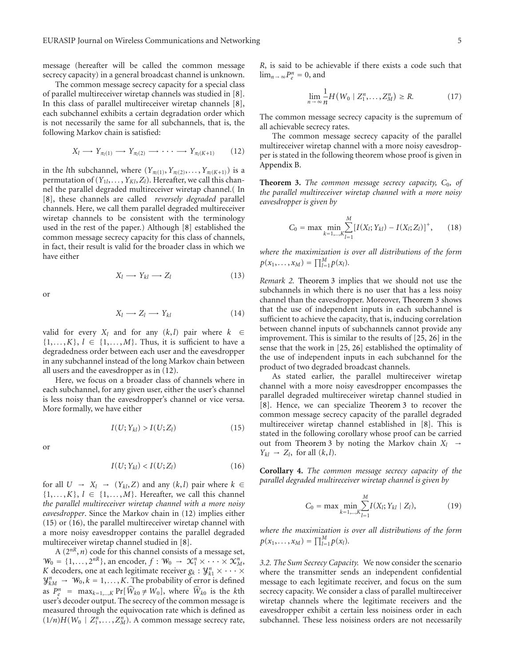message (hereafter will be called the common message secrecy capacity) in a general broadcast channel is unknown.

The common message secrecy capacity for a special class of parallel multireceiver wiretap channels was studied in [8]. In this class of parallel multireceiver wiretap channels [8], each subchannel exhibits a certain degradation order which is not necessarily the same for all subchannels, that is, the following Markov chain is satisfied:

$$
X_l \longrightarrow Y_{\pi_l(1)} \longrightarrow Y_{\pi_l(2)} \longrightarrow \cdots \longrightarrow Y_{\pi_l(K+1)} \qquad (12)
$$

in the *l*th subchannel, where  $(Y_{\pi_l(1)}, Y_{\pi_l(2)}, \ldots, Y_{\pi_l(K+1)})$  is a permutation of  $(Y_{1l},..., Y_{Kl}, Z_l)$ . Hereafter, we call this channel the parallel degraded multireceiver wiretap channel.( In [8], these channels are called *reversely degraded* parallel channels. Here, we call them parallel degraded multireceiver wiretap channels to be consistent with the terminology used in the rest of the paper.) Although [8] established the common message secrecy capacity for this class of channels, in fact, their result is valid for the broader class in which we have either

$$
X_l \longrightarrow Y_{kl} \longrightarrow Z_l \tag{13}
$$

or

$$
X_l \longrightarrow Z_l \longrightarrow Y_{kl} \tag{14}
$$

valid for every  $X_l$  and for any  $(k, l)$  pair where  $k \in \mathbb{R}$  $\{1, \ldots, K\}, l \in \{1, \ldots, M\}.$  Thus, it is sufficient to have a degradedness order between each user and the eavesdropper in any subchannel instead of the long Markov chain between all users and the eavesdropper as in (12).

Here, we focus on a broader class of channels where in each subchannel, for any given user, either the user's channel is less noisy than the eavesdropper's channel or vice versa. More formally, we have either

$$
I(U; Y_{kl}) > I(U; Z_l)
$$
\n<sup>(15)</sup>

or

$$
I(U; Y_{kl}) < I(U; Z_l) \tag{16}
$$

for all  $U \rightarrow X_l \rightarrow (Y_{kl}, Z)$  and any  $(k, l)$  pair where  $k \in$  $\{1, \ldots, K\}, l \in \{1, \ldots, M\}.$  Hereafter, we call this channel *the parallel multireceiver wiretap channel with a more noisy eavesdropper*. Since the Markov chain in (12) implies either (15) or (16), the parallel multireceiver wiretap channel with a more noisy eavesdropper contains the parallel degraded multireceiver wiretap channel studied in [8].

A  $(2^{nR}, n)$  code for this channel consists of a message set,  $W_0 = \{1, \ldots, 2^{nR}\},\$  an encoder,  $f : W_0 \rightarrow X_1^n \times \cdots \times X_M^n$ , *K* decoders, one at each legitimate receiver  $g_k: \mathcal{Y}_{k1}^n \times \cdots \times$  $\mathcal{Y}_{kM}^n \rightarrow \mathcal{W}_0, k = 1, \ldots, K$ . The probability of error is defined as  $P_{e}^{n} = \max_{k=1,...,K} Pr[\hat{W}_{k0} \neq W_{0}],$  where  $\hat{W}_{k0}$  is the *k*<sup>th</sup> user's decoder output. The secrecy of the common message is measured through the equivocation rate which is defined as  $(1/n)H(W_0 | Z_1^n, \ldots, Z_M^n)$ . A common message secrecy rate,

*R*, is said to be achievable if there exists a code such that  $\lim_{n \to \infty} P_e^n = 0$ , and

$$
\lim_{n \to \infty} \frac{1}{n} H(W_0 \mid Z_1^n, \dots, Z_M^n) \ge R. \tag{17}
$$

The common message secrecy capacity is the supremum of all achievable secrecy rates.

The common message secrecy capacity of the parallel multireceiver wiretap channel with a more noisy eavesdropper is stated in the following theorem whose proof is given in Appendix B.

**Theorem 3.** *The common message secrecy capacity,*  $C_0$ , of *the parallel multireceiver wiretap channel with a more noisy eavesdropper is given by*

$$
C_0 = \max \min_{k=1,\dots,K} \sum_{l=1}^{M} [I(X_l; Y_{kl}) - I(X_l; Z_l)]^+, \qquad (18)
$$

*where the maximization is over all distributions of the form*  $p(x_1, ..., x_M) = \prod_{l=1}^{M} p(x_l)$ .

*Remark 2.* Theorem 3 implies that we should not use the subchannels in which there is no user that has a less noisy channel than the eavesdropper. Moreover, Theorem 3 shows that the use of independent inputs in each subchannel is sufficient to achieve the capacity, that is, inducing correlation between channel inputs of subchannels cannot provide any improvement. This is similar to the results of [25, 26] in the sense that the work in [25, 26] established the optimality of the use of independent inputs in each subchannel for the product of two degraded broadcast channels.

As stated earlier, the parallel multireceiver wiretap channel with a more noisy eavesdropper encompasses the parallel degraded multireceiver wiretap channel studied in [8]. Hence, we can specialize Theorem 3 to recover the common message secrecy capacity of the parallel degraded multireceiver wiretap channel established in [8]. This is stated in the following corollary whose proof can be carried out from Theorem 3 by noting the Markov chain  $X_l \rightarrow$  $Y_{kl} \rightarrow Z_l$ , for all  $(k, l)$ .

**Corollary 4.** *The common message secrecy capacity of the parallel degraded multireceiver wiretap channel is given by*

$$
C_0 = \max \min_{k=1,\dots,K_{l=1}} \sum_{I=1}^{M} I(X_l; Y_{kl} | Z_l), \tag{19}
$$

*where the maximization is over all distributions of the form*  $p(x_1, ..., x_M) = \prod_{l=1}^{M} p(x_l)$ .

*3.2. The Sum Secrecy Capacity.* We now consider the scenario where the transmitter sends an independent confidential message to each legitimate receiver, and focus on the sum secrecy capacity. We consider a class of parallel multireceiver wiretap channels where the legitimate receivers and the eavesdropper exhibit a certain less noisiness order in each subchannel. These less noisiness orders are not necessarily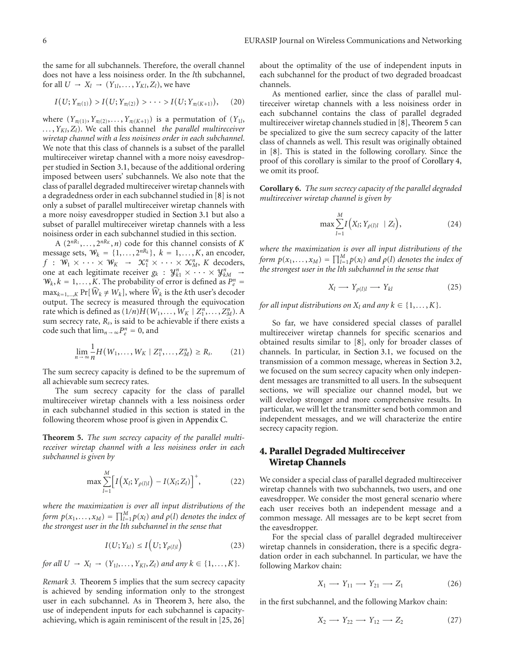the same for all subchannels. Therefore, the overall channel does not have a less noisiness order. In the *l*th subchannel, for all  $U \rightarrow X_l \rightarrow (Y_{1l}, \ldots, Y_{Kl}, Z_l)$ , we have

$$
I(U;Y_{\pi_l(1)}) > I(U;Y_{\pi_l(2)}) > \cdots > I(U;Y_{\pi_l(K+1)}),
$$
 (20)

where  $(Y_{\pi_l(1)}, Y_{\pi_l(2)}, \ldots, Y_{\pi_l(K+1)})$  is a permutation of  $(Y_{1l},$ *...* ,*YKl*, *Zl*). We call this channel *the parallel multireceiver wiretap channel with a less noisiness order in each subchannel*. We note that this class of channels is a subset of the parallel multireceiver wiretap channel with a more noisy eavesdropper studied in Section 3.1, because of the additional ordering imposed between users' subchannels. We also note that the class of parallel degraded multireceiver wiretap channels with a degradedness order in each subchannel studied in [8] is not only a subset of parallel multireceiver wiretap channels with a more noisy eavesdropper studied in Section 3.1 but also a subset of parallel multireceiver wiretap channels with a less noisiness order in each subchannel studied in this section.

A  $(2^{nR_1}, \ldots, 2^{nR_K}, n)$  code for this channel consists of *K* message sets,  $W_k = \{1, ..., 2^{nR_k}\}, k = 1, ..., K$ , an encoder,  $f: W_1 \times \cdots \times W_K \rightarrow X_1^n \times \cdots \times X_M^n$ , *K* decoders, one at each legitimate receiver  $g_k$  :  $\mathcal{Y}_{k1}^n \times \cdots \times \mathcal{Y}_{kM}^n \rightarrow$  $W_k$ ,  $k = 1, \ldots, K$ . The probability of error is defined as  $P_e^n =$  $\max_{k=1,\dots,K} \Pr[W_k \neq W_k]$ , where  $W_k$  is the *k*th user's decoder  $\max_{k=1,\dots,K}$   $\prod_{k=1}^{K} W_k + W_k$ ; where  $W_k$  is the *k*th user *s* decoder<br>output. The secrecy is measured through the equivocation rate which is defined as  $(1/n)H(W_1, \ldots, W_K \mid Z_1^n, \ldots, Z_M^n)$ . A sum secrecy rate,  $R_s$ , is said to be achievable if there exists a code such that  $\lim_{n \to \infty} P_e^n = 0$ , and

$$
\lim_{n \to \infty} \frac{1}{n} H(W_1, \dots, W_K \mid Z_1^n, \dots, Z_M^n) \ge R_s. \tag{21}
$$

The sum secrecy capacity is defined to be the supremum of all achievable sum secrecy rates.

The sum secrecy capacity for the class of parallel multireceiver wiretap channels with a less noisiness order in each subchannel studied in this section is stated in the following theorem whose proof is given in Appendix C.

**Theorem 5.** *The sum secrecy capacity of the parallel multireceiver wiretap channel with a less noisiness order in each subchannel is given by*

$$
\max \sum_{l=1}^{M} \Big[ I(X_l; Y_{\rho(l)l}) - I(X_l; Z_l) \Big]^+, \tag{22}
$$

*where the maximization is over all input distributions of the form*  $p(x_1, \ldots, x_M) = \prod_{l=1}^M p(x_l)$  *and*  $\rho(l)$  *denotes the index of the strongest user in the lth subchannel in the sense that*

$$
I(U; Y_{kl}) \le I\Big(U; Y_{\rho(l)l}\Big) \tag{23}
$$

*for all*  $U \to X_l \to (Y_{1l}, \ldots, Y_{Kl}, Z_l)$  *and any*  $k \in \{1, \ldots, K\}.$ 

*Remark 3.* Theorem 5 implies that the sum secrecy capacity is achieved by sending information only to the strongest user in each subchannel. As in Theorem 3, here also, the use of independent inputs for each subchannel is capacityachieving, which is again reminiscent of the result in [25, 26]

about the optimality of the use of independent inputs in each subchannel for the product of two degraded broadcast channels.

As mentioned earlier, since the class of parallel multireceiver wiretap channels with a less noisiness order in each subchannel contains the class of parallel degraded multireceiver wiretap channels studied in [8], Theorem 5 can be specialized to give the sum secrecy capacity of the latter class of channels as well. This result was originally obtained in [8]. This is stated in the following corollary. Since the proof of this corollary is similar to the proof of Corollary 4, we omit its proof.

**Corollary 6.** *The sum secrecy capacity of the parallel degraded multireceiver wiretap channel is given by*

$$
\max \sum_{l=1}^{M} I(X_{l}; Y_{\rho(l)l} | Z_{l}), \qquad (24)
$$

*where the maximization is over all input distributions of the form*  $p(x_1, \ldots, x_M) = \prod_{l=1}^M p(x_l)$  *and*  $\rho(l)$  *denotes the index of the strongest user in the lth subchannel in the sense that*

$$
X_l \longrightarrow Y_{\rho(l)l} \longrightarrow Y_{kl} \tag{25}
$$

*for all input distributions on*  $X_l$  *and any*  $k \in \{1, \ldots, K\}$ .

So far, we have considered special classes of parallel multireceiver wiretap channels for specific scenarios and obtained results similar to [8], only for broader classes of channels. In particular, in Section 3.1, we focused on the transmission of a common message, whereas in Section 3.2, we focused on the sum secrecy capacity when only independent messages are transmitted to all users. In the subsequent sections, we will specialize our channel model, but we will develop stronger and more comprehensive results. In particular, we will let the transmitter send both common and independent messages, and we will characterize the entire secrecy capacity region.

## **4. Parallel Degraded Multireceiver Wiretap Channels**

We consider a special class of parallel degraded multireceiver wiretap channels with two subchannels, two users, and one eavesdropper. We consider the most general scenario where each user receives both an independent message and a common message. All messages are to be kept secret from the eavesdropper.

For the special class of parallel degraded multireceiver wiretap channels in consideration, there is a specific degradation order in each subchannel. In particular, we have the following Markov chain:

$$
X_1 \longrightarrow Y_{11} \longrightarrow Y_{21} \longrightarrow Z_1 \tag{26}
$$

in the first subchannel, and the following Markov chain:

$$
X_2 \longrightarrow Y_{22} \longrightarrow Y_{12} \longrightarrow Z_2 \tag{27}
$$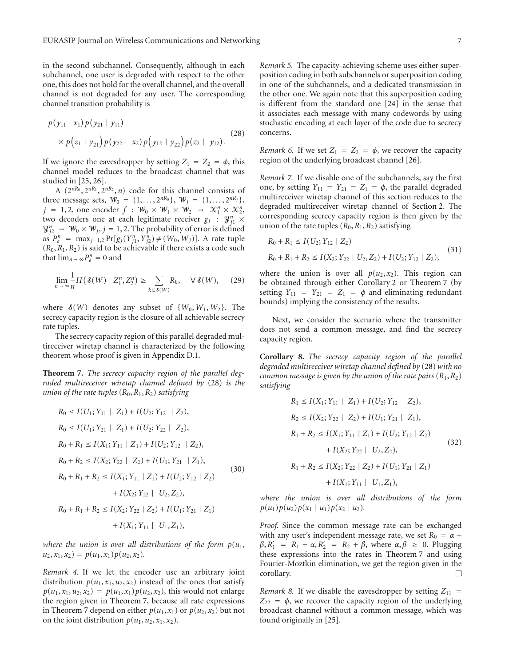in the second subchannel. Consequently, although in each subchannel, one user is degraded with respect to the other one, this does not hold for the overall channel, and the overall channel is not degraded for any user. The corresponding channel transition probability is

$$
p(y_{11} | x_1) p(y_{21} | y_{11})
$$
  
 
$$
\times p(z_1 | y_{21}) p(y_{22} | x_2) p(y_{12} | y_{22}) p(z_2 | y_{12}).
$$
 (28)

If we ignore the eavesdropper by setting  $Z_1 = Z_2 = \phi$ , this channel model reduces to the broadcast channel that was studied in [25, 26].

A  $(2^{nR_0}, 2^{nR_1}, 2^{nR_2}, n)$  code for this channel consists of three message sets,  $W_0 = \{1, ..., 2^{nR_0}\}, W_j = \{1, ..., 2^{nR_j}\},$  $j = 1, 2$ , one encoder  $f : W_0 \times W_1 \times W_2 \rightarrow X_1^n \times X_2^n$ , two decoders one at each legitimate receiver  $g_j$  :  $\mathcal{Y}_{j1}^n$   $\times$  $\mathcal{Y}_{j2}^n \rightarrow \mathcal{W}_0 \times \mathcal{W}_j$ ,  $j = 1, 2$ . The probability of error is defined as  $P_e^n = \max_{j=1,2} \Pr[g_j(Y_{j1}^n, Y_{j2}^n) \neq (W_0, W_j)].$  A rate tuple  $(R_0, R_1, R_2)$  is said to be achievable if there exists a code such that  $\lim_{n \to \infty} P_e^n = 0$  and

$$
\lim_{n \to \infty} \frac{1}{n} H(\mathcal{S}(W) \mid Z_1^n, Z_2^n) \ge \sum_{k \in \mathcal{S}(W)} R_k, \quad \forall \mathcal{S}(W), \quad (29)
$$

where  $\mathcal{S}(W)$  denotes any subset of  $\{W_0, W_1, W_2\}$ . The secrecy capacity region is the closure of all achievable secrecy rate tuples.

The secrecy capacity region of this parallel degraded multireceiver wiretap channel is characterized by the following theorem whose proof is given in Appendix D.1.

**Theorem 7.** *The secrecy capacity region of the parallel degraded multireceiver wiretap channel defined by* (28) *is the union of the rate tuples*  $(R_0, R_1, R_2)$  *satisfying* 

$$
R_0 \le I(U_1; Y_{11} | Z_1) + I(U_2; Y_{12} | Z_2),
$$
  
\n
$$
R_0 \le I(U_1; Y_{21} | Z_1) + I(U_2; Y_{22} | Z_2),
$$
  
\n
$$
R_0 + R_1 \le I(X_1; Y_{11} | Z_1) + I(U_2; Y_{12} | Z_2),
$$
  
\n
$$
R_0 + R_2 \le I(X_2; Y_{22} | Z_2) + I(U_1; Y_{21} | Z_1),
$$
  
\n
$$
R_0 + R_1 + R_2 \le I(X_1; Y_{11} | Z_1) + I(U_2; Y_{12} | Z_2)
$$
  
\n
$$
+ I(X_2; Y_{22} | Z_2) + I(U_1; Y_{21} | Z_1)
$$
  
\n
$$
+ I(X_1; Y_{11} | U_1, Z_1),
$$
  
\n(30)  
\n
$$
+ I(X_1; Y_{11} | U_1, Z_1),
$$

*where the union is over all distributions of the form*  $p(u_1,$  $u_2, x_1, x_2) = p(u_1, x_1)p(u_2, x_2).$ 

*Remark 4.* If we let the encoder use an arbitrary joint distribution  $p(u_1, x_1, u_2, x_2)$  instead of the ones that satisfy  $p(u_1, x_1, u_2, x_2) = p(u_1, x_1)p(u_2, x_2)$ , this would not enlarge the region given in Theorem 7, because all rate expressions in Theorem 7 depend on either  $p(u_1, x_1)$  or  $p(u_2, x_2)$  but not on the joint distribution  $p(u_1, u_2, x_1, x_2)$ .

*Remark 5.* The capacity-achieving scheme uses either superposition coding in both subchannels or superposition coding in one of the subchannels, and a dedicated transmission in the other one. We again note that this superposition coding is different from the standard one [24] in the sense that it associates each message with many codewords by using stochastic encoding at each layer of the code due to secrecy concerns.

*Remark 6.* If we set  $Z_1 = Z_2 = \phi$ , we recover the capacity region of the underlying broadcast channel [26].

*Remark 7.* If we disable one of the subchannels, say the first one, by setting  $Y_{11} = Y_{21} = Z_1 = \phi$ , the parallel degraded multireceiver wiretap channel of this section reduces to the degraded multireceiver wiretap channel of Section 2. The corresponding secrecy capacity region is then given by the union of the rate tuples  $(R_0, R_1, R_2)$  satisfying

$$
R_0 + R_1 \le I(U_2; Y_{12} | Z_2)
$$
  
\n
$$
R_0 + R_1 + R_2 \le I(X_2; Y_{22} | U_2, Z_2) + I(U_2; Y_{12} | Z_2),
$$
\n(31)

where the union is over all  $p(u_2, x_2)$ . This region can be obtained through either Corollary 2 or Theorem 7 (by setting  $Y_{11} = Y_{21} = Z_1 = \phi$  and eliminating redundant bounds) implying the consistency of the results.

Next, we consider the scenario where the transmitter does not send a common message, and find the secrecy capacity region.

**Corollary 8.** *The secrecy capacity region of the parallel degraded multireceiver wiretap channel defined by* (28) *with no common message is given by the union of the rate pairs*  $(R_1, R_2)$ *satisfying*

$$
R_1 \le I(X_1; Y_{11} | Z_1) + I(U_2; Y_{12} | Z_2),
$$
  
\n
$$
R_2 \le I(X_2; Y_{22} | Z_2) + I(U_1; Y_{21} | Z_1),
$$
  
\n
$$
R_1 + R_2 \le I(X_1; Y_{11} | Z_1) + I(U_2; Y_{12} | Z_2)
$$
  
\n
$$
+ I(X_2; Y_{22} | U_2, Z_2),
$$
  
\n
$$
R_1 + R_2 \le I(X_2; Y_{22} | Z_2) + I(U_1; Y_{21} | Z_1)
$$
\n(32)

$$
+ I(X_1; Y_{11} | U_1, Z_1),
$$

*where the union is over all distributions of the form*  $p(u_1)p(u_2)p(x_1 | u_1)p(x_2 | u_2)$ .

*Proof.* Since the common message rate can be exchanged with any user's independent message rate, we set  $R_0 = \alpha +$ *β*,  $R'_1$  =  $R_1 + \alpha$ ,  $R'_2$  =  $R_2 + \beta$ , where  $\alpha$ ,  $\beta$  ≥ 0. Plugging these expressions into the rates in Theorem 7 and using Fourier-Moztkin elimination, we get the region given in the corollary.  $\Box$ 

*Remark 8.* If we disable the eavesdropper by setting  $Z_{11}$  =  $Z_{22} = \phi$ , we recover the capacity region of the underlying broadcast channel without a common message, which was found originally in [25].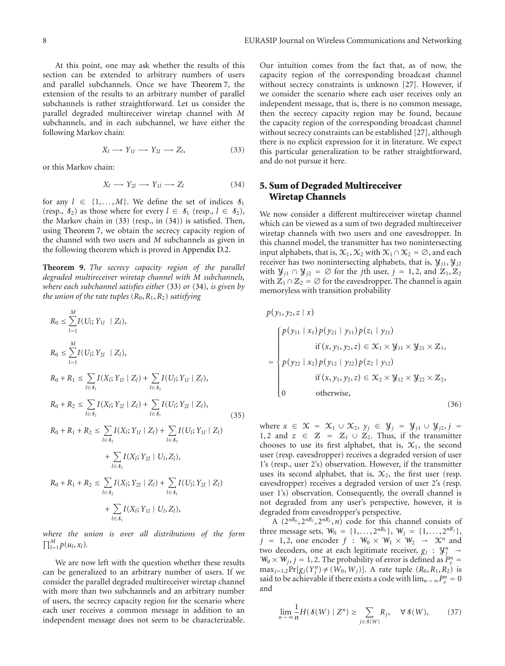At this point, one may ask whether the results of this section can be extended to arbitrary numbers of users and parallel subchannels. Once we have Theorem 7, the extension of the results to an arbitrary number of parallel subchannels is rather straightforward. Let us consider the parallel degraded multireceiver wiretap channel with *M* subchannels, and in each subchannel, we have either the following Markov chain:

$$
X_l \longrightarrow Y_{1l} \longrightarrow Y_{2l} \longrightarrow Z_l,\tag{33}
$$

or this Markov chain:

$$
X_l \longrightarrow Y_{2l} \longrightarrow Y_{1l} \longrightarrow Z_l \tag{34}
$$

for any  $l \in \{1, ..., M\}$ . We define the set of indices  $\delta_1$ (resp.,  $\delta_2$ ) as those where for every  $l \in \mathcal{S}_1$  (resp.,  $l \in \mathcal{S}_2$ ), the Markov chain in (33) (resp., in (34)) is satisfied. Then, using Theorem 7, we obtain the secrecy capacity region of the channel with two users and *M* subchannels as given in the following theorem which is proved in Appendix D.2.

**Theorem 9.** *The secrecy capacity region of the parallel degraded multireceiver wiretap channel with M subchannels, where each subchannel satisfies either* (33) *or* (34)*, is given by the union of the rate tuples*  $(R_0, R_1, R_2)$  *satisfying* 

$$
R_0 \leq \sum_{l=1}^{M} I(U_l; Y_{1l} | Z_l),
$$
  
\n
$$
R_0 \leq \sum_{l=1}^{M} I(U_l; Y_{2l} | Z_l),
$$
  
\n
$$
R_0 + R_1 \leq \sum_{l \in \delta_1} I(X_l; Y_{1l} | Z_l) + \sum_{l \in \delta_2} I(U_l; Y_{1l} | Z_l),
$$
  
\n
$$
R_0 + R_2 \leq \sum_{l \in \delta_2} I(X_l; Y_{2l} | Z_l) + \sum_{l \in \delta_1} I(U_l; Y_{2l} | Z_l),
$$
  
\n
$$
R_0 + R_1 + R_2 \leq \sum_{l \in \delta_1} I(X_l; Y_{1l} | Z_l) + \sum_{l \in \delta_2} I(U_l; Y_{1l} | Z_l)
$$
  
\n
$$
+ \sum_{l \in \delta_2} I(X_l; Y_{2l} | U_l, Z_l),
$$
  
\n
$$
R_0 + R_1 + R_2 \leq \sum_{l \in \delta_2} I(X_l; Y_{2l} | Z_l) + \sum_{l \in \delta_1} I(U_l; Y_{2l} | Z_l)
$$
  
\n
$$
+ \sum_{l \in \delta_2} I(X_l; Y_{2l} | Z_l) + \sum_{l \in \delta_1} I(U_l; Y_{2l} | Z_l)
$$
  
\n
$$
+ \sum_{l \in \delta_1} I(X_l; Y_{1l} | U_l, Z_l),
$$
  
\n
$$
I \in \delta_1
$$

*where the union is over all distributions of the form*  $\prod_{l=1}^{M} p(u_l, x_l)$ .

We are now left with the question whether these results can be generalized to an arbitrary number of users. If we consider the parallel degraded multireceiver wiretap channel with more than two subchannels and an arbitrary number of users, the secrecy capacity region for the scenario where each user receives a common message in addition to an independent message does not seem to be characterizable.

Our intuition comes from the fact that, as of now, the capacity region of the corresponding broadcast channel without secrecy constraints is unknown [27]. However, if we consider the scenario where each user receives only an independent message, that is, there is no common message, then the secrecy capacity region may be found, because the capacity region of the corresponding broadcast channel without secrecy constraints can be established [27], although there is no explicit expression for it in literature. We expect this particular generalization to be rather straightforward, and do not pursue it here.

# **5. Sum of Degraded Multireceiver Wiretap Channels**

We now consider a different multireceiver wiretap channel which can be viewed as a sum of two degraded multireceiver wiretap channels with two users and one eavesdropper. In this channel model, the transmitter has two nonintersecting input alphabets, that is,  $\mathcal{X}_1, \mathcal{X}_2$  with  $\mathcal{X}_1 \cap \mathcal{X}_2 = \emptyset$ , and each receiver has two nonintersecting alphabets, that is,  $\mathcal{Y}_{j1}, \mathcal{Y}_{j2}$ with  $\mathcal{Y}_{i1} \cap \mathcal{Y}_{i2} = \emptyset$  for the *j*th user,  $j = 1, 2$ , and  $\mathcal{Z}_1, \mathcal{Z}_2$ with  $\mathcal{Z}_1 \cap \mathcal{Z}_2 = \emptyset$  for the eavesdropper. The channel is again memoryless with transition probability

$$
p(y_1, y_2, z \mid x)
$$
\n
$$
= \begin{cases}\n p(y_{11} \mid x_1) p(y_{21} \mid y_{11}) p(z_1 \mid y_{21}) \\
 \text{if } (x, y_1, y_2, z) \in \mathcal{X}_1 \times \mathcal{Y}_{11} \times \mathcal{Y}_{21} \times \mathcal{Z}_1, \\
 p(y_{22} \mid x_2) p(y_{12} \mid y_{22}) p(z_2 \mid y_{12}) \\
 \text{if } (x, y_1, y_2, z) \in \mathcal{X}_2 \times \mathcal{Y}_{12} \times \mathcal{Y}_{22} \times \mathcal{Z}_2, \\
 0\n \text{otherwise,} \n\end{cases}
$$
\n(36)

where  $x \in \mathcal{X} = \mathcal{X}_1 \cup \mathcal{X}_2$ ,  $y_j \in \mathcal{Y}_j = \mathcal{Y}_{j1} \cup \mathcal{Y}_{j2}$ ,  $j =$ 1, 2 and  $z \in \mathcal{Z} = \mathcal{Z}_1 \cup \mathcal{Z}_2$ . Thus, if the transmitter chooses to use its first alphabet, that is,  $\mathcal{X}_1$ , the second user (resp. eavesdropper) receives a degraded version of user 1's (resp., user 2's) observation. However, if the transmitter uses its second alphabet, that is,  $\mathcal{X}_2$ , the first user (resp. eavesdropper) receives a degraded version of user 2's (resp. user 1's) observation. Consequently, the overall channel is not degraded from any user's perspective, however, it is degraded from eavesdropper's perspective.

A  $(2^{nR_0}, 2^{nR_1}, 2^{nR_2}, n)$  code for this channel consists of three message sets,  $W_0 = \{1, ..., 2^{nR_0}\}, W_j = \{1, ..., 2^{nR_j}\},$  $j = 1, 2$ , one encoder  $f : W_0 \times W_1 \times W_2 \rightarrow X^n$  and two decoders, one at each legitimate receiver,  $g_j : \mathcal{Y}_j^n \rightarrow$  $W_0 \times W_j$ ,  $j = 1, 2$ . The probability of error is defined as  $P_e^n =$  $\max_{j=1,2} Pr[g_j(Y_j^n) \neq (W_0, W_j)].$  A rate tuple  $(R_0, R_1, R_2)$  is said to be achievable if there exists a code with  $\lim_{n \to \infty} P_e^n = 0$ and

$$
\lim_{n \to \infty} \frac{1}{n} H(\mathcal{S}(W) \mid Z^n) \ge \sum_{j \in \mathcal{S}(W)} R_j, \quad \forall \mathcal{S}(W), \tag{37}
$$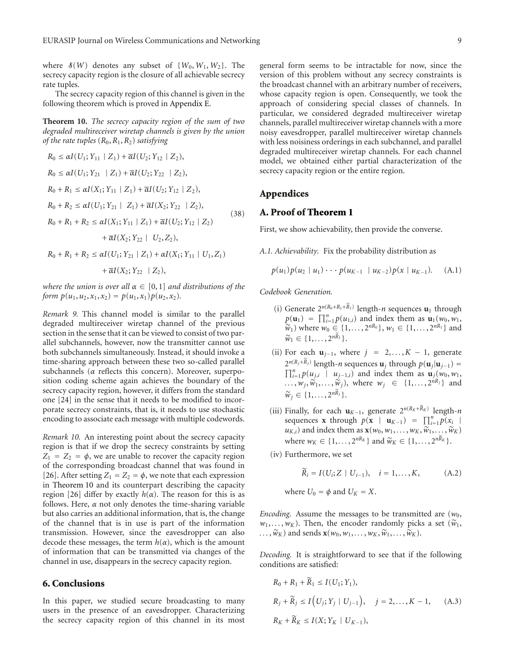where  $\mathcal{S}(W)$  denotes any subset of  $\{W_0, W_1, W_2\}$ . The secrecy capacity region is the closure of all achievable secrecy rate tuples.

The secrecy capacity region of this channel is given in the following theorem which is proved in Appendix E.

**Theorem 10.** *The secrecy capacity region of the sum of two degraded multireceiver wiretap channels is given by the union of the rate tuples*  $(R_0, R_1, R_2)$  *satisfying* 

$$
R_0 \le \alpha I(U_1; Y_{11} | Z_1) + \overline{\alpha} I(U_2; Y_{12} | Z_2),
$$
  
\n
$$
R_0 \le \alpha I(U_1; Y_{21} | Z_1) + \overline{\alpha} I(U_2; Y_{22} | Z_2),
$$
  
\n
$$
R_0 + R_1 \le \alpha I(X_1; Y_{11} | Z_1) + \overline{\alpha} I(U_2; Y_{12} | Z_2),
$$
  
\n
$$
R_0 + R_2 \le \alpha I(U_1; Y_{21} | Z_1) + \overline{\alpha} I(X_2; Y_{22} | Z_2),
$$
  
\n
$$
R_0 + R_1 + R_2 \le \alpha I(X_1; Y_{11} | Z_1) + \overline{\alpha} I(U_2; Y_{12} | Z_2)
$$
  
\n
$$
+ \overline{\alpha} I(X_2; Y_{22} | U_2, Z_2),
$$
  
\n
$$
R_0 + R_1 + R_2 \le \alpha I(U_1; Y_{21} | Z_1) + \alpha I(X_1; Y_{11} | U_1, Z_1)
$$
  
\n
$$
+ \overline{\alpha} I(X_2; Y_{22} | Z_2),
$$
  
\n(38)

*where the union is over all*  $\alpha \in [0,1]$  *and distributions of the form*  $p(u_1, u_2, x_1, x_2) = p(u_1, x_1)p(u_2, x_2)$ .

*Remark 9.* This channel model is similar to the parallel degraded multireceiver wiretap channel of the previous section in the sense that it can be viewed to consist of two parallel subchannels, however, now the transmitter cannot use both subchannels simultaneously. Instead, it should invoke a time-sharing approach between these two so-called parallel subchannels (*α* reflects this concern). Moreover, superposition coding scheme again achieves the boundary of the secrecy capacity region, however, it differs from the standard one [24] in the sense that it needs to be modified to incorporate secrecy constraints, that is, it needs to use stochastic encoding to associate each message with multiple codewords.

*Remark 10.* An interesting point about the secrecy capacity region is that if we drop the secrecy constraints by setting  $Z_1 = Z_2 = \phi$ , we are unable to recover the capacity region of the corresponding broadcast channel that was found in [26]. After setting  $Z_1 = Z_2 = \phi$ , we note that each expression in Theorem 10 and its counterpart describing the capacity region [26] differ by exactly  $h(α)$ . The reason for this is as follows. Here, *α* not only denotes the time-sharing variable but also carries an additional information, that is, the change of the channel that is in use is part of the information transmission. However, since the eavesdropper can also decode these messages, the term  $h(\alpha)$ , which is the amount of information that can be transmitted via changes of the channel in use, disappears in the secrecy capacity region.

#### **6. Conclusions**

In this paper, we studied secure broadcasting to many users in the presence of an eavesdropper. Characterizing the secrecy capacity region of this channel in its most

general form seems to be intractable for now, since the version of this problem without any secrecy constraints is the broadcast channel with an arbitrary number of receivers, whose capacity region is open. Consequently, we took the approach of considering special classes of channels. In particular, we considered degraded multireceiver wiretap channels, parallel multireceiver wiretap channels with a more noisy eavesdropper, parallel multireceiver wiretap channels with less noisiness orderings in each subchannel, and parallel degraded multireceiver wiretap channels. For each channel model, we obtained either partial characterization of the secrecy capacity region or the entire region.

#### **Appendices**

#### **A. Proof of Theorem 1**

First, we show achievability, then provide the converse.

*A.1. Achievability.* Fix the probability distribution as

$$
p(u_1)p(u_2 \mid u_1) \cdots p(u_{K-1} \mid u_{K-2})p(x \mid u_{K-1}). \quad (A.1)
$$

*Codebook Generation.*

- (i) Generate  $2^{n(R_0+R_1+\tilde{R}_1)}$  length-*n* sequences  $\mathbf{u}_1$  through  $p(\mathbf{u}_1) = \prod_{i=1}^n p(u_{1,i})$  and index them as  $\mathbf{u}_1(w_0, w_1)$  $\widetilde{w}_1$ ) where  $w_0 \in \{1, \ldots, 2^{nR_0}\}, w_1 \in \{1, \ldots, 2^{nR_1}\}$  and  $\widetilde{w}_1 \in \{1, \ldots, 2^{n\widetilde{R}_1}\}.$
- (ii) For each  $\mathbf{u}_{j-1}$ , where  $j = 2,..., K 1$ , generate  $2^{n(R_f+R_f)}$  length-*n* sequences  $\mathbf{u}_j$  through  $p(\mathbf{u}_j|\mathbf{u}_{j-1}) =$  $\prod_{i=1}^{n} p(u_{j,i} \mid u_{j-1,i})$  and index them as  $\mathbf{u}_j(w_0, w_1)$ *...*, *w*<sub>*j*</sub>,  $\tilde{w}_1$ , *...*,  $\tilde{w}_j$ ), where *w<sub>j</sub>* ∈ {1,*...*, 2<sup>*nR<sub>j</sub>*} and</sup>  $\widetilde{w}_i \in \{1, \ldots, 2^{n\widetilde{R}_j}\}.$
- (iii) Finally, for each  $\mathbf{u}_{K-1}$ , generate  $2^{n(R_K + \bar{R}_K)}$  length-*n* sequences **x** through  $p(\mathbf{x} \mid \mathbf{u}_{K-1}) = \prod_{i=1}^{n} p(x_i)$  $u_{K,i}$ ) and index them as  $\mathbf{x}(w_0, w_1, \dots, w_K, \widetilde{w}_1, \dots, \widetilde{w}_K)$ where  $w_K \in \{1, ..., 2^{nR_K}\}\$  and  $\widetilde{w}_K \in \{1, ..., 2^{nR_K}\}\$ .
- (iv) Furthermore, we set

$$
\ddot{R}_i = I(U_i; Z \mid U_{i-1}), \quad i = 1, ..., K,
$$
 (A.2)

where  $U_0 = \phi$  and  $U_K = X$ .

*Encoding.* Assume the messages to be transmitted are  $(w_0,$  $w_1, \ldots, w_K$ ). Then, the encoder randomly picks a set  $(\widetilde{w}_1, \ldots, w_K)$  $\ldots$ ,  $\widetilde{w}_K$ ) and sends  $\mathbf{x}(w_0, w_1, \ldots, w_K, \widetilde{w}_1, \ldots, \widetilde{w}_K)$ .

*Decoding.* It is straightforward to see that if the following conditions are satisfied:

$$
R_0 + R_1 + \widetilde{R}_1 \le I(U_1; Y_1),
$$
  
\n
$$
R_j + \widetilde{R}_j \le I(U_j; Y_j | U_{j-1}), \quad j = 2, ..., K - 1,
$$
  
\n
$$
R_K + \widetilde{R}_K \le I(X; Y_K | U_{K-1}),
$$
 (A.3)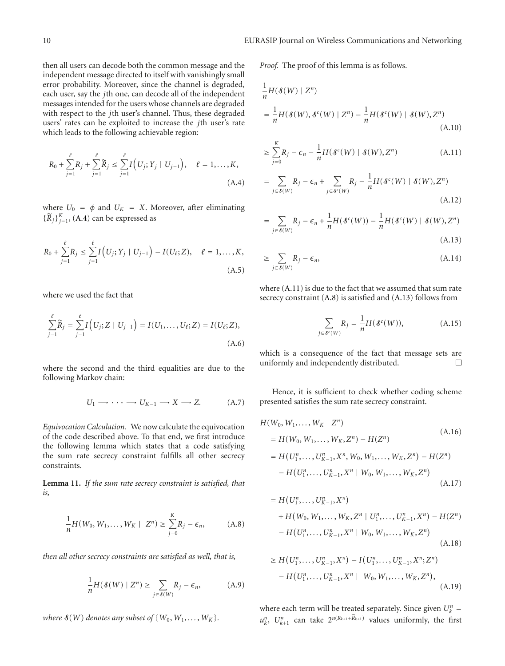then all users can decode both the common message and the independent message directed to itself with vanishingly small error probability. Moreover, since the channel is degraded, each user, say the *j*th one, can decode all of the independent messages intended for the users whose channels are degraded with respect to the *j*th user's channel. Thus, these degraded users' rates can be exploited to increase the *j*th user's rate which leads to the following achievable region:

$$
R_0 + \sum_{j=1}^{\ell} R_j + \sum_{j=1}^{\ell} \widetilde{R}_j \le \sum_{j=1}^{\ell} I(U_j; Y_j | U_{j-1}), \quad \ell = 1, ..., K,
$$
\n(A.4)

where  $U_0 = \phi$  and  $U_K = X$ . Moreover, after eliminating  ${\{\widetilde{R}_j\}}_{j=1}^K$ , (A.4) can be expressed as

$$
R_0 + \sum_{j=1}^{\ell} R_j \le \sum_{j=1}^{\ell} I(U_j; Y_j \mid U_{j-1}) - I(U_{\ell}; Z), \quad \ell = 1, ..., K,
$$
\n(A.5)

where we used the fact that

$$
\sum_{j=1}^{\ell} \widetilde{R}_j = \sum_{j=1}^{\ell} I(U_j; Z \mid U_{j-1}) = I(U_1, \dots, U_{\ell}; Z) = I(U_{\ell}; Z),
$$
\n(A.6)

where the second and the third equalities are due to the following Markov chain:

$$
U_1 \longrightarrow \cdots \longrightarrow U_{K-1} \longrightarrow X \longrightarrow Z. \tag{A.7}
$$

*Equivocation Calculation.* We now calculate the equivocation of the code described above. To that end, we first introduce the following lemma which states that a code satisfying the sum rate secrecy constraint fulfills all other secrecy constraints.

**Lemma 11.** *If the sum rate secrecy constraint is satisfied, that is,*

$$
\frac{1}{n}H(W_0, W_1, \dots, W_K \mid Z^n) \ge \sum_{j=0}^K R_j - \epsilon_n, \tag{A.8}
$$

*then all other secrecy constraints are satisfied as well, that is,*

$$
\frac{1}{n}H(\mathcal{S}(W) \mid Z^n) \ge \sum_{j \in \mathcal{S}(W)} R_j - \epsilon_n, \tag{A.9}
$$

*where*  $\mathcal{S}(W)$  *denotes any subset of*  $\{W_0, W_1, \ldots, W_K\}$ *.* 

*Proof.* The proof of this lemma is as follows.

$$
\frac{1}{n}H(\mathcal{S}(W) \mid Z^n)
$$
\n
$$
= \frac{1}{n}H(\mathcal{S}(W), \mathcal{S}^c(W) \mid Z^n) - \frac{1}{n}H(\mathcal{S}^c(W) \mid \mathcal{S}(W), Z^n)
$$
\n(A.10)

$$
\geq \sum_{j=0}^{K} R_j - \epsilon_n - \frac{1}{n} H(\mathcal{S}^c(W) \mid \mathcal{S}(W), Z^n) \tag{A.11}
$$

$$
= \sum_{j \in \mathcal{S}(W)} R_j - \epsilon_n + \sum_{j \in \mathcal{S}^c(W)} R_j - \frac{1}{n} H(\mathcal{S}^c(W) \mid \mathcal{S}(W), Z^n)
$$
\n(A.12)

$$
= \sum_{j \in \mathcal{S}(W)} R_j - \epsilon_n + \frac{1}{n} H(\mathcal{S}^c(W)) - \frac{1}{n} H(\mathcal{S}^c(W) \mid \mathcal{S}(W), Z^n)
$$
\n(A.13)

$$
\geq \sum_{j \in \mathcal{S}(W)} R_j - \epsilon_n, \tag{A.14}
$$

where (A.11) is due to the fact that we assumed that sum rate secrecy constraint (A.8) is satisfied and (A.13) follows from

$$
\sum_{j \in \mathcal{S}^c(W)} R_j = \frac{1}{n} H(\mathcal{S}^c(W)), \tag{A.15}
$$

which is a consequence of the fact that message sets are uniformly and independently distributed.  $\Box$ 

Hence, it is sufficient to check whether coding scheme presented satisfies the sum rate secrecy constraint.

$$
H(W_0, W_1, ..., W_K | Z^n)
$$
\n
$$
= H(W_0, W_1, ..., W_K, Z^n) - H(Z^n)
$$
\n
$$
= H(U_1^n, ..., U_{K-1}^n, X^n, W_0, W_1, ..., W_K, Z^n) - H(Z^n)
$$
\n
$$
- H(U_1^n, ..., U_{K-1}^n, X^n | W_0, W_1, ..., W_K, Z^n)
$$
\n
$$
= H(U_1^n, ..., U_{K-1}^n, X^n)
$$
\n(A.17)

+ 
$$
H(W_0, W_1, \ldots, W_K, Z^n \mid U_1^n, \ldots, U_{K-1}^n, X^n) - H(Z^n)
$$
  
-  $H(U_1^n, \ldots, U_{K-1}^n, X^n \mid W_0, W_1, \ldots, W_K, Z^n)$  (A.18)

$$
\geq H(U_1^n, \dots, U_{K-1}^n, X^n) - I(U_1^n, \dots, U_{K-1}^n, X^n; Z^n)
$$

$$
- H(U_1^n, \dots, U_{K-1}^n, X^n \mid W_0, W_1, \dots, W_K, Z^n),
$$
(A.19)

where each term will be treated separately. Since given  $U_k^n =$  $u_k^n$ ,  $U_{k+1}^n$  can take  $2^{n(R_{k+1} + \tilde{R}_{k+1})}$  values uniformly, the first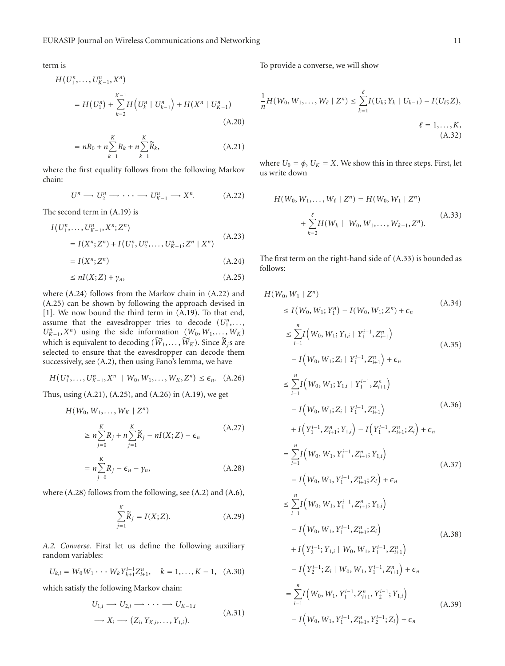term is

$$
H(U_1^n, \dots, U_{K-1}^n, X^n)
$$
  
=  $H(U_1^n) + \sum_{k=2}^{K-1} H\left(U_k^n \mid U_{k-1}^n\right) + H(X^n \mid U_{K-1}^n)$   
(A.20)

$$
= nR_0 + n \sum_{k=1}^{K} R_k + n \sum_{k=1}^{K} \widetilde{R}_k, \tag{A.21}
$$

where the first equality follows from the following Markov chain:

$$
U_1^n \longrightarrow U_2^n \longrightarrow \cdots \longrightarrow U_{K-1}^n \longrightarrow X^n. \tag{A.22}
$$

The second term in (A.19) is

$$
I(U_1^n, \dots, U_{K-1}^n, X^n; Z^n)
$$
  
=  $I(X^n; Z^n) + I(U_1^n, U_2^n, \dots, U_{K-1}^n; Z^n | X^n)$  (A.23)

$$
= I(X^n; Z^n) \tag{A.24}
$$

$$
\leq nI(X;Z) + \gamma_n,\tag{A.25}
$$

where (A.24) follows from the Markov chain in (A.22) and (A.25) can be shown by following the approach devised in [1]. We now bound the third term in (A.19). To that end, assume that the eavesdropper tries to decode  $(U_1^n, \ldots,$  $U_{K-1}^n, X^n)$  using the side information  $(W_0, W_1, \ldots, W_K)$ which is equivalent to decoding  $(W_1, \ldots, W_K)$ . Since  $R_j$ s are selected to ensure that the eavesdropper can decode them successively, see (A.2), then using Fano's lemma, we have

$$
H(U_1^n, \ldots, U_{K-1}^n, X^n \mid W_0, W_1, \ldots, W_K, Z^n) \le \epsilon_n. \quad (A.26)
$$

Thus, using (A.21), (A.25), and (A.26) in (A.19), we get

$$
H(W_0, W_1, \dots, W_K \mid Z^n)
$$
  
\n
$$
\geq n \sum_{j=0}^K R_j + n \sum_{j=1}^K \widetilde{R}_j - nI(X; Z) - \epsilon_n
$$
  
\n
$$
= n \sum_{j=0}^K R_j - \epsilon_n - \gamma_n, \qquad (A.28)
$$

where 
$$
(A.28)
$$
 follows from the following, see  $(A.2)$  and  $(A.6)$ ,

$$
\sum_{j=1}^{K} \widetilde{R}_j = I(X; Z). \tag{A.29}
$$

*A.2. Converse.* First let us define the following auxiliary random variables:

$$
U_{k,i} = W_0 W_1 \cdots W_k Y_{k+1}^{i-1} Z_{i+1}^n, \quad k = 1, \ldots, K-1, \quad (A.30)
$$

which satisfy the following Markov chain:

*j*=0

$$
U_{1,i} \longrightarrow U_{2,i} \longrightarrow \cdots \longrightarrow U_{K-1,i}
$$
  
\n
$$
\longrightarrow X_i \longrightarrow (Z_i, Y_{K,i}, \dots, Y_{1,i}).
$$
\n(A.31)

To provide a converse, we will show

$$
\frac{1}{n}H(W_0, W_1, \dots, W_\ell \mid Z^n) \le \sum_{k=1}^{\ell} I(U_k; Y_k \mid U_{k-1}) - I(U_\ell; Z),
$$
\n
$$
\ell = 1, \dots, K,
$$
\n(A.32)

where  $U_0 = \phi$ ,  $U_K = X$ . We show this in three steps. First, let us write down

$$
H(W_0, W_1, \dots, W_\ell \mid Z^n) = H(W_0, W_1 \mid Z^n)
$$
  
+ 
$$
\sum_{k=2}^{\ell} H(W_k \mid W_0, W_1, \dots, W_{k-1}, Z^n).
$$
 (A.33)

The first term on the right-hand side of (A.33) is bounded as follows:

$$
H(W_0, W_1 | Z^n)
$$
\n
$$
\leq I(W_0, W_1; Y_1^n) - I(W_0, W_1; Z^n) + \epsilon_n
$$
\n
$$
\leq \sum_{i=1}^n I(W_0, W_1; Y_{1,i} | Y_1^{i-1}, Z_{i+1}^n)
$$
\n
$$
- I(W_0, W_1; Z_i | Y_1^{i-1}, Z_{i+1}^n) + \epsilon_n
$$
\n
$$
\leq \sum_{i=1}^n I(W_0, W_1; Y_{1,i} | Y_1^{i-1}, Z_{i+1}^n)
$$
\n
$$
- I(W_0, W_1; Z_i | Y_1^{i-1}, Z_{i+1}^n)
$$
\n
$$
+ I(Y_1^{i-1}, Z_{i+1}^n; Y_{1,i}) - I(Y_1^{i-1}, Z_{i+1}^n; Z_i) + \epsilon_n
$$
\n
$$
= \sum_{i=1}^n I(W_0, W_1, Y_1^{i-1}, Z_{i+1}^n; Y_{1,i})
$$
\n
$$
- I(W_0, W_1, Y_1^{i-1}, Z_{i+1}^n; Z_i) + \epsilon_n
$$
\n
$$
\leq \sum_{i=1}^n I(W_0, W_1, Y_1^{i-1}, Z_{i+1}^n; Z_i)
$$
\n
$$
- I(W_0, W_1, Y_1^{i-1}, Z_{i+1}^n; Z_i)
$$
\n
$$
- I(W_0, W_1, Y_1^{i-1}, Z_{i+1}^n; Z_i)
$$
\n
$$
+ I(Y_2^{i-1}; Y_{1,i} | W_0, W_1, Y_1^{i-1}, Z_{i+1}^n) + \epsilon_n
$$
\n
$$
= \sum_{i=1}^n I(W_0, W_1, Y_1^{i-1}, Z_{i+1}^n, Y_2^{i-1}; Y_{1,i})
$$
\n
$$
- I(W_0, W_1, Y_1^{i-1}, Z_{i+1}^n, Y_2^{i-1}; Y_{1,i})
$$
\n
$$
- I(W_0, W_1, Y_1^{i-1}, Z_{i+1}^n, Y_2^{i-1}; Y_{1,i})
$$
\n
$$
+ (X_0, W_1, Y_
$$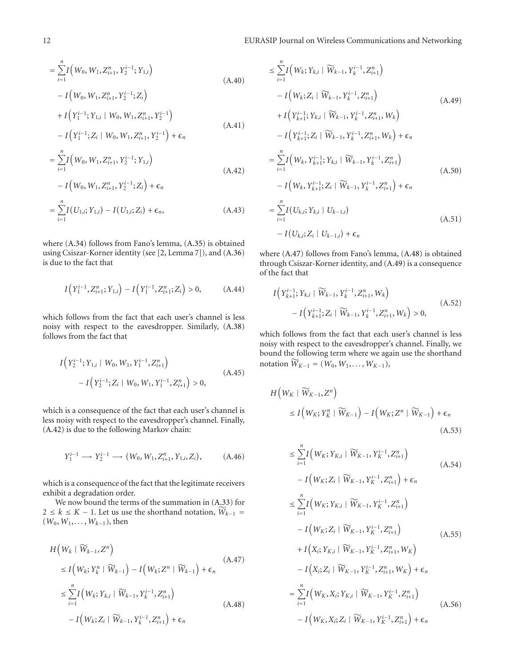$$
= \sum_{i=1}^{n} I(W_0, W_1, Z_{i+1}^n, Y_2^{i-1}; Y_{1,i})
$$
\n(A.40)

$$
- I(W_0, W_1, Z_{i+1}^n, Y_2^{i-1}; Z_i)
$$
  
+ 
$$
I(Y_1^{i-1}; Y_{1,i} | W_0, W_1, Z_{i+1}^n, Y_2^{i-1})
$$

$$
-I(Y_1^{i-1}; Z_i \mid W_0, W_1, Z_{i+1}^n, Y_2^{i-1}) + \epsilon_n
$$
\n(A.41)

$$
= \sum_{i=1}^{n} I(W_0, W_1, Z_{i+1}^n, Y_2^{i-1}; Y_{1,i})
$$
  
-  $I(W_0, W_1, Z_{i+1}^n, Y_2^{i-1}; Z_i) + \epsilon_n$  (A.42)

$$
= \sum_{i=1}^{n} I(U_{1,i}; Y_{1,i}) - I(U_{1,i}; Z_i) + \epsilon_n,
$$
\n(A.43)

where (A.34) follows from Fano's lemma, (A.35) is obtained using Csiszar-Korner identity (see [2, Lemma 7]), and (A.36) is due to the fact that

$$
I(Y_1^{i-1}, Z_{i+1}^n; Y_{1,i}) - I(Y_1^{i-1}, Z_{i+1}^n; Z_i) > 0,
$$
 (A.44)

which follows from the fact that each user's channel is less noisy with respect to the eavesdropper. Similarly, (A.38) follows from the fact that

$$
I(Y_2^{i-1}; Y_{1,i} | W_0, W_1, Y_1^{i-1}, Z_{i+1}^n)
$$
  
-  $I(Y_2^{i-1}; Z_i | W_0, W_1, Y_1^{i-1}, Z_{i+1}^n) > 0,$  (A.45)

which is a consequence of the fact that each user's channel is less noisy with respect to the eavesdropper's channel. Finally, (A.42) is due to the following Markov chain:

$$
Y_1^{i-1} \longrightarrow Y_2^{i-1} \longrightarrow (W_0, W_1, Z_{i+1}^n, Y_{1,i}, Z_i), \quad (A.46)
$$

which is a consequence of the fact that the legitimate receivers exhibit a degradation order.

We now bound the terms of the summation in (A.33) for  $2 \le k \le K - 1$ . Let us use the shorthand notation,  $W_{k-1} =$  $(W_0, W_1, \ldots, W_{k-1})$ , then

$$
H(W_k | \widetilde{W}_{k-1}, Z^n)
$$
\n
$$
\leq I(W_k; Y_k^n | \widetilde{W}_{k-1}) - I(W_k; Z^n | \widetilde{W}_{k-1}) + \epsilon_n
$$
\n
$$
\leq \sum_{i=1}^n I(W_k; Y_{k,i} | \widetilde{W}_{k-1}, Y_k^{i-1}, Z_{i+1}^n)
$$
\n
$$
- I(W_k; Z_i | \widetilde{W}_{k-1}, Y_k^{i-1}, Z_{i+1}^n) + \epsilon_n
$$
\n(A.48)

$$
\leq \sum_{i=1}^{n} I(W_k; Y_{k,i} | \widetilde{W}_{k-1}, Y_k^{i-1}, Z_{i+1}^n)
$$
  
\n
$$
- I(W_k; Z_i | \widetilde{W}_{k-1}, Y_k^{i-1}, Z_{i+1}^n)
$$
  
\n
$$
+ I(Y_{k+1}^{i-1}; Y_{k,i} | \widetilde{W}_{k-1}, Y_k^{i-1}, Z_{i+1}^n, W_k)
$$
  
\n
$$
- I(Y_{k+1}^{i-1}; Z_i | \widetilde{W}_{k-1}, Y_k^{i-1}, Z_{i+1}^n, W_k) + \epsilon_n
$$
  
\n
$$
= \sum_{i=1}^{n} I(W_k, Y_{k+1}^{i-1}; Y_{k,i} | \widetilde{W}_{k-1}, Y_k^{i-1}, Z_{i+1}^n)
$$
  
\n
$$
- I(W_k, Y_{k+1}^{i-1}; Z_i | \widetilde{W}_{k-1}, Y_k^{i-1}, Z_{i+1}^n) + \epsilon_n
$$
  
\n
$$
= \sum_{i=1}^{n} I(U_{k,i}; Y_{k,i} | U_{k-1,i})
$$
  
\n
$$
- I(U_{k,i}; Z_i | U_{k-1,i}) + \epsilon_n
$$
  
\n(A.51)

where (A.47) follows from Fano's lemma, (A.48) is obtained through Csiszar-Korner identity, and (A.49) is a consequence of the fact that

$$
I\left(Y_{k+1}^{i-1}; Y_{k,i} \mid \widetilde{W}_{k-1}, Y_k^{i-1}, Z_{i+1}^n, W_k\right) - I\left(Y_{k+1}^{i-1}; Z_i \mid \widetilde{W}_{k-1}, Y_k^{i-1}, Z_{i+1}^n, W_k\right) > 0,
$$
\n(A.52)

which follows from the fact that each user's channel is less noisy with respect to the eavesdropper's channel. Finally, we bound the following term where we again use the shorthand notation  $W_{K-1} = (W_0, W_1, \ldots, W_{K-1}),$ 

$$
H\left(W_K \mid \widetilde{W}_{K-1}, Z^n\right)
$$
  
\n
$$
\leq I\left(W_K; Y_K^n \mid \widetilde{W}_{K-1}\right) - I\left(W_K; Z^n \mid \widetilde{W}_{K-1}\right) + \epsilon_n
$$
\n(A.53)

$$
\leq \sum_{i=1}^{n} I\left(W_K; Y_{K,i} \mid \widetilde{W}_{K-1}, Y_K^{i-1}, Z_{i+1}^n\right)
$$
\n
$$
- I\left(W_K; Z_i \mid \widetilde{W}_{K-1}, Y_K^{i-1}, Z_{i+1}^n\right) + \epsilon_n
$$
\n
$$
\leq \sum_{i=1}^{n} I\left(W_K; Y_{K,i} \mid \widetilde{W}_{K-1}, Y_K^{i-1}, Z_{i+1}^n\right)
$$
\n
$$
- I\left(W_K; Z_i \mid \widetilde{W}_{K-1}, Y_K^{i-1}, Z_{i+1}^n\right)
$$
\n
$$
+ I\left(X_i; Y_{K,i} \mid \widetilde{W}_{K-1}, Y_K^{i-1}, Z_{i+1}^n, W_K\right)
$$
\n
$$
- I\left(X_i; Z_i \mid \widetilde{W}_{K-1}, Y_K^{i-1}, Z_{i+1}^n, W_K\right) + \epsilon_n
$$
\n
$$
= \sum_{i=1}^{n} I\left(W_K, X_i; Y_{K,i} \mid \widetilde{W}_{K-1}, Y_K^{i-1}, Z_{i+1}^n\right)
$$
\n
$$
\left(A.56\right)
$$
\n
$$
- I\left(W_K, X_i; Z_i \mid \widetilde{W}_{K-1}, Y_K^{i-1}, Z_{i+1}^n\right) + \epsilon_n
$$
\n(A.56)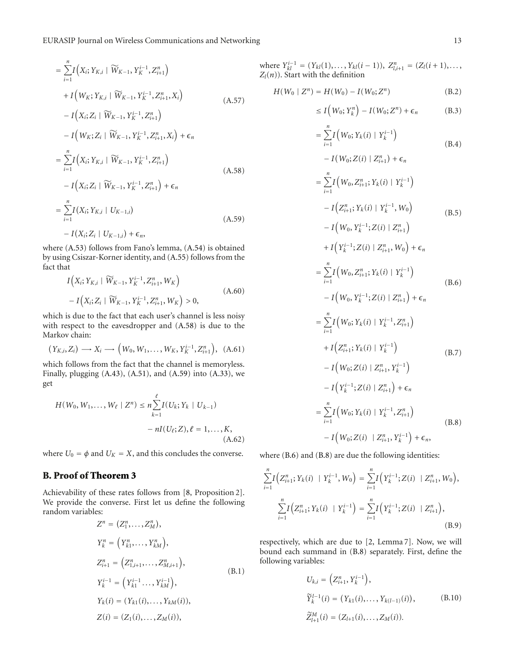$$
= \sum_{i=1}^{n} I(X_i; Y_{K,i} | \widetilde{W}_{K-1}, Y_K^{i-1}, Z_{i+1}^n)
$$
  
+  $I(W_K; Y_{K,i} | \widetilde{W}_{K-1}, Y_K^{i-1}, Z_{i+1}^n, X_i)$   
-  $I(X_i; Z_i | \widetilde{W}_{K-1}, Y_K^{i-1}, Z_{i+1}^n)$   
-  $I(W_K; Z_i | \widetilde{W}_{K-1}, Y_K^{i-1}, Z_{i+1}^n, X_i) + \epsilon_n$   
=  $\sum_{i=1}^{n} I(X_i; Y_{K,i} | \widetilde{W}_{K-1}, Y_K^{i-1}, Z_{i+1}^n)$   
-  $I(X_i; Z_i | \widetilde{W}_{K-1}, Y_K^{i-1}, Z_{i+1}^n) + \epsilon_n$   
=  $\sum_{i=1}^{n} I(X_i; Y_{K,i} | U_{K-1,i})$   
-  $I(X_i; Z_i | U_{K-1,i}) + \epsilon_n$ , (A.59)

where (A.53) follows from Fano's lemma, (A.54) is obtained by using Csiszar-Korner identity, and (A.55) follows from the fact that

$$
I(X_i; Y_{K,i} | \widetilde{W}_{K-1}, Y_K^{i-1}, Z_{i+1}^n, W_K)
$$
  
-  $I(X_i; Z_i | \widetilde{W}_{K-1}, Y_K^{i-1}, Z_{i+1}^n, W_K) > 0,$  (A.60)

which is due to the fact that each user's channel is less noisy with respect to the eavesdropper and (A.58) is due to the Markov chain:

$$
(Y_{K,i}, Z_i) \longrightarrow X_i \longrightarrow (W_0, W_1, \dots, W_K, Y_K^{i-1}, Z_{i+1}^n), (A.61)
$$

which follows from the fact that the channel is memoryless. Finally, plugging (A.43), (A.51), and (A.59) into (A.33), we get

$$
H(W_0, W_1, \dots, W_{\ell} \mid Z^n) \le n \sum_{k=1}^{\ell} I(U_k; Y_k \mid U_{k-1}) - nI(U_{\ell}; Z), \ell = 1, \dots, K,
$$
\n(A.62)

where  $U_0 = \phi$  and  $U_K = X$ , and this concludes the converse.

## **B. Proof of Theorem 3**

Achievability of these rates follows from [8, Proposition 2]. We provide the converse. First let us define the following random variables:

$$
Z^{n} = (Z_{1}^{n}, \dots, Z_{M}^{n}),
$$
  
\n
$$
Y_{k}^{n} = (Y_{k1}^{n}, \dots, Y_{kM}^{n}),
$$
  
\n
$$
Z_{i+1}^{n} = (Z_{1,i+1}^{n}, \dots, Z_{M,i+1}^{n}),
$$
  
\n
$$
Y_{k}^{i-1} = (Y_{k1}^{i-1} \dots, Y_{kM}^{i-1}),
$$
  
\n
$$
Y_{k}(i) = (Y_{k1}(i), \dots, Y_{kM}(i)),
$$
  
\n
$$
Z(i) = (Z_{1}(i), \dots, Z_{M}(i)),
$$
  
\n(B.1)

where  $Y_{kl}^{i-1} = (Y_{kl}(1), \ldots, Y_{kl}(i-1)), Z_{l,i+1}^{n} = (Z_l(i+1), \ldots, Y_{l,i+1})$ *Zl*(*n*)). Start with the definition

$$
H(W_0 | Z^n) = H(W_0) - I(W_0; Z^n)
$$
 (B.2)

$$
\leq I(W_0; Y_k^n) - I(W_0; Z^n) + \epsilon_n \tag{B.3}
$$

$$
= \sum_{i=1}^{n} I\left(W_{0}; Y_{k}(i) | Y_{k}^{i-1}\right)
$$
\n(B.4)  
\n
$$
- I(W_{0}; Z(i) | Z_{i+1}^{n}) + \epsilon_{n}
$$
\n
$$
= \sum_{i=1}^{n} I\left(W_{0}, Z_{i+1}^{n}; Y_{k}(i) | Y_{k}^{i-1}\right)
$$
\n
$$
- I\left(Z_{i+1}^{n}; Y_{k}(i) | Y_{k}^{i-1}, W_{0}\right)
$$
\n(B.5)  
\n
$$
- I\left(W_{0}, Y_{k}^{i-1}; Z(i) | Z_{i+1}^{n}\right)
$$
\n
$$
+ I\left(Y_{k}^{i-1}; Z(i) | Z_{i+1}^{n}, W_{0}\right) + \epsilon_{n}
$$
\n
$$
= \sum_{i=1}^{n} I\left(W_{0}, Z_{i+1}^{n}; Y_{k}(i) | Y_{k}^{i-1}\right)
$$
\n(B.6)  
\n
$$
- I\left(W_{0}, Y_{k}^{i-1}; Z(i) | Z_{i+1}^{n}\right) + \epsilon_{n}
$$
\n
$$
= \sum_{i=1}^{n} I\left(W_{0}; Y_{k}(i) | Y_{k}^{i-1}\right)
$$
\n
$$
+ I\left(Z_{i+1}^{n}; Y_{k}(i) | Y_{k}^{i-1}\right)
$$
\n
$$
- I\left(W_{0}; Z(i) | Z_{i+1}^{n}, Y_{k}^{i-1}\right)
$$
\n
$$
- I\left(Y_{k}^{i-1}; Z(i) | Z_{i+1}^{n}\right) + \epsilon_{n}
$$
\n
$$
= \sum_{i=1}^{n} I\left(W_{0}; Y_{k}(i) | Y_{k}^{i-1}, Z_{i+1}^{n}\right)
$$
\n(B.8)  
\n
$$
- I\left(W_{0}; Z(i) | Z_{i+1}^{n}, Y_{k}^{i-1}\right)
$$

where (B.6) and (B.8) are due the following identities:

$$
\sum_{i=1}^{n} I\Big(Z_{i+1}^{n}; Y_{k}(i) \mid Y_{k}^{i-1}, W_{0}\Big) = \sum_{i=1}^{n} I\Big(Y_{k}^{i-1}; Z(i) \mid Z_{i+1}^{n}, W_{0}\Big),
$$
\n
$$
\sum_{i=1}^{n} I\Big(Z_{i+1}^{n}; Y_{k}(i) \mid Y_{k}^{i-1}\Big) = \sum_{i=1}^{n} I\Big(Y_{k}^{i-1}; Z(i) \mid Z_{i+1}^{n}\Big),
$$
\n(B.9)

respectively, which are due to [2, Lemma 7]. Now, we will bound each summand in (B.8) separately. First, define the following variables:

$$
U_{k,i} = (Z_{i+1}^n, Y_k^{i-1}),
$$
  
\n
$$
\widetilde{Y}_k^{l-1}(i) = (Y_{k1}(i), \dots, Y_{k(l-1)}(i)),
$$
\n
$$
\widetilde{Z}_{l+1}^M(i) = (Z_{l+1}(i), \dots, Z_M(i)).
$$
\n(B.10)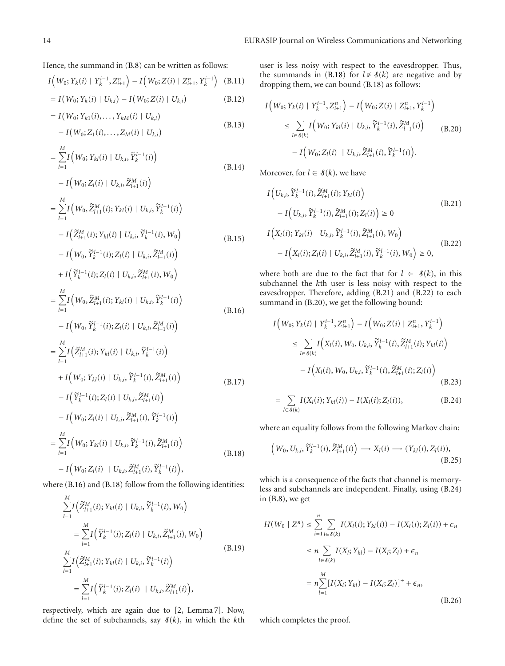Hence, the summand in (B.8) can be written as follows:

$$
I\left(W_0; Y_k(i) \mid Y_k^{i-1}, Z_{i+1}^n\right) - I\left(W_0; Z(i) \mid Z_{i+1}^n, Y_k^{i-1}\right) \tag{B.11}
$$

$$
= I(W_0; Y_k(i) | U_{k,i}) - I(W_0; Z(i) | U_{k,i})
$$
\n
$$
= I(W_0; Y_{k1}(i), \dots, Y_{kM}(i) | U_{k,i})
$$
\n
$$
- I(W_0; Z_1(i), \dots, Z_M(i) | U_{k,i})
$$
\n(B.13)

$$
= \sum_{l=1}^{M} I(W_0; Y_{kl}(i) | U_{k,i}, \widetilde{Y}_k^{l-1}(i))
$$
\n(B.14)

$$
- I(W_0; Z_l(i) | U_{k,i}, \tilde{Z}_{l+1}^M(i))
$$
  
\n
$$
= \sum_{l=1}^M I(W_0, \tilde{Z}_{l+1}^M(i); Y_{kl}(i) | U_{k,i}, \tilde{Y}_k^{l-1}(i))
$$
  
\n
$$
- I(\tilde{Z}_{l+1}^M(i); Y_{kl}(i) | U_{k,i}, \tilde{Y}_k^{l-1}(i), W_0)
$$
  
\n
$$
- I(W_0, \tilde{Y}_k^{l-1}(i); Z_l(i) | U_{k,i}, \tilde{Z}_{l+1}^M(i))
$$
  
\n
$$
+ I(\tilde{Y}_k^{l-1}(i); Z_l(i) | U_{k,i}, \tilde{Z}_{l+1}^M(i), W_0)
$$
  
\n
$$
= \sum_{l=1}^M I(W_0, \tilde{Z}_{l+1}^M(i); Y_{kl}(i) | U_{k,i}, \tilde{Y}_k^{l-1}(i))
$$
  
\n(B.16)

$$
- I(W_0, \widetilde{Y}_k^{l-1}(i); Z_l(i) | U_{k,i}, \widetilde{Z}_{l+1}^M(i))
$$
\n
$$
= \sum_{l=1}^M I(\widetilde{Z}_{l+1}^M(i); Y_{kl}(i) | U_{k,i}, \widetilde{Y}_k^{l-1}(i))
$$
\n
$$
+ I(W_0; Y_{kl}(i) | U_{k,i}, \widetilde{Y}_k^{l-1}(i), \widetilde{Z}_{l+1}^M(i))
$$
\n
$$
- I(\widetilde{Y}_k^{l-1}(i); Z_l(i) | U_{k,i}, \widetilde{Z}_{l+1}^M(i))
$$
\n
$$
- I(W_0; Z_l(i) | U_{k,i}, \widetilde{Z}_{l+1}^M(i), \widetilde{Y}_k^{l-1}(i))
$$
\n
$$
= \sum_{l=1}^M I(W_0; Y_{kl}(i) | U_{k,i}, \widetilde{Y}_k^{l-1}(i), \widetilde{Z}_{l+1}^M(i))
$$
\n
$$
- I(W_0; Z_l(i) | U_{k,i}, \widetilde{Z}_{l+1}^M(i), \widetilde{Y}_k^{l-1}(i)),
$$
\n(B.18)

where (B.16) and (B.18) follow from the following identities:

$$
\sum_{l=1}^{M} I\Big(\widetilde{Z}_{l+1}^{M}(i); Y_{kl}(i) \mid U_{k,i}, \widetilde{Y}_{k}^{l-1}(i), W_{0}\Big) \n= \sum_{l=1}^{M} I\Big(\widetilde{Y}_{k}^{l-1}(i); Z_{l}(i) \mid U_{k,i}, \widetilde{Z}_{l+1}^{M}(i), W_{0}\Big) \n\sum_{l=1}^{M} I\Big(\widetilde{Z}_{l+1}^{M}(i); Y_{kl}(i) \mid U_{k,i}, \widetilde{Y}_{k}^{l-1}(i)\Big) \n= \sum_{l=1}^{M} I\Big(\widetilde{Y}_{k}^{l-1}(i); Z_{l}(i) \mid U_{k,i}, \widetilde{Z}_{l+1}^{M}(i)\Big),
$$
\n(B.19)

respectively, which are again due to [2, Lemma 7]. Now, define the set of subchannels, say S(*k*), in which the *k*th user is less noisy with respect to the eavesdropper. Thus, the summands in (B.18) for  $l \notin \mathcal{S}(k)$  are negative and by dropping them, we can bound (B.18) as follows:

$$
I\Big(W_0; Y_k(i) | Y_k^{i-1}, Z_{i+1}^n\Big) - I\Big(W_0; Z(i) | Z_{i+1}^n, Y_k^{i-1}\Big)
$$
  
\n
$$
\leq \sum_{l \in \mathcal{S}(k)} I\Big(W_0; Y_{kl}(i) | U_{k,i}, \widetilde{Y}_k^{l-1}(i), \widetilde{Z}_{l+1}^M(i)\Big) \qquad (B.20)
$$
  
\n
$$
- I\Big(W_0; Z_l(i) | U_{k,i}, \widetilde{Z}_{l+1}^M(i), \widetilde{Y}_k^{l-1}(i)\Big).
$$

Moreover, for  $l \in \mathcal{S}(k)$ , we have

$$
I(U_{k,i}, \widetilde{Y}_{k}^{l-1}(i), \widetilde{Z}_{l+1}^{M}(i); Y_{kl}(i))
$$
\n
$$
- I(U_{k,i}, \widetilde{Y}_{k}^{l-1}(i), \widetilde{Z}_{l+1}^{M}(i); Z_{l}(i)) \ge 0
$$
\n
$$
I(X_{l}(i); Y_{kl}(i) | U_{k,i}, \widetilde{Y}_{k}^{l-1}(i), \widetilde{Z}_{l+1}^{M}(i), W_{0})
$$
\n
$$
- I(X_{l}(i); Z_{l}(i) | U_{k,i}, \widetilde{Z}_{l+1}^{M}(i), \widetilde{Y}_{k}^{l-1}(i), W_{0}) \ge 0,
$$
\n(B.22)

where both are due to the fact that for  $l \in \mathcal{S}(k)$ , in this subchannel the *k*th user is less noisy with respect to the eavesdropper. Therefore, adding (B.21) and (B.22) to each summand in (B.20), we get the following bound:

$$
I\Big(W_0; Y_k(i) | Y_k^{i-1}, Z_{i+1}^n\Big) - I\Big(W_0; Z(i) | Z_{i+1}^n, Y_k^{i-1}\Big) \leq \sum_{l \in \mathcal{S}(k)} I\Big(X_l(i), W_0, U_{k,i}, \widetilde{Y}_k^{l-1}(i), \widetilde{Z}_{l+1}^M(i); Y_{kl}(i)\Big) - I\Big(X_l(i), W_0, U_{k,i}, \widetilde{Y}_k^{l-1}(i), \widetilde{Z}_{l+1}^M(i); Z_l(i)\Big)
$$
(B.23)

$$
= \sum_{l \in \mathcal{S}(k)} I(X_l(i); Y_{kl}(i)) - I(X_l(i); Z_l(i)), \tag{B.24}
$$

where an equality follows from the following Markov chain:

$$
\left(W_0, U_{k,i}, \widetilde{Y}_k^{l-1}(i), \widetilde{Z}_{l+1}^M(i)\right) \longrightarrow X_l(i) \longrightarrow (Y_{kl}(i), Z_l(i)),
$$
\n(B.25)

which is a consequence of the facts that channel is memoryless and subchannels are independent. Finally, using (B.24) in (B.8), we get

$$
H(W_0 | Z^n) \leq \sum_{i=1}^n \sum_{l \in \mathcal{S}(k)} I(X_l(i); Y_{kl}(i)) - I(X_l(i); Z_l(i)) + \epsilon_n
$$
  

$$
\leq n \sum_{l \in \mathcal{S}(k)} I(X_l; Y_{kl}) - I(X_l; Z_l) + \epsilon_n
$$
  

$$
= n \sum_{l=1}^M [I(X_l; Y_{kl}) - I(X_l; Z_l)]^+ + \epsilon_n,
$$
(B.26)

which completes the proof.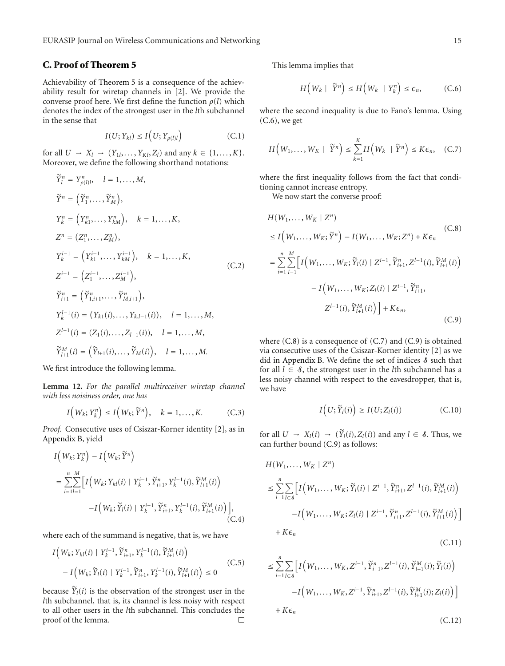## **C. Proof of Theorem 5**

Achievability of Theorem 5 is a consequence of the achievability result for wiretap channels in [2]. We provide the converse proof here. We first define the function  $\rho(l)$  which denotes the index of the strongest user in the *l*th subchannel in the sense that

$$
I(U; Y_{kl}) \le I\left(U; Y_{\rho(l)l}\right) \tag{C.1}
$$

for all  $U \to X_l \to (Y_{1l}, \ldots, Y_{Kl}, Z_l)$  and any  $k \in \{1, \ldots, K\}.$ Moreover, we define the following shorthand notations:

$$
\widetilde{Y}_{l}^{n} = Y_{\rho(l)}^{n}, \quad l = 1, ..., M,
$$
\n
$$
\widetilde{Y}^{n} = (\widetilde{Y}_{1}^{n}, ..., \widetilde{Y}_{M}^{n}),
$$
\n
$$
Y_{k}^{n} = (Y_{k1}^{n}, ..., Y_{kM}^{n}), \quad k = 1, ..., K,
$$
\n
$$
Z^{n} = (Z_{1}^{n}, ..., Z_{M}^{n}),
$$
\n
$$
Y_{k}^{i-1} = (Y_{k1}^{i-1}, ..., Y_{kM}^{i-1}), \quad k = 1, ..., K,
$$
\n
$$
Z^{i-1} = (Z_{1}^{i-1}, ..., Z_{M}^{i-1}),
$$
\n
$$
\widetilde{Y}_{i+1}^{n} = (\widetilde{Y}_{1,i+1}^{n}, ..., \widetilde{Y}_{M,i+1}^{n}),
$$
\n
$$
Y_{k}^{l-1}(i) = (Y_{k1}(i), ..., Y_{k,l-1}(i)), \quad l = 1, ..., M,
$$
\n
$$
\widetilde{Y}_{l+1}^{M}(i) = (\widetilde{Y}_{l+1}(i), ..., \widetilde{Y}_{M}(i)), \quad l = 1, ..., M.
$$

We first introduce the following lemma.

**Lemma 12.** *For the parallel multireceiver wiretap channel with less noisiness order, one has*

$$
I\left(W_k; Y_k^n\right) \le I\left(W_k; \widetilde{Y}^n\right), \quad k = 1, \dots, K. \tag{C.3}
$$

*Proof.* Consecutive uses of Csiszar-Korner identity [2], as in Appendix B, yield

$$
I(W_k; Y_k^n) - I(W_k; \widetilde{Y}^n)
$$
  
= 
$$
\sum_{i=1}^n \sum_{l=1}^M \Big[ I(W_k; Y_{kl}(i) | Y_k^{i-1}, \widetilde{Y}_{i+1}^n, Y_k^{l-1}(i), \widetilde{Y}_{l+1}^M(i)) - I(W_k; \widetilde{Y}_l(i) | Y_k^{i-1}, \widetilde{Y}_{i+1}^n, Y_k^{l-1}(i), \widetilde{Y}_{l+1}^M(i)) \Big],
$$
  
(C.4)

where each of the summand is negative, that is, we have

$$
I\left(W_k; Y_{kl}(i) | Y_k^{i-1}, \widetilde{Y}_{i+1}^n, Y_k^{l-1}(i), \widetilde{Y}_{l+1}^M(i)\right) - I\left(W_k; \widetilde{Y}_l(i) | Y_k^{i-1}, \widetilde{Y}_{i+1}^n, Y_k^{l-1}(i), \widetilde{Y}_{l+1}^M(i)\right) \le 0
$$
 (C.5)

because  $\widetilde{Y}_l(i)$  is the observation of the strongest user in the *l*th subchannel, that is, its channel is less noisy with respect to all other users in the *l*th subchannel. This concludes the proof of the lemma.  $\Box$  This lemma implies that

$$
H\Big(W_k \mid \widetilde{Y}^n\Big) \le H\Big(W_k \mid Y_k^n\Big) \le \epsilon_n, \tag{C.6}
$$

where the second inequality is due to Fano's lemma. Using  $(C.6)$ , we get

$$
H\left(W_1,\ldots,W_K\mid \widetilde{Y}^n\right)\leq \sum_{k=1}^K H\left(W_k\mid \widetilde{Y}^n\right)\leq K\epsilon_n,\quad (C.7)
$$

where the first inequality follows from the fact that conditioning cannot increase entropy.

We now start the converse proof:

$$
H(W_1, ..., W_K | Z^n)
$$
\n
$$
\leq I(W_1, ..., W_K; \tilde{Y}^n) - I(W_1, ..., W_K; Z^n) + K\epsilon_n
$$
\n
$$
= \sum_{i=1}^n \sum_{l=1}^M \left[ I(W_1, ..., W_K; \tilde{Y}_l(i) | Z^{i-1}, \tilde{Y}_{i+1}^n, Z^{l-1}(i), \tilde{Y}_{l+1}^M(i)) - I(W_1, ..., W_K; Z_l(i) | Z^{i-1}, \tilde{Y}_{i+1}^n,
$$
\n
$$
Z^{l-1}(i), \tilde{Y}_{l+1}^M(i)) \right] + K\epsilon_n,
$$
\n(C.9)

where  $(C.8)$  is a consequence of  $(C.7)$  and  $(C.9)$  is obtained via consecutive uses of the Csiszar-Korner identity [2] as we did in Appendix B. We define the set of indices  $\delta$  such that for all  $l \in \mathcal{S}$ , the strongest user in the *l*th subchannel has a less noisy channel with respect to the eavesdropper, that is, we have

$$
I(U; \widetilde{Y}_l(i)) \ge I(U; Z_l(i)) \tag{C.10}
$$

for all  $U \rightarrow X_l(i) \rightarrow (\widetilde{Y}_l(i), Z_l(i))$  and any  $l \in \mathcal{S}$ . Thus, we can further bound (C.9) as follows:

$$
H(W_1, ..., W_K | Z^n)
$$
  
\n
$$
\leq \sum_{i=1}^n \sum_{l \in \mathcal{S}} \left[ I(W_1, ..., W_K; \widetilde{Y}_l(i) | Z^{i-1}, \widetilde{Y}_{i+1}^n, Z^{l-1}(i), \widetilde{Y}_{l+1}^M(i)) - I(W_1, ..., W_K; Z_l(i) | Z^{i-1}, \widetilde{Y}_{i+1}^n, Z^{l-1}(i), \widetilde{Y}_{l+1}^M(i)) \right]
$$
  
\n
$$
+ K\epsilon_n
$$
\n(C.11)

$$
\leq \sum_{i=1}^{n} \sum_{l \in \mathcal{S}} \left[ I\left(W_1, \ldots, W_K, Z^{i-1}, \widetilde{Y}_{i+1}^n, Z^{l-1}(i), \widetilde{Y}_{l+1}^M(i); \widetilde{Y}_l(i)\right) \right. \\
\left. - I\left(W_1, \ldots, W_K, Z^{i-1}, \widetilde{Y}_{i+1}^n, Z^{l-1}(i), \widetilde{Y}_{l+1}^M(i); Z_l(i)\right) \right] \\
+ K \epsilon_n \tag{C.12}
$$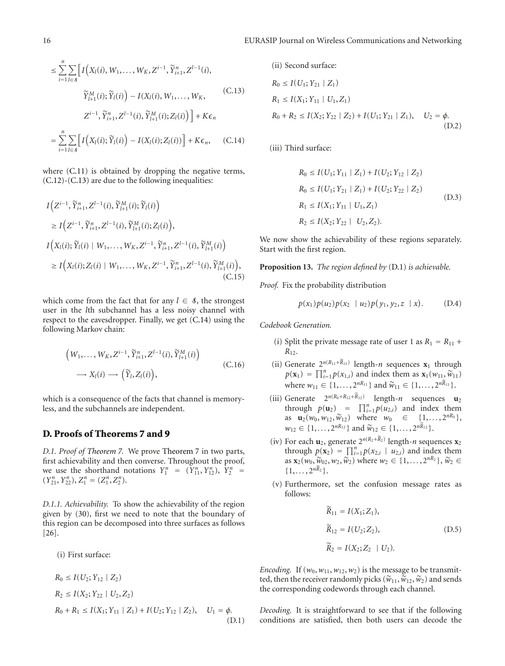$$
\leq \sum_{i=1}^{n} \sum_{l \in \delta} \Big[ I(X_l(i), W_1, \dots, W_K, Z^{i-1}, \tilde{Y}_{i+1}^n, Z^{l-1}(i),
$$
  
\n
$$
\tilde{Y}_{l+1}^M(i); \tilde{Y}_l(i) - I(X_l(i), W_1, \dots, W_K, \qquad (C.13)
$$
  
\n
$$
Z^{i-1}, \tilde{Y}_{i+1}^n, Z^{l-1}(i), \tilde{Y}_{l+1}^M(i); Z_l(i)) \Big] + K\epsilon_n
$$
  
\n
$$
= \sum_{i=1}^{n} \sum_{l \in \delta} \Big[ I(X_l(i); \tilde{Y}_l(i)) - I(X_l(i); Z_l(i)) \Big] + K\epsilon_n, \qquad (C.14)
$$

where  $(C.11)$  is obtained by dropping the negative terms,  $(C.12)$ - $(C.13)$  are due to the following inequalities:

$$
I\Big(Z^{i-1}, \widetilde{Y}_{i+1}^n, Z^{l-1}(i), \widetilde{Y}_{l+1}^M(i); \widetilde{Y}_l(i)\Big) \geq I\Big(Z^{i-1}, \widetilde{Y}_{i+1}^n, Z^{l-1}(i), \widetilde{Y}_{l+1}^M(i); Z_l(i)\Big), I\Big(X_l(i); \widetilde{Y}_l(i) \mid W_1, \dots, W_K, Z^{i-1}, \widetilde{Y}_{i+1}^n, Z^{l-1}(i), \widetilde{Y}_{l+1}^M(i)\Big) \geq I\Big(X_l(i); Z_l(i) \mid W_1, \dots, W_K, Z^{i-1}, \widetilde{Y}_{i+1}^n, Z^{l-1}(i), \widetilde{Y}_{l+1}^M(i)\Big), \tag{C.15}
$$

which come from the fact that for any  $l \in \mathcal{S}$ , the strongest user in the *l*th subchannel has a less noisy channel with respect to the eavesdropper. Finally, we get (C.14) using the following Markov chain:

$$
\begin{aligned} \left(W_1, \ldots, W_K, Z^{i-1}, \widetilde{Y}_{i+1}^n, Z^{l-1}(i), \widetilde{Y}_{l+1}^M(i)\right) \\ \longrightarrow X_l(i) \longrightarrow \left(\widetilde{Y}_l, Z_l(i)\right), \end{aligned} \tag{C.16}
$$

which is a consequence of the facts that channel is memoryless, and the subchannels are independent.

#### **D. Proofs of Theorems 7 and 9**

*D.1. Proof of Theorem 7.* We prove Theorem 7 in two parts, first achievability and then converse. Throughout the proof, we use the shorthand notations  $Y_1^n = (Y_{11}^n, Y_{12}^n), Y_2^n =$  $(Y_{21}^n, Y_{22}^n), Z_1^n = (Z_1^n, Z_2^n).$ 

*D.1.1. Achievability.* To show the achievability of the region given by (30), first we need to note that the boundary of this region can be decomposed into three surfaces as follows [26].

(i) First surface:

$$
R_0 \le I(U_2; Y_{12} | Z_2)
$$
  
\n
$$
R_2 \le I(X_2; Y_{22} | U_2, Z_2)
$$
  
\n
$$
R_0 + R_1 \le I(X_1; Y_{11} | Z_1) + I(U_2; Y_{12} | Z_2), \quad U_1 = \phi.
$$
  
\n(D.1)

(ii) Second surface:

$$
R_0 \le I(U_1; Y_{21} | Z_1)
$$
  
\n
$$
R_1 \le I(X_1; Y_{11} | U_1, Z_1)
$$
  
\n
$$
R_0 + R_2 \le I(X_2; Y_{22} | Z_2) + I(U_1; Y_{21} | Z_1), \quad U_2 = \phi.
$$
  
\n(D.2)

(iii) Third surface:

$$
R_0 \le I(U_1; Y_{11} | Z_1) + I(U_2; Y_{12} | Z_2)
$$
  
\n
$$
R_0 \le I(U_1; Y_{21} | Z_1) + I(U_2; Y_{22} | Z_2)
$$
  
\n
$$
R_1 \le I(X_1; Y_{11} | U_1, Z_1)
$$
  
\n
$$
R_2 \le I(X_2; Y_{22} | U_2, Z_2).
$$
  
\n(D.3)

We now show the achievability of these regions separately. Start with the first region.

**Proposition 13.** *The region defined by* (D.1) *is achievable.*

*Proof.* Fix the probability distribution

$$
p(x_1)p(u_2)p(x_2 \mid u_2)p(y_1, y_2, z \mid x). \hspace{1cm} (D.4)
$$

*Codebook Generation.*

- (i) Split the private message rate of user 1 as  $R_1 = R_{11} +$ *R*12.
- (ii) Generate  $2^{n(R_{11}+\widetilde{R}_{11})}$  length-*n* sequences  $\mathbf{x}_1$  through  $p(\mathbf{x}_1) = \prod_{i=1}^n p(x_{1,i})$  and index them as  $\mathbf{x}_1(w_{11}, \widetilde{w}_{11})$ where  $w_{11} \in \{1, \ldots, 2^{nR_{11}}\}$  and  $\widetilde{w}_{11} \in \{1, \ldots, 2^{nR_{11}}\}.$
- (iii) Generate  $2^{n(R_0+R_{12}+\widetilde{R}_{12})}$  length-*n* sequences  $\mathbf{u}_2$ through  $p(\mathbf{u}_2)$  =  $\prod_{i=1}^n p(u_{2,i})$  and index them as  $\mathbf{u}_2(w_0, w_{12}, \widetilde{w}_{12})$  where  $w_0 \in \{1, \ldots, 2^{nR_0}\},$ <br> $w_0 \in \{1, \ldots, 2^{nR_0}\},$  $w_{12} \in \{1, \ldots, 2^{nR_{12}}\}$  and  $\widetilde{w}_{12} \in \{1, \ldots, 2^{nR_{12}}\}.$
- (iv) For each  $\mathbf{u}_2$ , generate  $2^{n(R_2+\widetilde{R}_2)}$  length-*n* sequences  $\mathbf{x}_2$ through  $p(\mathbf{x}_2) = \prod_{i=1}^n p(x_{2,i} | u_{2,i})$  and index them as  $\mathbf{x}_2(w_0, \widetilde{w}_{02}, w_2, \widetilde{w}_2)$  where  $w_2 \in \{1, ..., 2^{nR_2}\}, \widetilde{w}_2$  ∈  $\{1, \ldots, 2^{n\widetilde{R}_2}\}.$
- (v) Furthermore, set the confusion message rates as follows:

$$
\widetilde{R}_{11} = I(X_1; Z_1), \n\widetilde{R}_{12} = I(U_2; Z_2), \n\widetilde{R}_2 = I(X_2; Z_2 | U_2).
$$
\n(D.5)

*Encoding.* If  $(w_0, w_{11}, w_{12}, w_2)$  is the message to be transmitted, then the receiver randomly picks ( $\widetilde{w}_{11}, \widetilde{w}_{12}, \widetilde{w}_2$ ) and sends the corresponding codewords through each channel.

*Decoding.* It is straightforward to see that if the following conditions are satisfied, then both users can decode the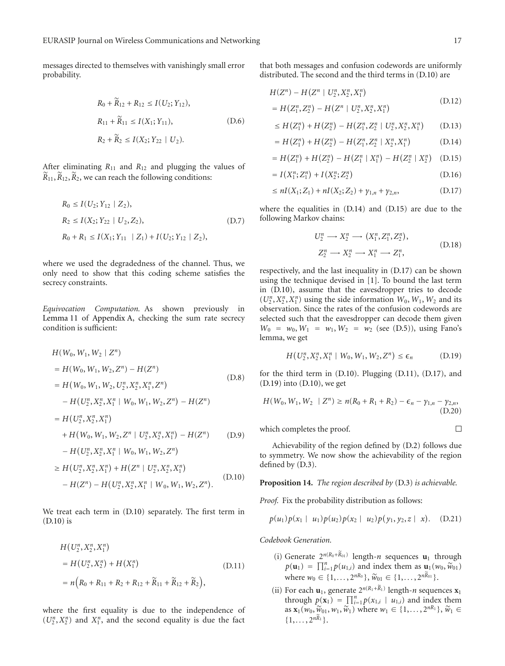messages directed to themselves with vanishingly small error probability.

$$
R_0 + \tilde{R}_{12} + R_{12} \le I(U_2; Y_{12}),
$$
  
\n
$$
R_{11} + \tilde{R}_{11} \le I(X_1; Y_{11}),
$$
  
\n
$$
R_2 + \tilde{R}_2 \le I(X_2; Y_{22} | U_2).
$$
  
\n(D.6)

After eliminating  $R_{11}$  and  $R_{12}$  and plugging the values of  $\widetilde{R}_{11}, \widetilde{R}_{12}, \widetilde{R}_2$ , we can reach the following conditions:

$$
R_0 \le I(U_2; Y_{12} \mid Z_2),
$$
  
\n
$$
R_2 \le I(X_2; Y_{22} \mid U_2, Z_2),
$$
  
\n
$$
R_0 + R_1 \le I(X_1; Y_{11} \mid Z_1) + I(U_2; Y_{12} \mid Z_2),
$$
  
\n(D.7)

where we used the degradedness of the channel. Thus, we only need to show that this coding scheme satisfies the secrecy constraints.

*Equivocation Computation.* As shown previously in Lemma 11 of Appendix A, checking the sum rate secrecy condition is sufficient:

$$
H(W_0, W_1, W_2 | Z^n)
$$
  
=  $H(W_0, W_1, W_2, Z^n) - H(Z^n)$   
=  $H(W_0, W_1, W_2, U_2^n, X_2^n, X_1^n, Z^n)$   
 $- H(U_2^n, X_2^n, X_1^n | W_0, W_1, W_2, Z^n) - H(Z^n)$   
=  $H(U_2^n, X_2^n, X_1^n)$   
+  $H(W_0, W_1, W_2, Z^n | U_2^n, X_2^n, X_1^n) - H(Z^n)$  (D.9)  
 $- H(U_2^n, X_2^n, X_1^n | W_0, W_1, W_2, Z^n)$ 

$$
\geq H(U_2^n, X_2^n, X_1^n) + H(Z^n \mid U_2^n, X_2^n, X_1^n)
$$
  
- H(Z<sup>n</sup>) - H(U\_2^n, X\_2^n, X\_1^n \mid W\_0, W\_1, W\_2, Z^n). (D.10)

We treat each term in (D.10) separately. The first term in (D.10) is

$$
H(U_2^n, X_2^n, X_1^n)
$$
  
=  $H(U_2^n, X_2^n) + H(X_1^n)$   
=  $n(R_0 + R_{11} + R_2 + R_{12} + \widetilde{R}_{11} + \widetilde{R}_{12} + \widetilde{R}_2),$  (D.11)

where the first equality is due to the independence of  $(U_2^n, X_2^n)$  and  $X_1^n$ , and the second equality is due the fact

that both messages and confusion codewords are uniformly distributed. The second and the third terms in (D.10) are

$$
H(Z^n) - H(Z^n \mid U_2^n, X_2^n, X_1^n)
$$
  
=  $H(Z_1^n, Z_2^n) - H(Z^n \mid U_2^n, X_2^n, X_1^n)$  (D.12)

$$
\leq H(Z_1^n) + H(Z_2^n) - H(Z_1^n, Z_2^n \mid U_2^n, X_2^n, X_1^n) \tag{D.13}
$$

$$
= H(Z_1^n) + H(Z_2^n) - H(Z_1^n, Z_2^n \mid X_2^n, X_1^n) \tag{D.14}
$$

$$
= H(Z_1^n) + H(Z_2^n) - H(Z_1^n \mid X_1^n) - H(Z_2^n \mid X_2^n) \quad (D.15)
$$

$$
= I(X_1^n; Z_1^n) + I(X_2^n; Z_2^n) \tag{D.16}
$$

$$
\leq nI(X_1; Z_1) + nI(X_2; Z_2) + \gamma_{1,n} + \gamma_{2,n}, \tag{D.17}
$$

where the equalities in (D.14) and (D.15) are due to the following Markov chains:

$$
U_2^n \longrightarrow X_2^n \longrightarrow (X_1^n, Z_1^n, Z_2^n),
$$
  
\n
$$
Z_2^n \longrightarrow X_2^n \longrightarrow X_1^n \longrightarrow Z_1^n,
$$
  
\n(D.18)

respectively, and the last inequality in (D.17) can be shown using the technique devised in [1]. To bound the last term in (D.10), assume that the eavesdropper tries to decode  $(U_2^n, X_2^n, X_1^n)$  using the side information  $W_0, W_1, W_2$  and its observation. Since the rates of the confusion codewords are selected such that the eavesdropper can decode them given  $W_0 = w_0, W_1 = w_1, W_2 = w_2$  (see (D.5)), using Fano's lemma, we get

$$
H(U_2^n, X_2^n, X_1^n \mid W_0, W_1, W_2, Z^n) \le \epsilon_n \tag{D.19}
$$

for the third term in (D.10). Plugging (D.11), (D.17), and (D.19) into (D.10), we get

$$
H(W_0, W_1, W_2 | Z^n) \ge n(R_0 + R_1 + R_2) - \epsilon_n - \gamma_{1,n} - \gamma_{2,n},
$$
\n(D.20)

which completes the proof.

Achievability of the region defined by (D.2) follows due to symmetry. We now show the achievability of the region defined by (D.3).

**Proposition 14.** *The region described by* (D.3) *is achievable.*

*Proof.* Fix the probability distribution as follows:

$$
p(u_1)p(x_1 \mid u_1)p(u_2)p(x_2 \mid u_2)p(y_1, y_2, z \mid x). \quad (D.21)
$$

*Codebook Generation.*

- (i) Generate  $2^{n(R_0+\widetilde{R}_{01})}$  length-*n* sequences  $\mathbf{u}_1$  through  $p(\mathbf{u}_1) = \prod_{i=1}^n p(u_{1,i})$  and index them as  $\mathbf{u}_1(w_0, \widetilde{w}_{01})$ where  $w_0 \in \{1, \ldots, 2^{nR_0}\}, \widetilde{w}_{01} \in \{1, \ldots, 2^{n\widetilde{R}_{01}}\}.$
- (ii) For each  $\mathbf{u}_1$ , generate  $2^{n(R_1+\tilde{R}_1)}$  length-*n* sequences  $\mathbf{x}_1$ through  $p(\mathbf{x}_1) = \prod_{i=1}^n p(x_{1,i} | u_{1,i})$  and index them as  $\mathbf{x}_1(w_0, \widetilde{w}_{01}, w_1, \widetilde{w}_1)$  where  $w_1 \in \{1, ..., 2^{nR_1}\}, \widetilde{w}_1 \in$  $\{1, \ldots, 2^{n\tilde{R}_1}\}.$

 $\Box$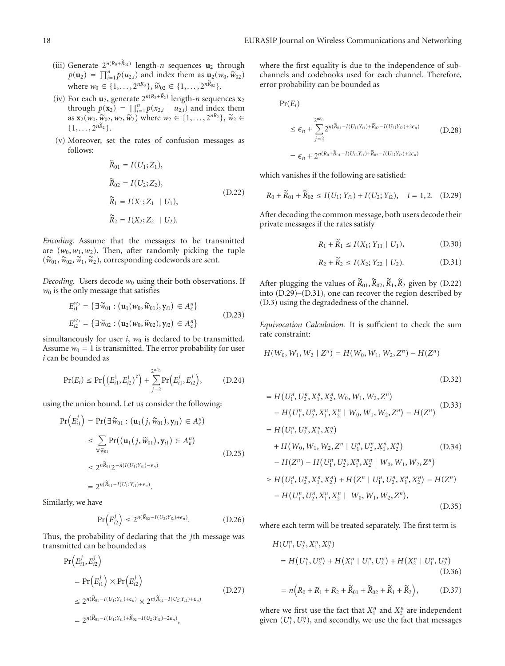- (iii) Generate  $2^{n(R_0+\widetilde{R}_{02})}$  length-*n* sequences  $\mathbf{u}_2$  through  $p(\mathbf{u}_2) = \prod_{i=1}^n p(u_{2,i})$  and index them as  $\mathbf{u}_2(w_0, \widetilde{w}_{02})$ where  $w_0 \in \{1, \ldots, 2^{nR_0}\}, \widetilde{w}_{02} \in \{1, \ldots, 2^{n\widetilde{R}_{02}}\}.$
- (iv) For each  $\mathbf{u}_2$ , generate  $2^{n(R_2+\widetilde{R}_2)}$  length-*n* sequences  $\mathbf{x}_2$ through  $p(\mathbf{x}_2) = \prod_{i=1}^n p(x_{2,i} | u_{2,i})$  and index them as  $\mathbf{x}_2(w_0, \widetilde{w}_{02}, w_2, \widetilde{w}_2)$  where  $w_2 \in \{1, ..., 2^{nR_2}\}, \widetilde{w}_2$  ∈  $\{1, \ldots, 2^{n\widetilde{R}_2}\}.$
- (v) Moreover, set the rates of confusion messages as follows:

$$
\widetilde{R}_{01} = I(U_1; Z_1),
$$
\n
$$
\widetilde{R}_{02} = I(U_2; Z_2),
$$
\n
$$
\widetilde{R}_1 = I(X_1; Z_1 \mid U_1),
$$
\n
$$
\widetilde{R}_2 = I(X_2; Z_2 \mid U_2).
$$
\n(10.22)

*Encoding.* Assume that the messages to be transmitted are  $(w_0, w_1, w_2)$ . Then, after randomly picking the tuple  $(\widetilde{w}_{01}, \widetilde{w}_{02}, \widetilde{w}_1, \widetilde{w}_2)$ , corresponding codewords are sent.

*Decoding.* Users decode  $w_0$  using their both observations. If  $w<sub>0</sub>$  is the only message that satisfies

$$
E_{i1}^{w_0} = \{ \exists \widetilde{w}_{01} : (\mathbf{u}_1(w_0, \widetilde{w}_{01}), \mathbf{y}_{i1}) \in A_{\epsilon}^n \}
$$
  
\n
$$
E_{i2}^{w_0} = \{ \exists \widetilde{w}_{02} : (\mathbf{u}_2(w_0, \widetilde{w}_{02}), \mathbf{y}_{i2}) \in A_{\epsilon}^n \}
$$
\n(D.23)

simultaneously for user  $i$ ,  $w_0$  is declared to be transmitted. Assume  $w_0 = 1$  is transmitted. The error probability for user *i* can be bounded as

$$
Pr(E_i) \le Pr\left(\left(E_{i1}^1, E_{i2}^1\right)^c\right) + \sum_{j=2}^{2^{nR_0}} Pr\left(E_{i1}^j, E_{i2}^j\right),\tag{D.24}
$$

using the union bound. Let us consider the following:

$$
\Pr(E_{i1}^j) = \Pr(\exists \widetilde{w}_{01} : (\mathbf{u}_1(j, \widetilde{w}_{01}), \mathbf{y}_{i1}) \in A_{\epsilon}^n)
$$
  
\n
$$
\leq \sum_{\forall \widetilde{w}_{01}} \Pr((\mathbf{u}_1(j, \widetilde{w}_{01}), \mathbf{y}_{i1}) \in A_{\epsilon}^n)
$$
  
\n
$$
\leq 2^{n\widetilde{R}_{01}} 2^{-n(I(U_1; Y_{i1}) - \epsilon_n)}
$$
  
\n
$$
= 2^{n(\widetilde{R}_{01} - I(U_1; Y_{i1}) + \epsilon_n)}.
$$
  
\n(D.25)

Similarly, we have

$$
\Pr\left(E_{i2}^j\right) \le 2^{n(\widetilde{R}_{02} - I(U_2; Y_{i2}) + \epsilon_n)}.\tag{D.26}
$$

Thus, the probability of declaring that the *j*th message was transmitted can be bounded as

$$
Pr(E_{i1}^j, E_{i2}^j)
$$
  
=  $Pr(E_{i1}^j) \times Pr(E_{i2}^j)$   
 $\leq 2^{n(\widetilde{R}_{01} - I(U_1; Y_{i1}) + \epsilon_n)} \times 2^{n(\widetilde{R}_{02} - I(U_2; Y_{i2}) + \epsilon_n)}$   
=  $2^{n(\widetilde{R}_{01} - I(U_1; Y_{i1}) + \widetilde{R}_{02} - I(U_2; Y_{i2}) + 2\epsilon_n)}$ , (D.27)

where the first equality is due to the independence of subchannels and codebooks used for each channel. Therefore, error probability can be bounded as

$$
\Pr(E_i)
$$

$$
\leq \epsilon_n + \sum_{j=2}^{2^{nR_0}} 2^{n(\widetilde{R}_{01} - I(U_1; Y_{i1}) + \widetilde{R}_{02} - I(U_2; Y_{i2}) + 2\epsilon_n)}
$$
(D.28)  
=  $\epsilon_n + 2^{n(R_0 + \widetilde{R}_{01} - I(U_1; Y_{i1}) + \widetilde{R}_{02} - I(U_2; Y_{i2}) + 2\epsilon_n)}$ 

which vanishes if the following are satisfied:

$$
R_0 + \widetilde{R}_{01} + \widetilde{R}_{02} \le I(U_1; Y_{i1}) + I(U_2; Y_{i2}), \quad i = 1, 2. \quad (D.29)
$$

After decoding the common message, both users decode their private messages if the rates satisfy

$$
R_1 + \widetilde{R}_1 \le I(X_1; Y_{11} \mid U_1), \tag{D.30}
$$

$$
R_2 + \widetilde{R}_2 \le I(X_2; Y_{22} \mid U_2). \tag{D.31}
$$

After plugging the values of  $\widetilde{R}_{01}$ ,  $\widetilde{R}_{02}$ ,  $\widetilde{R}_{1}$ ,  $\widetilde{R}_{2}$  given by (D.22) into (D.29)–(D.31), one can recover the region described by (D.3) using the degradedness of the channel.

*Equivocation Calculation.* It is sufficient to check the sum rate constraint:

$$
H(W_0, W_1, W_2 | Z^n) = H(W_0, W_1, W_2, Z^n) - H(Z^n)
$$

$$
(D.32)
$$

$$
= H(U_1^n, U_2^n, X_1^n, X_2^n, W_0, W_1, W_2, Z^n)
$$
\n
$$
- H(U_1^n, U_2^n, X_1^n, X_2^n | W_0, W_1, W_2, Z^n) - H(Z^n)
$$
\n
$$
= H(U_1^n, U_2^n, X_1^n, X_2^n)
$$
\n
$$
+ H(W_0, W_1, W_2, Z^n | U_1^n, U_2^n, X_1^n, X_2^n)
$$
\n
$$
- H(Z^n) - H(U_1^n, U_2^n, X_1^n, X_2^n | W_0, W_1, W_2, Z^n)
$$
\n
$$
\geq H(U_1^n, U_2^n, X_1^n, X_2^n) + H(Z^n | U_1^n, U_2^n, X_1^n, X_2^n) - H(Z^n)
$$
\n
$$
- H(U_1^n, U_2^n, X_1^n, X_2^n | W_0, W_1, W_2, Z^n),
$$
\n(D.35)

where each term will be treated separately. The first term is

$$
H(U_1^n, U_2^n, X_1^n, X_2^n)
$$
  
=  $H(U_1^n, U_2^n) + H(X_1^n | U_1^n, U_2^n) + H(X_2^n | U_1^n, U_2^n)$   
(D.36)

$$
= n(R_0 + R_1 + R_2 + \widetilde{R}_{01} + \widetilde{R}_{02} + \widetilde{R}_1 + \widetilde{R}_2), \qquad (D.37)
$$

where we first use the fact that  $X_1^n$  and  $X_2^n$  are independent given  $(U_1^n, U_2^n)$ , and secondly, we use the fact that messages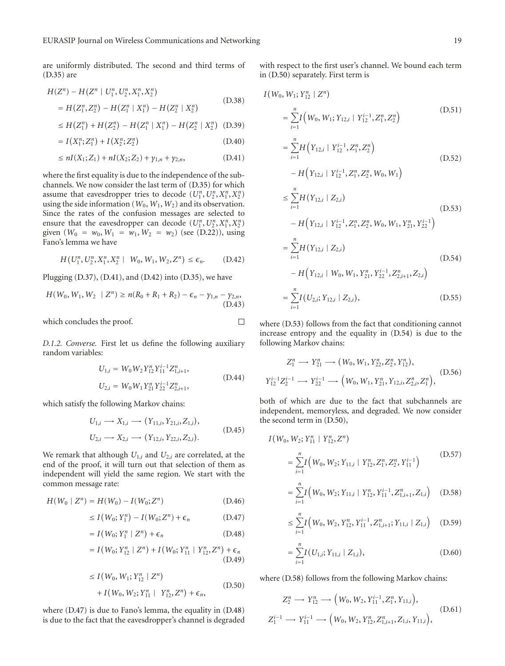are uniformly distributed. The second and third terms of (D.35) are

$$
H(Z^n) - H(Z^n \mid U_1^n, U_2^n, X_1^n, X_2^n)
$$
  
= 
$$
H(Z_1^n, Z_2^n) - H(Z_1^n \mid X_1^n) - H(Z_2^n \mid X_2^n)
$$
 (D.38)

$$
\leq H(Z_1^n) + H(Z_2^n) - H(Z_1^n \mid X_1^n) - H(Z_2^n \mid X_2^n) \quad \text{(D.39)}
$$

$$
= I(X_1^n; Z_1^n) + I(X_2^n; Z_2^n) \tag{D.40}
$$

$$
\leq nI(X_1; Z_1) + nI(X_2; Z_2) + \gamma_{1,n} + \gamma_{2,n}, \tag{D.41}
$$

where the first equality is due to the independence of the subchannels. We now consider the last term of (D.35) for which assume that eavesdropper tries to decode  $(U_1^n, U_2^n, X_1^n, X_2^n)$ using the side information ( $W_0$ ,  $W_1$ ,  $W_2$ ) and its observation. Since the rates of the confusion messages are selected to ensure that the eavesdropper can decode  $(U_1^n, U_2^n, X_1^n, X_2^n)$ given ( $W_0 = w_0, W_1 = w_1, W_2 = w_2$ ) (see (D.22)), using Fano's lemma we have

$$
H(U_1^n, U_2^n, X_1^n, X_2^n \mid W_0, W_1, W_2, Z^n) \le \epsilon_n. \tag{D.42}
$$

Plugging (D.37), (D.41), and (D.42) into (D.35), we have

$$
H(W_0, W_1, W_2 | Z^n) \ge n(R_0 + R_1 + R_2) - \epsilon_n - \gamma_{1,n} - \gamma_{2,n},
$$
\n(D.43)

which concludes the proof.

*D.1.2. Converse.* First let us define the following auxiliary random variables:

$$
U_{1,i} = W_0 W_2 Y_{12}^n Y_{11}^{i-1} Z_{1,i+1}^n,
$$
  
\n
$$
U_{2,i} = W_0 W_1 Y_{21}^n Y_{22}^{i-1} Z_{2,i+1}^n,
$$
\n(D.44)

 $\Box$ 

which satisfy the following Markov chains:

$$
U_{1,i} \longrightarrow X_{1,i} \longrightarrow (Y_{11,i}, Y_{21,i}, Z_{1,i}),
$$
  
\n
$$
U_{2,i} \longrightarrow X_{2,i} \longrightarrow (Y_{12,i}, Y_{22,i}, Z_{2,i}).
$$
 (D.45)

We remark that although  $U_{1,i}$  and  $U_{2,i}$  are correlated, at the end of the proof, it will turn out that selection of them as independent will yield the same region. We start with the common message rate:

$$
H(W_0 | Z^n) = H(W_0) - I(W_0; Z^n)
$$
 (D.46)

$$
\leq I(W_0; Y_1^n) - I(W_0; Z^n) + \epsilon_n \tag{D.47}
$$

$$
= I(W_0; Y_1^n \mid Z^n) + \epsilon_n \tag{D.48}
$$

$$
= I(W_0; Y_{12}^n \mid Z^n) + I(W_0; Y_{11}^n \mid Y_{12}^n, Z^n) + \epsilon_n
$$
\n(D.49)

$$
\leq I(W_0, W_1; Y_{12}^n | Z^n)
$$
  
+  $I(W_0, W_2; Y_{11}^n | Y_{12}^n, Z^n) + \epsilon_n,$  (D.50)

where (D.47) is due to Fano's lemma, the equality in (D.48) is due to the fact that the eavesdropper's channel is degraded with respect to the first user's channel. We bound each term in (D.50) separately. First term is

$$
I(W_0, W_1; Y_{12}^n | Z^n)
$$
  
=  $\sum_{i=1}^n I(W_0, W_1; Y_{12,i} | Y_{12}^{i-1}, Z_1^n, Z_2^n)$   
=  $\sum_{i=1}^n H(Y_{12,i} | Y_{12}^{i-1}, Z_1^n, Z_2^n)$  (D.52)

$$
- H(Y_{12,i} | Y_{12}^{i-1}, Z_1^n, Z_2^n, W_0, W_1)
$$
  
\n
$$
\leq \sum_{i=1}^n H(Y_{12,i} | Z_{2,i})
$$
  
\n
$$
- H(Y_{12,i} | Y_{12}^{i-1}, Z_1^n, Z_2^n, W_0, W_1, Y_{21}^n, Y_{22}^{i-1})
$$
  
\n
$$
= \sum_{i=1}^n H(Y_{12,i} | Z_{2,i})
$$
  
\n
$$
- H(Y_{12,i} | W_0, W_1, Y_{21}^n, Y_{22}^{i-1}, Z_{2,i+1}^n, Z_{2,i})
$$
  
\n
$$
= \sum_{i=1}^n I(U_{2,i}; Y_{12,i} | Z_{2,i}),
$$
\n(D.55)

where (D.53) follows from the fact that conditioning cannot increase entropy and the equality in (D.54) is due to the following Markov chains:

$$
Z_1^n \longrightarrow Y_{21}^n \longrightarrow (W_0, W_1, Y_{22}^n, Z_2^n, Y_{12}^n),
$$
  
\n
$$
Y_{12}^{i-1} Z_2^{i-1} \longrightarrow Y_{22}^{i-1} \longrightarrow (W_0, W_1, Y_{21}^n, Y_{12,i}, Z_{2,i}^n, Z_1^n),
$$
 (D.56)

both of which are due to the fact that subchannels are independent, memoryless, and degraded. We now consider the second term in (D.50),

$$
I(W_0, W_2; Y_{11}^n | Y_{12}^n, Z^n)
$$
  
= 
$$
\sum_{i=1}^n I(W_0, W_2; Y_{11,i} | Y_{12}^n, Z_1^n, Z_2^n, Y_{11}^{i-1})
$$
 (D.57)

$$
= \sum_{i=1}^{n} I(W_0, W_2; Y_{11,i} | Y_{12}^n, Y_{11}^{i-1}, Z_{1,i+1}^n, Z_{1,i})
$$
 (D.58)

$$
\leq \sum_{i=1}^{n} I(W_0, W_2, Y_{12}^n, Y_{11}^{i-1}, Z_{1,i+1}^n; Y_{11,i} | Z_{1,i}) \quad (D.59)
$$

$$
= \sum_{i=1}^{n} I(U_{1,i}; Y_{11,i} | Z_{1,i}), \tag{D.60}
$$

where (D.58) follows from the following Markov chains:

$$
Z_2^n \longrightarrow Y_{12}^n \longrightarrow (W_0, W_2, Y_{11}^{i-1}, Z_1^n, Y_{11,i}),
$$
  
\n
$$
Z_1^{i-1} \longrightarrow Y_{11}^{i-1} \longrightarrow (W_0, W_2, Y_{12}^n, Z_{1,i+1}^n, Z_{1,i}, Y_{11,i}),
$$
\n(D.61)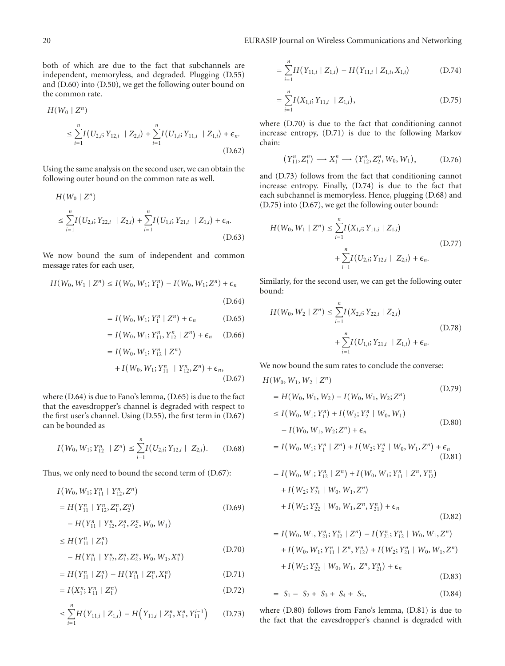both of which are due to the fact that subchannels are independent, memoryless, and degraded. Plugging (D.55) and (D.60) into (D.50), we get the following outer bound on the common rate.

$$
H(W_0 | Z^n)
$$
  
\n
$$
\leq \sum_{i=1}^n I(U_{2,i}; Y_{12,i} | Z_{2,i}) + \sum_{i=1}^n I(U_{1,i}; Y_{11,i} | Z_{1,i}) + \epsilon_n.
$$
  
\n(D.62)

Using the same analysis on the second user, we can obtain the following outer bound on the common rate as well.

$$
H(W_0 | Z^n)
$$
  
\n
$$
\leq \sum_{i=1}^n I(U_{2,i}; Y_{22,i} | Z_{2,i}) + \sum_{i=1}^n I(U_{1,i}; Y_{21,i} | Z_{1,i}) + \epsilon_n.
$$
  
\n(D.63)

We now bound the sum of independent and common message rates for each user,

$$
H(W_0, W_1 | Z^n) \le I(W_0, W_1; Y_1^n) - I(W_0, W_1; Z^n) + \epsilon_n
$$

(D.64)

$$
= I(W_0, W_1; Y_1^n \mid Z^n) + \epsilon_n \tag{D.65}
$$

$$
= I(W_0, W_1; Y_{11}^n, Y_{12}^n \mid Z^n) + \epsilon_n \quad (D.66)
$$

$$
= I(W_0, W_1; Y_{12}^n | Z^n)
$$
  
+  $I(W_0, W_1; Y_{11}^n | Y_{12}^n, Z^n) + \epsilon_n,$  (D.67)

where (D.64) is due to Fano's lemma, (D.65) is due to the fact that the eavesdropper's channel is degraded with respect to the first user's channel. Using (D.55), the first term in (D.67) can be bounded as

$$
I(W_0, W_1; Y_{12}^n \mid Z^n) \leq \sum_{i=1}^n I(U_{2,i}; Y_{12,i} \mid Z_{2,i}). \qquad (D.68)
$$

Thus, we only need to bound the second term of (D.67):

$$
I(W_0, W_1; Y_{11}^n | Y_{12}^n, Z^n)
$$
  
=  $H(Y_{11}^n | Y_{12}^n, Z_1^n, Z_2^n)$  (D.69)

$$
- H(Y_{11}^n \mid Y_{12}^n, Z_1^n, Z_2^n, W_0, W_1)
$$

$$
\leq H(Y_{11}^n \mid Z_1^n) \tag{D.70}
$$

$$
- H(Y_{11}^n | Y_{12}^n, Z_1^n, Z_2^n, W_0, W_1, X_1^n)
$$

$$
= H(Y_{11}^n \mid Z_1^n) - H(Y_{11}^n \mid Z_1^n, X_1^n) \tag{D.71}
$$

$$
= I(X_1^n; Y_{11}^n \mid Z_1^n) \tag{D.72}
$$

$$
\leq \sum_{i=1}^{n} H(Y_{11,i} \mid Z_{1,i}) - H(Y_{11,i} \mid Z_1^n, X_1^n, Y_{11}^{i-1}) \qquad (D.73)
$$

$$
= \sum_{i=1}^{n} H(Y_{11,i} | Z_{1,i}) - H(Y_{11,i} | Z_{1,i}, X_{1,i})
$$
 (D.74)

$$
= \sum_{i=1}^{n} I(X_{1,i}; Y_{11,i} | Z_{1,i}), \tag{D.75}
$$

where (D.70) is due to the fact that conditioning cannot increase entropy, (D.71) is due to the following Markov chain:

$$
(Y_{11}^n, Z_1^n) \longrightarrow X_1^n \longrightarrow (Y_{12}^n, Z_2^n, W_0, W_1), \tag{D.76}
$$

and (D.73) follows from the fact that conditioning cannot increase entropy. Finally, (D.74) is due to the fact that each subchannel is memoryless. Hence, plugging (D.68) and (D.75) into (D.67), we get the following outer bound:

$$
H(W_0, W_1 | Z^n) \le \sum_{i=1}^n I(X_{1,i}; Y_{11,i} | Z_{1,i}) + \sum_{i=1}^n I(U_{2,i}; Y_{12,i} | Z_{2,i}) + \epsilon_n.
$$
 (D.77)

Similarly, for the second user, we can get the following outer bound:

$$
H(W_0, W_2 | Z^n) \le \sum_{i=1}^n I(X_{2,i}; Y_{22,i} | Z_{2,i}) + \sum_{i=1}^n I(U_{1,i}; Y_{21,i} | Z_{1,i}) + \epsilon_n.
$$
 (D.78)

We now bound the sum rates to conclude the converse:

$$
H(W_0, W_1, W_2 | Z^n)
$$
\n
$$
= H(W_0, W_1, W_2) - I(W_0, W_1, W_2; Z^n)
$$
\n
$$
\leq I(W_0, W_1; Y_1^n) + I(W_2; Y_2^n | W_0, W_1)
$$
\n
$$
- I(W_0, W_1, W_2; Z^n) + \epsilon_n
$$
\n
$$
= I(W_0, W_1; Y_1^n | Z^n) + I(W_2; Y_2^n | W_0, W_1, Z^n) + \epsilon_n
$$
\n
$$
= I(W_0, W_1; Y_1^n | Z^n) + I(W_0, W_1; Y_{11}^n | Z^n, Y_{12}^n)
$$
\n
$$
= I(W_0, W_1; Y_{12}^n | Z^n) + I(W_0, W_1; Y_{11}^n | Z^n, Y_{12}^n)
$$
\n
$$
(D.81)
$$

$$
= I(W_0, W_1; Y_{12}^n | Z^n) + I(W_0, W_1; Y_{11}^n | Z^n, Y_{12}^n)
$$
  
+ 
$$
I(W_2; Y_{21}^n | W_0, W_1, Z^n)
$$
  
+ 
$$
I(W_2; Y_{22}^n | W_0, W_1, Z^n, Y_{21}^n) + \epsilon_n
$$
 (D.82)

$$
= I(W_0, W_1, Y_{21}^n; Y_{12}^n | Z^n) - I(Y_{21}^n; Y_{12}^n | W_0, W_1, Z^n)
$$
  
+ 
$$
I(W_0, W_1; Y_{11}^n | Z^n, Y_{12}^n) + I(W_2; Y_{21}^n | W_0, W_1, Z^n)
$$
  
+ 
$$
I(W_2; Y_{22}^n | W_0, W_1, Z^n, Y_{21}^n) + \epsilon_n
$$
 (D.83)

$$
= S_1 - S_2 + S_3 + S_4 + S_5, \tag{D.84}
$$

where (D.80) follows from Fano's lemma, (D.81) is due to the fact that the eavesdropper's channel is degraded with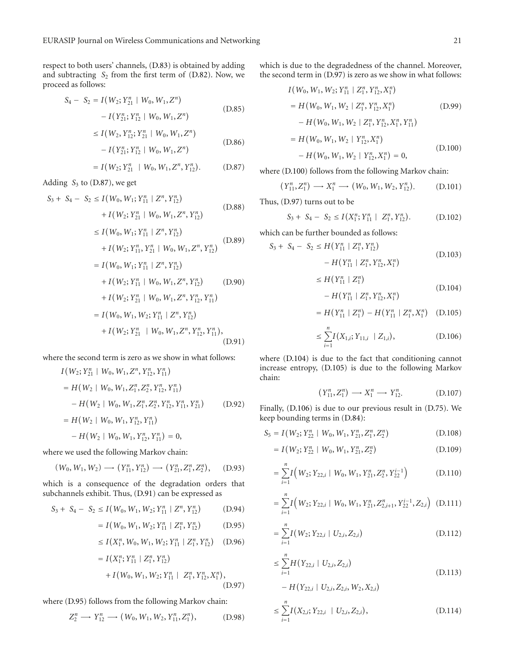respect to both users' channels, (D.83) is obtained by adding and subtracting  $S_2$  from the first term of (D.82). Now, we proceed as follows:

$$
S_4 - S_2 = I(W_2; Y_{21}^n | W_0, W_1, Z^n)
$$
  
-  $I(Y_{21}^n; Y_{12}^n | W_0, W_1, Z^n)$  (D.85)

$$
\leq I(W_2, Y_{12}^n; Y_{21}^n \mid W_0, W_1, Z^n)
$$
  
-  $I(Y_{21}^n; Y_{12}^n \mid W_0, W_1, Z^n)$  (D.86)

$$
= I(W_2; Y_{21}^n \mid W_0, W_1, Z^n, Y_{12}^n). \tag{D.87}
$$

Adding  $S_3$  to (D.87), we get

$$
S_3 + S_4 - S_2 \le I(W_0, W_1; Y_{11}^n | Z^n, Y_{12}^n)
$$
  
+  $I(W_2; Y_{21}^n | W_0, W_1, Z^n, Y_{12}^n)$  (D.88)

$$
\leq I(W_0, W_1; Y_{11}^n \mid Z^n, Y_{12}^n)
$$
\n
$$
+ I(W_2; Y_{11}^n, Y_{21}^n \mid W_0, W_1, Z^n, Y_{12}^n)
$$
\n
$$
= I(W_0, W_1; Y_{11}^n \mid Z^n, Y_{12}^n)
$$
\n
$$
+ I(W_2; Y_{11}^n \mid W_0, W_1, Z^n, Y_{12}^n)
$$
\n
$$
+ I(W_2; Y_{21}^n \mid W_0, W_1, Z^n, Y_{12}^n, Y_{11}^n)
$$
\n
$$
= I(W_0, W_1, W_2; Y_{11}^n \mid Z^n, Y_{12}^n)
$$
\n
$$
+ I(W_2; Y_{21}^n \mid W_0, W_1, Z^n, Y_{12}^n, Y_{11}^n),
$$
\n(D.91)

where the second term is zero as we show in what follows:

$$
I(W_2; Y_{21}^n | W_0, W_1, Z^n, Y_{12}^n, Y_{11}^n)
$$
  
=  $H(W_2 | W_0, W_1, Z_1^n, Z_2^n, Y_{12}^n, Y_{11}^n)$   
-  $H(W_2 | W_0, W_1, Z_1^n, Z_2^n, Y_{12}^n, Y_{11}^n, Y_{21}^n)$  (D.92)  
=  $H(W_2 | W_0, W_1, Y_{12}^n, Y_{11}^n)$   
-  $H(W_2 | W_0, W_1, Y_{12}^n, Y_{11}^n) = 0$ ,

where we used the following Markov chain:

$$
(W_0, W_1, W_2) \longrightarrow (Y_{11}^n, Y_{12}^n) \longrightarrow (Y_{21}^n, Z_1^n, Z_2^n), \quad (D.93)
$$

which is a consequence of the degradation orders that subchannels exhibit. Thus, (D.91) can be expressed as

$$
S_3 + S_4 - S_2 \le I(W_0, W_1, W_2; Y_{11}^n \mid Z^n, Y_{12}^n)
$$
 (D.94)

$$
= I(W_0, W_1, W_2; Y_{11}^n \mid Z_1^n, Y_{12}^n) \tag{D.95}
$$

$$
\leq I(X_1^n, W_0, W_1, W_2; Y_{11}^n \mid Z_1^n, Y_{12}^n) \quad (D.96)
$$

$$
= I(X_1^n; Y_{11}^n | Z_1^n, Y_{12}^n)
$$
  
+  $I(W_0, W_1, W_2; Y_{11}^n | Z_1^n, Y_{12}^n, X_1^n),$  (D.97)

where (D.95) follows from the following Markov chain:

$$
Z_2^n \longrightarrow Y_{12}^n \longrightarrow (W_0, W_1, W_2, Y_{11}^n, Z_1^n), \tag{D.98}
$$

which is due to the degradedness of the channel. Moreover, the second term in (D.97) is zero as we show in what follows:

$$
I(W_0, W_1, W_2; Y_{11}^n | Z_1^n, Y_{12}^n, X_1^n)
$$
  
=  $H(W_0, W_1, W_2 | Z_1^n, Y_{12}^n, X_1^n)$  (D.99)  
-  $H(W_0, W_1, W_2 | Z_1^n, Y_{12}^n, X_1^n, Y_{11}^n)$   
=  $H(W_0, W_1, W_2 | Y_{12}^n, X_1^n)$   
-  $H(W_0, W_1, W_2 | Y_{12}^n, X_1^n) = 0,$  (D.100)

where (D.100) follows from the following Markov chain:

$$
(Y_{11}^n, Z_1^n) \longrightarrow X_1^n \longrightarrow (W_0, W_1, W_2, Y_{12}^n). \tag{D.101}
$$

Thus, (D.97) turns out to be

$$
S_3 + S_4 - S_2 \le I(X_1^n; Y_{11}^n \mid Z_1^n, Y_{12}^n). \tag{D.102}
$$

which can be further bounded as follows:

$$
S_3 + S_4 - S_2 \le H(Y_{11}^n | Z_1^n, Y_{12}^n)
$$
  
- H(Y\_{11}^n | Z\_1^n, Y\_{12}^n, X\_1^n) (D.103)

$$
\leq H(Y_{11}^n | Z_1^n)
$$
  
- H(Y\_{11}^n | Z\_1^n, Y\_{12}^n, X\_1^n) (D.104)

$$
=H(Y_{11}^n \mid Z_1^n) - H(Y_{11}^n \mid Z_1^n, X_1^n) \quad (D.105)
$$

$$
\leq \sum_{i=1}^{n} I(X_{1,i}; Y_{11,i} | Z_{1,i}), \tag{D.106}
$$

where (D.104) is due to the fact that conditioning cannot increase entropy, (D.105) is due to the following Markov chain:

$$
(Y_{11}^n, Z_1^n) \longrightarrow X_1^n \longrightarrow Y_{12}^n. \tag{D.107}
$$

Finally, (D.106) is due to our previous result in (D.75). We keep bounding terms in (D.84):

$$
S_5 = I(W_2; Y_{22}^n \mid W_0, W_1, Y_{21}^n, Z_1^n, Z_2^n)
$$
 (D.108)

$$
= I(W_2; Y_{22}^n \mid W_0, W_1, Y_{21}^n, Z_2^n) \tag{D.109}
$$

$$
= \sum_{i=1}^{n} I(W_2; Y_{22,i} | W_0, W_1, Y_{21}^n, Z_2^n, Y_{22}^{i-1})
$$
 (D.110)

$$
= \sum_{i=1}^{n} I(W_2; Y_{22,i} | W_0, W_1, Y_{21}^n, Z_{2,i+1}^n, Y_{22}^{i-1}, Z_{2,i})
$$
 (D.111)

$$
= \sum_{i=1}^{n} I(W_2; Y_{22,i} | U_{2,i}, Z_{2,i})
$$
 (D.112)

$$
\leq \sum_{i=1}^{n} H(Y_{22,i} | U_{2,i}, Z_{2,i})
$$
  
- H(Y\_{22,i} | U\_{2,i}, Z\_{2,i}, W\_2, X\_{2,i}) (D.113)

$$
\leq \sum_{i=1}^{n} I(X_{2,i}; Y_{22,i} \mid U_{2,i}, Z_{2,i}), \tag{D.114}
$$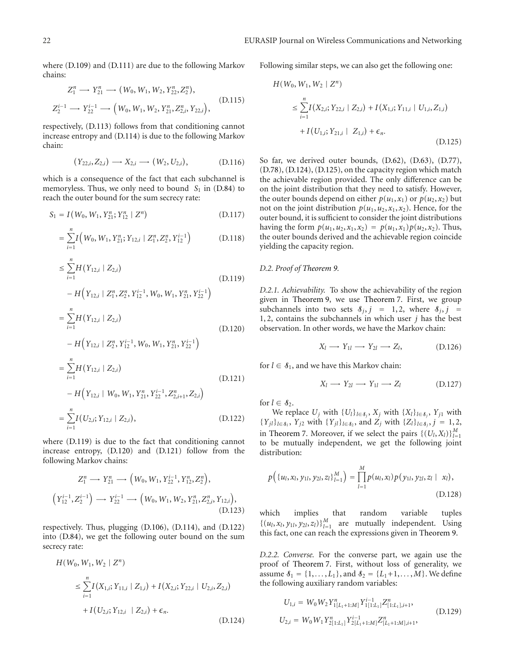where (D.109) and (D.111) are due to the following Markov chains:

$$
Z_1^n \longrightarrow Y_{21}^n \longrightarrow (W_0, W_1, W_2, Y_{22}^n, Z_2^n),
$$
  
\n
$$
Z_2^{i-1} \longrightarrow Y_{22}^{i-1} \longrightarrow (W_0, W_1, W_2, Y_{21}^n, Z_{2,i}^n, Y_{22,i}),
$$
 (D.115)

respectively, (D.113) follows from that conditioning cannot increase entropy and (D.114) is due to the following Markov chain:

$$
(Y_{22,i}, Z_{2,i}) \longrightarrow X_{2,i} \longrightarrow (W_2, U_{2,i}), \tag{D.116}
$$

which is a consequence of the fact that each subchannel is memoryless. Thus, we only need to bound  $S_1$  in (D.84) to reach the outer bound for the sum secrecy rate:

$$
S_1 = I(W_0, W_1, Y_{21}^n; Y_{12}^n \mid Z^n)
$$
 (D.117)

$$
= \sum_{i=1}^{n} I(W_0, W_1, Y_{21}^n; Y_{12,i} | Z_1^n, Z_2^n, Y_{12}^{i-1})
$$
 (D.118)

$$
\leq \sum_{i=1}^{n} H(Y_{12,i} | Z_{2,i})
$$
\n
$$
- H(Y_{12,i} | Z_1^n, Z_2^n, Y_{12}^{i-1}, W_0, W_1, Y_{21}^n, Y_{22}^{i-1})
$$
\n(D.119)

$$
= \sum_{i=1}^{n} H(Y_{12,i} | Z_{2,i})
$$
  
- H(Y<sub>12,i</sub> | Z<sub>2</sub><sup>n</sup>, Y<sub>12</sub><sup>i-1</sup>, W<sub>0</sub>, W<sub>1</sub>, Y<sub>21</sub><sup>n</sup>, Y<sub>22</sub><sup>i-1</sup>) (D.120)

$$
= \sum_{i=1}^{n} H(Y_{12,i} | Z_{2,i})
$$
  
- H(Y<sub>12,i</sub> | W<sub>0</sub>, W<sub>1</sub>, Y<sub>21</sub><sup>n</sup>, Y<sub>22</sub><sup>i-1</sup>, Z<sub>2,i+1</sub><sup>n</sup>, Z<sub>2,i</sub>)  

$$
\sum_{i=1}^{n} H(Y_{12,i} | W_0, W_1, Y_{21}^n, Y_{22}^{i-1}, Z_{2,i+1}^n, Z_{2,i})
$$

$$
= \sum_{i=1} I(U_{2,i}; Y_{12,i} | Z_{2,i}), \tag{D.122}
$$

where (D.119) is due to the fact that conditioning cannot increase entropy, (D.120) and (D.121) follow from the following Markov chains:

$$
Z_1^n \longrightarrow Y_{21}^n \longrightarrow (W_0, W_1, Y_{22}^{i-1}, Y_{12}^n, Z_2^n),
$$
  
\n
$$
(Y_{12}^{i-1}, Z_2^{i-1}) \longrightarrow Y_{22}^{i-1} \longrightarrow (W_0, W_1, W_2, Y_{21}^n, Z_{2,i}^n, Y_{12,i}),
$$
  
\n(D.123)

respectively. Thus, plugging (D.106), (D.114), and (D.122) into (D.84), we get the following outer bound on the sum secrecy rate:

$$
H(W_0, W_1, W_2 | Z^n)
$$
  
\n
$$
\leq \sum_{i=1}^n I(X_{1,i}; Y_{11,i} | Z_{1,i}) + I(X_{2,i}; Y_{22,i} | U_{2,i}, Z_{2,i})
$$
  
\n
$$
+ I(U_{2,i}; Y_{12,i} | Z_{2,i}) + \epsilon_n.
$$
\n(D.124)

Following similar steps, we can also get the following one:

$$
H(W_0, W_1, W_2 | Z^n)
$$
  
\n
$$
\leq \sum_{i=1}^n I(X_{2,i}; Y_{22,i} | Z_{2,i}) + I(X_{1,i}; Y_{11,i} | U_{1,i}, Z_{1,i})
$$
  
\n
$$
+ I(U_{1,i}; Y_{21,i} | Z_{1,i}) + \epsilon_n.
$$
\n(D.125)

So far, we derived outer bounds, (D.62), (D.63), (D.77), (D.78), (D.124), (D.125), on the capacity region which match the achievable region provided. The only difference can be on the joint distribution that they need to satisfy. However, the outer bounds depend on either  $p(u_1, x_1)$  or  $p(u_2, x_2)$  but not on the joint distribution  $p(u_1, u_2, x_1, x_2)$ . Hence, for the outer bound, it is sufficient to consider the joint distributions having the form  $p(u_1, u_2, x_1, x_2) = p(u_1, x_1)p(u_2, x_2)$ . Thus, the outer bounds derived and the achievable region coincide yielding the capacity region.

#### *D.2. Proof of Theorem 9.*

*D.2.1. Achievability.* To show the achievability of the region given in Theorem 9, we use Theorem 7. First, we group subchannels into two sets  $\delta_j$ ,  $j = 1, 2$ , where  $\delta_j$ ,  $j = 1$ 1, 2, contains the subchannels in which user *j* has the best observation. In other words, we have the Markov chain:

$$
X_l \longrightarrow Y_{1l} \longrightarrow Y_{2l} \longrightarrow Z_l, \tag{D.126}
$$

for  $l \in \mathcal{S}_1$ , and we have this Markov chain:

$$
X_l \longrightarrow Y_{2l} \longrightarrow Y_{1l} \longrightarrow Z_l \tag{D.127}
$$

for  $l \in \mathcal{S}_2$ .

We replace  $U_j$  with  $\{U_l\}_{l \in \mathcal{S}_j}$ ,  $X_j$  with  $\{X_l\}_{l \in \mathcal{S}_j}$ ,  $Y_{j1}$  with  ${Y_{jl}}_{l \in \mathcal{S}_1}$ ,  $Y_{j2}$  with  ${Y_{jl}}_{l \in \mathcal{S}_2}$ , and  $Z_j$  with  ${Z_l}_{l \in \mathcal{S}_j}$ ,  $j = 1, 2$ , in Theorem 7. Moreover, if we select the pairs  $\{(U_l, X_l)\}_{l=1}^M$ to be mutually independent, we get the following joint distribution:

$$
p\Big(\{u_l,x_l,y_{1l},y_{2l},z_l\}_{l=1}^M\Big)=\prod_{l=1}^M p(u_l,x_l)p(y_{1l},y_{2l},z_l\mid x_l),
$$
\n(D.128)

which implies that random variable tuples  $\{(u_l, x_l, y_{1l}, y_{2l}, z_l)\}_{l=1}^M$  are mutually independent. Using this fact, one can reach the expressions given in Theorem 9.

*D.2.2. Converse.* For the converse part, we again use the proof of Theorem 7. First, without loss of generality, we assume  $S_1 = \{1, ..., L_1\}$ , and  $S_2 = \{L_1+1, ..., M\}$ . We define the following auxiliary random variables:

$$
U_{1,i} = W_0 W_2 Y_{1[L_1+1:M]}^n Y_{1[1:L_1]}^{i-1} Z_{[1:L_1],i+1}^n,
$$
  
\n
$$
U_{2,i} = W_0 W_1 Y_{2[1:L_1]}^n Y_{2[L_1+1:M]}^{i-1} Z_{[L_1+1:M],i+1}^n,
$$
\n(D.129)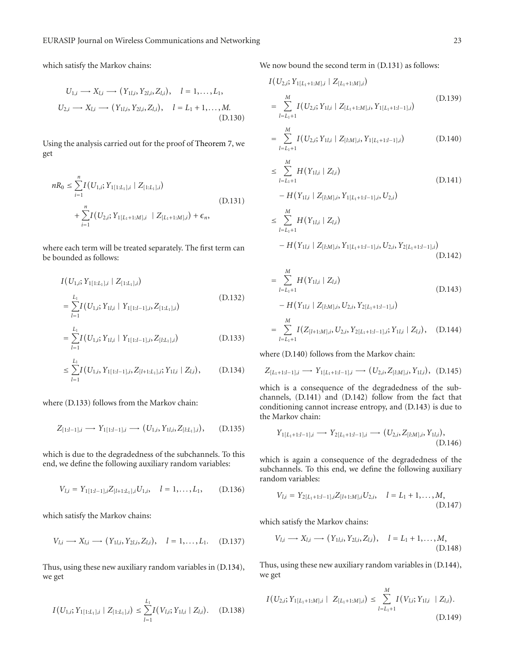which satisfy the Markov chains:

$$
U_{1,i} \longrightarrow X_{l,i} \longrightarrow (Y_{1l,i}, Y_{2l,i}, Z_{l,i}), \quad l = 1, ..., L_1,
$$
  

$$
U_{2,i} \longrightarrow X_{l,i} \longrightarrow (Y_{1l,i}, Y_{2l,i}, Z_{l,i}), \quad l = L_1 + 1, ..., M.
$$
  
(D.130)

Using the analysis carried out for the proof of Theorem 7, we get

$$
nR_0 \le \sum_{i=1}^n I(U_{1,i}; Y_{1[1:L_1],i} | Z_{[1:L_1],i})
$$
  
+ 
$$
\sum_{i=1}^n I(U_{2,i}; Y_{1[L_1+1:M],i} | Z_{[L_1+1:M],i}) + \epsilon_n,
$$
 (D.131)

where each term will be treated separately. The first term can be bounded as follows:

$$
I(U_{1,i}; Y_{1[1:L_1],i} | Z_{[1:L_1],i})
$$
\n
$$
= \sum_{l=1}^{L_1} I(U_{1,i}; Y_{1l,i} | Y_{1[1:l-1],i}, Z_{[1:L_1],i})
$$
\n
$$
= \sum_{l=1}^{L_1} I(U_{1,i}; Y_{1l,i} | Y_{1[1:l-1],i}, Z_{[l:L_1],i})
$$
\n(D.133)

$$
\leq \sum_{l=1}^{L_1} I(U_{1,i}, Y_{1[1:l-1],i}, Z_{[l+1:L_1],i}; Y_{1l,i} | Z_{l,i}), \qquad (D.134)
$$

where (D.133) follows from the Markov chain:

$$
Z_{[1:l-1],i} \longrightarrow Y_{1[1:l-1],i} \longrightarrow (U_{1,i}, Y_{1,l,i}, Z_{[l:L_1],i}), \qquad (D.135)
$$

which is due to the degradedness of the subchannels. To this end, we define the following auxiliary random variables:

$$
V_{l,i} = Y_{1[1:l-1],i} Z_{[l+1:L_1],i} U_{1,i}, \quad l = 1,\ldots,L_1,\qquad (D.136)
$$

which satisfy the Markov chains:

$$
V_{l,i} \longrightarrow X_{l,i} \longrightarrow (Y_{1l,i}, Y_{2l,i}, Z_{l,i}), \quad l = 1, ..., L_1.
$$
 (D.137)

Thus, using these new auxiliary random variables in (D.134), we get

$$
I(U_{1,i}; Y_{1[1:L_1],i} | Z_{[1:L_1],i}) \leq \sum_{l=1}^{L_1} I(V_{l,i}; Y_{1l,i} | Z_{l,i}). \quad (D.138)
$$

We now bound the second term in (D.131) as follows:

$$
I(U_{2,i}; Y_{1[L_1+1:M],i} | Z_{[L_1+1:M],i})
$$
\n
$$
= \sum_{l=L_1+1}^{M} I(U_{2,i}; Y_{1l,i} | Z_{[L_1+1:M],i}, Y_{1[L_1+1:l-1],i})
$$
\n
$$
= \sum_{l=L_1+1}^{M} I(U_{2,i}; Y_{1l,i} | Z_{[l:M],i}, Y_{1[L_1+1:l-1],i})
$$
\n(D.140)

$$
\leq \sum_{l=L_1+1}^{M} H(Y_{1l,i} \mid Z_{l,i}) \tag{D.141}
$$

$$
\leq \sum_{l=L_{1}+1}^{M} H(Y_{1l,i} | Z_{l,i})
$$
  
- H(Y\_{1l,i} | Z\_{[l:M],i}, Y\_{1[L\_{1}+1:l-1],i}, U\_{2,i}, Y\_{2[L\_{1}+1:l-1],i}) (D.142)

$$
= \sum_{l=L_1+1}^{M} H(Y_{1l,i} | Z_{l,i})
$$
\n
$$
- H(Y_{1l,i} | Z_{[l:M],i}, U_{2,i}, Y_{2[L_1+1:l-1],i})
$$
\n
$$
= \sum_{l=L_1+1}^{M} I(Z_{[l+1:M],i}, U_{2,i}, Y_{2[L_1+1:l-1],i}; Y_{1l,i} | Z_{l,i}), \quad (D.144)
$$

where (D.140) follows from the Markov chain:

 $-H(Y_{1l,i} | Z_{[l:M],i}, Y_{1[L_1+1:l-1],i}, U_{2,i})$ 

$$
Z_{[L_1+1:l-1],i} \longrightarrow Y_{1[L_1+1:l-1],i} \longrightarrow (U_{2,i},Z_{[l:M],i},Y_{1l,i}), (D.145)
$$

which is a consequence of the degradedness of the subchannels, (D.141) and (D.142) follow from the fact that conditioning cannot increase entropy, and (D.143) is due to the Markov chain:

$$
Y_{1[L_1+1:l-1],i} \longrightarrow Y_{2[L_1+1:l-1],i} \longrightarrow (U_{2,i}, Z_{[l:M],i}, Y_{1l,i}),
$$
\n(D.146)

which is again a consequence of the degradedness of the subchannels. To this end, we define the following auxiliary random variables:

$$
V_{l,i} = Y_{2[L_1+1:l-1],i} Z_{[l+1:M],i} U_{2,i}, \quad l = L_1+1,\ldots,M,
$$
\n(D.147)

which satisfy the Markov chains:

$$
V_{l,i} \longrightarrow X_{l,i} \longrightarrow (Y_{1l,i}, Y_{2l,i}, Z_{l,i}), \quad l = L_1 + 1, \dots, M,
$$
\n(D.148)

Thus, using these new auxiliary random variables in (D.144), we get

$$
I(U_{2,i}; Y_{1[L_1+1:M],i} \mid Z_{[L_1+1:M],i}) \leq \sum_{l=L_1+1}^{M} I(V_{l,i}; Y_{1l,i} \mid Z_{l,i}).
$$
\n(D.149)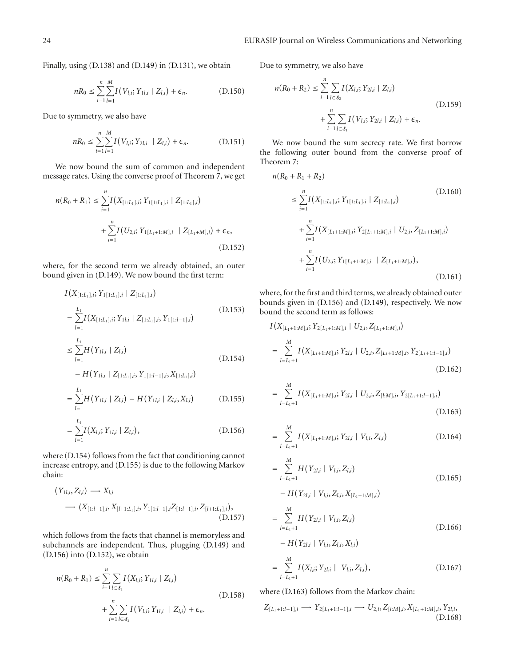Finally, using (D.138) and (D.149) in (D.131), we obtain

$$
nR_0 \le \sum_{i=1}^n \sum_{l=1}^M I(V_{l,i}; Y_{1l,i} | Z_{l,i}) + \epsilon_n.
$$
 (D.150)

Due to symmetry, we also have

$$
nR_0 \le \sum_{i=1}^n \sum_{l=1}^M I(V_{l,i}; Y_{2l,i} | Z_{l,i}) + \epsilon_n.
$$
 (D.151)

We now bound the sum of common and independent message rates. Using the converse proof of Theorem 7, we get

$$
n(R_0 + R_1) \le \sum_{i=1}^n I(X_{[1:L_1],i}; Y_{1[1:L_1],i} | Z_{[1:L_1],i})
$$
  
+ 
$$
\sum_{i=1}^n I(U_{2,i}; Y_{1[L_1+1:M],i} | Z_{[L_1+M],i}) + \epsilon_n,
$$
  
(D.152)

where, for the second term we already obtained, an outer bound given in (D.149). We now bound the first term:

$$
I(X_{[1:L_1],i}; Y_{1[1:L_1],i} | Z_{[1:L_1],i})
$$
\n
$$
= \sum_{l=1}^{L_1} I(X_{[1:L_1],i}; Y_{1l,i} | Z_{[1:L_1],i}, Y_{1[1:l-1],i})
$$
\n
$$
\leq \sum_{l=1}^{L_1} H(Y_{1l,i} | Z_{l,i})
$$
\n(D.154)

$$
- H(Y_{1l,i} | Z_{[1:L_1],i}, Y_{1[1:l-1],i}, X_{[1:L_1],i})
$$
  
= 
$$
\sum_{l=1}^{L_1} H(Y_{1l,i} | Z_{l,i}) - H(Y_{1l,i} | Z_{l,i}, X_{l,i})
$$
 (D.155)

$$
=\sum_{l=1}^{L_1} I(X_{l,i}; Y_{1l,i} | Z_{l,i}),
$$
\n(D.156)

where (D.154) follows from the fact that conditioning cannot increase entropy, and (D.155) is due to the following Markov chain:

$$
(Y_{1l,i}, Z_{l,i}) \longrightarrow X_{l,i}
$$
  
\n
$$
\longrightarrow (X_{[1:l-1],i}, X_{[l+1:L_1],i}, Y_{1[1:l-1],i} Z_{[1:l-1],i}, Z_{[l+1:L_1],i}),
$$
  
\n(D.157)

which follows from the facts that channel is memoryless and subchannels are independent. Thus, plugging (D.149) and (D.156) into (D.152), we obtain

$$
n(R_0 + R_1) \leq \sum_{i=1}^n \sum_{l \in \mathcal{S}_1} I(X_{l,i}; Y_{1l,i} | Z_{l,i})
$$
  
+ 
$$
\sum_{i=1}^n \sum_{l \in \mathcal{S}_2} I(V_{l,i}; Y_{1l,i} | Z_{l,i}) + \epsilon_n.
$$
 (D.158)

Due to symmetry, we also have

$$
n(R_0 + R_2) \le \sum_{i=1}^n \sum_{l \in \mathcal{S}_2} I(X_{l,i}; Y_{2l,i} | Z_{l,i}) + \sum_{i=1}^n \sum_{l \in \mathcal{S}_1} I(V_{l,i}; Y_{2l,i} | Z_{l,i}) + \epsilon_n.
$$
 (D.159)

We now bound the sum secrecy rate. We first borrow the following outer bound from the converse proof of Theorem 7:

$$
n(R_0 + R_1 + R_2)
$$
\n
$$
\leq \sum_{i=1}^n I(X_{[1:L_1],i}; Y_{1[1:L_1],i} | Z_{[1:L_1],i})
$$
\n
$$
+ \sum_{i=1}^n I(X_{[L_1+1:M],i}; Y_{2[L_1+1:M],i} | U_{2,i}, Z_{[L_1+1:M],i})
$$
\n
$$
+ \sum_{i=1}^n I(U_{2,i}; Y_{1[L_1+1:M],i} | Z_{[L_1+1:M],i}),
$$
\n(D.161)

where, for the first and third terms, we already obtained outer bounds given in (D.156) and (D.149), respectively. We now bound the second term as follows:

$$
I(X_{[L_1+1:M],i}; Y_{2[L_1+1:M],i} | U_{2,i}, Z_{[L_1+1:M],i})
$$
  
= 
$$
\sum_{l=L_1+1}^{M} I(X_{[L_1+1:M],i}; Y_{2l,i} | U_{2,i}, Z_{[L_1+1:M],i}, Y_{2[L_1+1:l-1],i})
$$
  
(D.162)

 $\overline{ }$ 

$$
= \sum_{l=L_1+1}^{M} I(X_{[L_1+1:M],i}; Y_{2l,i} | U_{2,i}, Z_{[l:M],i}, Y_{2[L_1+1:l-1],i})
$$
\n(D.163)

$$
= \sum_{l=L_1+1}^{M} I(X_{[L_1+1:M],i}; Y_{2l,i} | V_{l,i}, Z_{l,i})
$$
 (D.164)

$$
= \sum_{l=L_1+1}^{M} H(Y_{2l,i} | V_{l,i}, Z_{l,i})
$$
\n(D.165)

$$
- H(Y_{2l,i} | V_{l,i}, Z_{l,i}, X_{[L_1+1:M],i})
$$
  
= 
$$
\sum_{l=L_1+1}^{M} H(Y_{2l,i} | V_{l,i}, Z_{l,i})
$$
 (D.166)

$$
= \sum_{l=L_1+1}^{M} I(X_{l,i}; Y_{2l,i} | V_{l,i}, Z_{l,i}), \qquad (D.167)
$$

where (D.163) follows from the Markov chain:

 $- H(Y_{2l,i} | V_{l,i}, Z_{l,i}, X_{l,i})$ 

$$
Z_{[L_1+1:l-1],i} \longrightarrow Y_{2[L_1+1:l-1],i} \longrightarrow U_{2,i}, Z_{[l:M],i}, X_{[L_1+1:M],i}, Y_{2l,i},
$$
\n(D.168)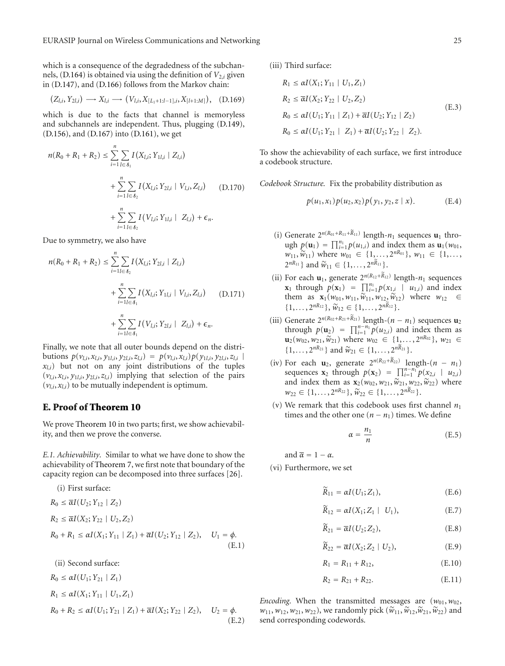which is a consequence of the degradedness of the subchannels, (D.164) is obtained via using the definition of  $V_{2,i}$  given in (D.147), and (D.166) follows from the Markov chain:

$$
(Z_{l,i}, Y_{2l,i}) \longrightarrow X_{l,i} \longrightarrow (V_{l,i}, X_{[L_1+1:l-1],i}, X_{[l+1:M]})
$$
, (D.169)

which is due to the facts that channel is memoryless and subchannels are independent. Thus, plugging (D.149), (D.156), and (D.167) into (D.161), we get

$$
n(R_0 + R_1 + R_2) \le \sum_{i=1}^n \sum_{l \in \delta_1} I(X_{l,i}; Y_{1l,i} | Z_{l,i})
$$
  
+ 
$$
\sum_{i=1}^n \sum_{l \in \delta_2} I(X_{l,i}; Y_{2l,i} | V_{l,i}, Z_{l,i})
$$
 (D.170)  
+ 
$$
\sum_{i=1}^n \sum_{l \in \delta_2} I(V_{l,i}; Y_{1l,i} | Z_{l,i}) + \epsilon_n.
$$

Due to symmetry, we also have

$$
n(R_0 + R_1 + R_2) \le \sum_{i=1}^n \sum_{l \in \delta_2} I(X_{l,i}; Y_{2l,i} | Z_{l,i})
$$
  
+ 
$$
\sum_{i=1}^n \sum_{l \in \delta_1} I(X_{l,i}; Y_{1l,i} | V_{l,i}, Z_{l,i})
$$
 (D.171)  
+ 
$$
\sum_{i=1}^n \sum_{l \in \delta_1} I(V_{l,i}; Y_{2l,i} | Z_{l,i}) + \epsilon_n.
$$

Finally, we note that all outer bounds depend on the distributions  $p(v_{l,i}, x_{l,i}, y_{1l,i}, y_{2l,i}, z_{l,i}) = p(v_{l,i}, x_{l,i}) p(y_{1l,i}, y_{2l,i}, z_{l,i})$  $x_{l,i}$ ) but not on any joint distributions of the tuples  $(v_{l,i}, x_{l,i}, y_{1l,i}, y_{2l,i}, z_{l,i})$  implying that selection of the pairs  $(v_{l,i}, x_{l,i})$  to be mutually independent is optimum.

#### **E. Proof of Theorem 10**

We prove Theorem 10 in two parts; first, we show achievability, and then we prove the converse.

*E.1. Achievability.* Similar to what we have done to show the achievability of Theorem 7, we first note that boundary of the capacity region can be decomposed into three surfaces [26].

(i) First surface:  
\n
$$
R_0 \le \overline{\alpha} I(U_2; Y_{12} | Z_2)
$$
\n
$$
R_2 \le \overline{\alpha} I(X_2; Y_{22} | U_2, Z_2)
$$
\n
$$
R_0 + R_1 \le \alpha I(X_1; Y_{11} | Z_1) + \overline{\alpha} I(U_2; Y_{12} | Z_2), \quad U_1 = \phi.
$$
\n(E.1)

(ii) Second surface:

$$
R_0 \le \alpha I(U_1; Y_{21} | Z_1)
$$
  
\n
$$
R_1 \le \alpha I(X_1; Y_{11} | U_1, Z_1)
$$
  
\n
$$
R_0 + R_2 \le \alpha I(U_1; Y_{21} | Z_1) + \overline{\alpha} I(X_2; Y_{22} | Z_2), \quad U_2 = \phi.
$$
  
\n(E.2)

(iii) Third surface:

$$
R_1 \le \alpha I(X_1; Y_{11} | U_1, Z_1)
$$
  
\n
$$
R_2 \le \overline{\alpha} I(X_2; Y_{22} | U_2, Z_2)
$$
  
\n
$$
R_0 \le \alpha I(U_1; Y_{11} | Z_1) + \overline{\alpha} I(U_2; Y_{12} | Z_2)
$$
  
\n
$$
R_0 \le \alpha I(U_1; Y_{21} | Z_1) + \overline{\alpha} I(U_2; Y_{22} | Z_2).
$$
\n(E.3)

To show the achievability of each surface, we first introduce a codebook structure.

*Codebook Structure.* Fix the probability distribution as

$$
p(u_1, x_1)p(u_2, x_2)p(y_1, y_2, z \mid x). \tag{E.4}
$$

- (i) Generate  $2^{n(R_{01}+R_{11}+\tilde{R}_{11})}$  length- $n_1$  sequences  $\mathbf{u}_1$  thro- $\lim_{n \to \infty} p(\mathbf{u}_1) = \prod_{i=1}^{n_1} p(u_{1,i})$  and index them as  $\mathbf{u}_1(w_{01},$  $w_{11}$ ,  $\widetilde{w}_{11}$ ) where  $w_{01} \in \{1, \ldots, 2^{nR_{01}}\}$ ,  $w_{11} \in \{1, \ldots, n\}$  $2^{nR_{11}}$ } and  $\widetilde{w}_{11} \in \{1, \ldots, 2^{n\widetilde{R}_{11}}\}.$
- (ii) For each  $\mathbf{u}_1$ , generate  $2^{n(R_{12} + \tilde{R}_{12})}$  length- $n_1$  sequences **x**<sub>1</sub> through  $p(\mathbf{x}_1) = \prod_{i=1}^{n_1} p(x_{1,i} | u_{1,i})$  and index them as  $\mathbf{x}_1(w_{01}, w_{11}, \tilde{w}_{11}, w_{12}, \tilde{w}_{12})$  where  $w_{12}$  ∈  $\{1, \ldots, 2^{nR_{12}}\}, \widetilde{w}_{12} \in \{1, \ldots, 2^{n\widetilde{R}_{12}}\}.$
- (iii) Generate  $2^{n(R_{02}+R_{21}+\tilde{R}_{21})}$  length- $(n n_1)$  sequences  $u_2$ through  $p(\mathbf{u}_2) = \prod_{i=1}^{n-n_1} p(u_{2,i})$  and index them as **u**<sub>2</sub>( $w_{02}, w_{21}, \widetilde{w}_{21}$ ) where  $w_{02} \in \{1, ..., 2^{nR_{02}}\}, w_{21} \in$  $\{1, \ldots, 2^{nR_{21}}\}$  and  $\widetilde{w}_{21} \in \{1, \ldots, 2^{nR_{21}}\}.$
- (iv) For each **u**<sub>2</sub>, generate  $2^{n(R_{22} + \tilde{R}_{22})}$  length- $(n n_1)$ sequences **x**<sub>2</sub> through  $p(\mathbf{x}_2) = \prod_{i=1}^{n-n_1} p(x_{2,i} | u_{2,i})$ and index them as  $\mathbf{x}_2(w_{02}, w_{21}, \widetilde{w}_{21}, w_{22}, \widetilde{w}_{22})$  where  $w_{22} \in \{1, \ldots, 2^{nR_{22}}\}, \widetilde{w}_{22} \in \{1, \ldots, 2^{nR_{22}}\}.$
- (v) We remark that this codebook uses first channel *n*<sup>1</sup> times and the other one  $(n - n_1)$  times. We define

$$
\alpha = \frac{n_1}{n} \tag{E.5}
$$

and  $\bar{\alpha} = 1 - \alpha$ .

(vi) Furthermore, we set

$$
\widetilde{R}_{11} = \alpha I(U_1; Z_1), \tag{E.6}
$$

$$
\widetilde{R}_{12} = \alpha I(X_1; Z_1 \mid U_1), \tag{E.7}
$$

$$
\widetilde{R}_{21} = \overline{\alpha} I(U_2; Z_2), \tag{E.8}
$$

$$
\widetilde{R}_{22} = \overline{\alpha} I(X_2; Z_2 \mid U_2), \tag{E.9}
$$

$$
R_1 = R_{11} + R_{12}, \t\t (E.10)
$$

$$
R_2 = R_{21} + R_{22}.
$$
 (E.11)

*Encoding.* When the transmitted messages are  $(w_{01}, w_{02},$  $w_{11}$ ,  $w_{12}$ ,  $w_{21}$ ,  $w_{22}$ ), we randomly pick  $(\widetilde{w}_{11}, \widetilde{w}_{12}, \widetilde{w}_{21}, \widetilde{w}_{22})$  and send corresponding codewords.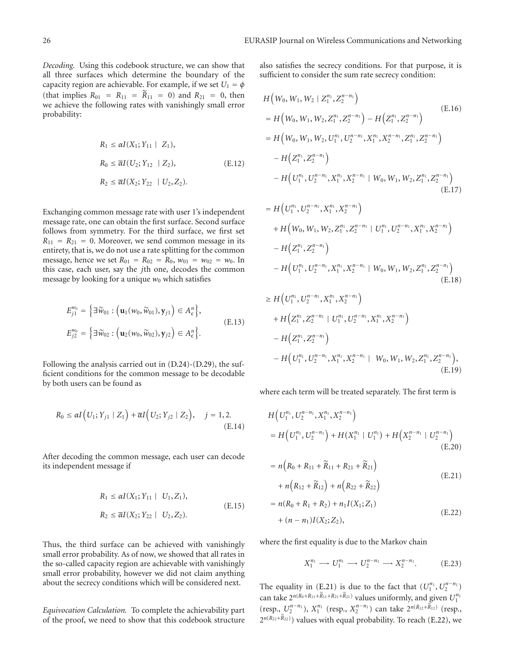*Decoding.* Using this codebook structure, we can show that all three surfaces which determine the boundary of the capacity region are achievable. For example, if we set  $U_1 = \phi$ (that implies  $R_{01} = R_{11} = \widetilde{R}_{11} = 0$ ) and  $R_{21} = 0$ , then we achieve the following rates with vanishingly small error probability:

$$
R_1 \le \alpha I(X_1; Y_{11} | Z_1),
$$
  
\n
$$
R_0 \le \overline{\alpha} I(U_2; Y_{12} | Z_2),
$$
  
\n
$$
R_2 \le \overline{\alpha} I(X_2; Y_{22} | U_2, Z_2).
$$
  
\n(E.12)

Exchanging common message rate with user 1's independent message rate, one can obtain the first surface. Second surface follows from symmetry. For the third surface, we first set  $R_{11} = R_{21} = 0$ . Moreover, we send common message in its entirety, that is, we do not use a rate splitting for the common message, hence we set  $R_{01} = R_{02} = R_0$ ,  $w_{01} = w_{02} = w_0$ . In this case, each user, say the *j*th one, decodes the common message by looking for a unique  $w_0$  which satisfies

$$
E_{j1}^{w_0} = \left\{ \exists \widetilde{w}_{01} : \left( \mathbf{u}_1(w_0, \widetilde{w}_{01}), \mathbf{y}_{j1} \right) \in A_{\epsilon}^n \right\},
$$
  
\n
$$
E_{j2}^{w_0} = \left\{ \exists \widetilde{w}_{02} : \left( \mathbf{u}_2(w_0, \widetilde{w}_{02}), \mathbf{y}_{j2} \right) \in A_{\epsilon}^n \right\}.
$$
  
\n(E.13)

Following the analysis carried out in (D.24)-(D.29), the sufficient conditions for the common message to be decodable by both users can be found as

$$
R_0 \le \alpha I(U_1; Y_{j1} | Z_1) + \overline{\alpha} I(U_2; Y_{j2} | Z_2), \quad j = 1, 2.
$$
\n(E.14)

After decoding the common message, each user can decode its independent message if

$$
R_1 \le \alpha I(X_1; Y_{11} \mid U_1, Z_1),
$$
  
\n
$$
R_2 \le \overline{\alpha} I(X_2; Y_{22} \mid U_2, Z_2).
$$
 (E.15)

Thus, the third surface can be achieved with vanishingly small error probability. As of now, we showed that all rates in the so-called capacity region are achievable with vanishingly small error probability, however we did not claim anything about the secrecy conditions which will be considered next.

*Equivocation Calculation.* To complete the achievability part of the proof, we need to show that this codebook structure also satisfies the secrecy conditions. For that purpose, it is sufficient to consider the sum rate secrecy condition:

$$
H(W_0, W_1, W_2 | Z_1^{n_1}, Z_2^{n-n_1})
$$
\n
$$
= H(W_0, W_1, W_2, Z_1^{n_1}, Z_2^{n-n_1}) - H(Z_1^{n_1}, Z_2^{n-n_1})
$$
\n
$$
= H(W_0, W_1, W_2, U_1^{n_1}, U_2^{n-n_1}, X_1^{n_1}, X_2^{n-n_1}, Z_1^{n_1}, Z_2^{n-n_1})
$$
\n
$$
- H(Z_1^{n_1}, Z_2^{n-n_1})
$$
\n
$$
- H(U_1^{n_1}, U_2^{n-n_1}, X_1^{n_1}, X_2^{n-n_1} | W_0, W_1, W_2, Z_1^{n_1}, Z_2^{n-n_1})
$$
\n
$$
= H(U_1^{n_1}, U_2^{n-n_1}, X_1^{n_1}, X_2^{n-n_1})
$$
\n
$$
+ H(W_0, W_1, W_2, Z_1^{n_1}, Z_2^{n-n_1} | U_1^{n_1}, U_2^{n-n_1}, X_1^{n_1}, X_2^{n-n_1})
$$
\n
$$
- H(Z_1^{n_1}, Z_2^{n-n_1})
$$

$$
- H\Big(U_1^{n_1}, U_2^{n-n_1}, X_1^{n_1}, X_2^{n-n_1} \mid W_0, W_1, W_2, Z_1^{n_1}, Z_2^{n-n_1}\Big) \tag{E.18}
$$
  
\n
$$
\geq H\Big(U_1^{n_1}, U_2^{n-n_1}, X_1^{n_1}, X_2^{n-n_1}\Big)
$$
  
\n
$$
+ H\Big(Z_1^{n_1}, Z_2^{n-n_1} \mid U_1^{n_1}, U_2^{n-n_1}, X_1^{n_1}, X_2^{n-n_1}\Big)
$$

+ 
$$
H(Z_1^{n_1}, Z_2^{n-n_1} | U_1^{n_1}, U_2^{n-n_1}, X_1^{n_1}, X_2^{n-n_1})
$$
  
\n-  $H(Z_1^{n_1}, Z_2^{n-n_1})$   
\n-  $H(U_1^{n_1}, U_2^{n-n_1}, X_1^{n_1}, X_2^{n-n_1} | W_0, W_1, W_2, Z_1^{n_1}, Z_2^{n-n_1}),$   
\n(E.19)

where each term will be treated separately. The first term is

$$
H(U_1^{n_1}, U_2^{n-n_1}, X_1^{n_1}, X_2^{n-n_1})
$$
  
=  $H(U_1^{n_1}, U_2^{n-n_1}) + H(X_1^{n_1} | U_1^{n_1}) + H(X_2^{n-n_1} | U_2^{n-n_1})$   
(E.20)

$$
= n\left(R_0 + R_{11} + \widetilde{R}_{11} + R_{21} + \widetilde{R}_{21}\right) + n\left(R_{12} + \widetilde{R}_{12}\right) + n\left(R_{22} + \widetilde{R}_{22}\right)
$$
(E.21)

$$
= n(R_0 + R_1 + R_2) + n_1 I(X_1; Z_1)
$$
  
+ 
$$
(n - n_1)I(X_2; Z_2),
$$
 (E.22)

where the first equality is due to the Markov chain

$$
X_1^{n_1} \longrightarrow U_1^{n_1} \longrightarrow U_2^{n-n_1} \longrightarrow X_2^{n-n_1}.\tag{E.23}
$$

The equality in (E.21) is due to the fact that  $(U_1^{n_1}, U_2^{n-n_1})$ can take  $2^{n(R_0+R_{11}+\tilde{R}_{11}+R_{21}+\tilde{R}_{21})}$  values uniformly, and given  $U_1^{n_1}$ (resp.,  $U_2^{n-n_1}$ ),  $X_1^{n_1}$  (resp.,  $X_2^{n-n_1}$ ) can take  $2^{n(R_{12}+\tilde{R}_{12})}$  (resp.,  $2^{n(R_{22} + R_{22})}$ ) values with equal probability. To reach (E.22), we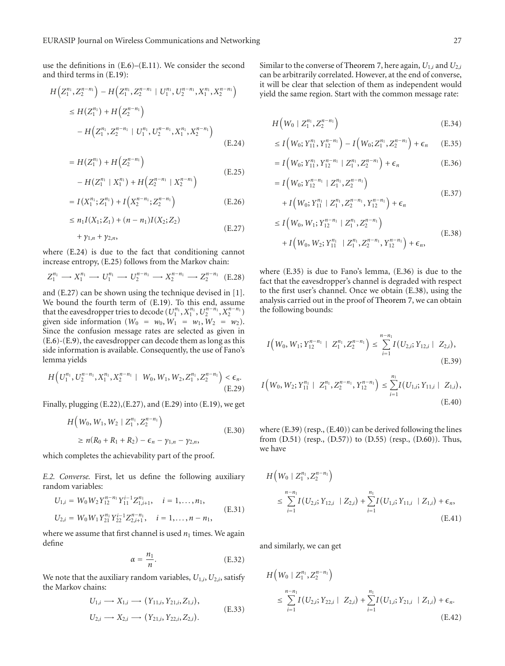use the definitions in (E.6)–(E.11). We consider the second and third terms in (E.19):

$$
H\left(Z_1^{n_1}, Z_2^{n-n_1}\right) - H\left(Z_1^{n_1}, Z_2^{n-n_1} \mid U_1^{n_1}, U_2^{n-n_1}, X_1^{n_1}, X_2^{n-n_1}\right)
$$
  
\n
$$
\leq H\left(Z_1^{n_1}\right) + H\left(Z_2^{n-n_1}\right)
$$
  
\n
$$
- H\left(Z_1^{n_1}, Z_2^{n-n_1} \mid U_1^{n_1}, U_2^{n-n_1}, X_1^{n_1}, X_2^{n-n_1}\right)
$$
  
\n
$$
\tag{E.24}
$$

$$
=H(Z_1^{n_1})+H(Z_2^{n-n_1})
$$
\n(E.25)

$$
- H(Z_1^{n_1} | X_1^{n_1}) + H(Z_2^{n-n_1} | X_2^{n-n_1})
$$

$$
= I(X_1^{n_1}; Z_1^{n_1}) + I(X_2^{n-n_1}; Z_2^{n-n_1})
$$
\n(E.26)

$$
\leq n_1 I(X_1; Z_1) + (n - n_1)I(X_2; Z_2) \tag{F. 27}
$$

$$
+\gamma_{1,n}+\gamma_{2,n},\tag{E.27}
$$

where (E.24) is due to the fact that conditioning cannot increase entropy, (E.25) follows from the Markov chain:

$$
Z_1^{n_1} \longrightarrow X_1^{n_1} \longrightarrow U_1^{n_1} \longrightarrow U_2^{n-n_1} \longrightarrow X_2^{n-n_1} \longrightarrow Z_2^{n-n_1} \quad \text{(E.28)}
$$

and (E.27) can be shown using the technique devised in [1]. We bound the fourth term of (E.19). To this end, assume that the eavesdropper tries to decode  $(U_1^{n_1}, X_1^{n_1}, U_2^{n-n_1}, X_2^{n-n_1})$ given side information ( $W_0 = w_0, W_1 = w_1, W_2 = w_2$ ). Since the confusion message rates are selected as given in (E.6)-(E.9), the eavesdropper can decode them as long as this side information is available. Consequently, the use of Fano's lemma yields

$$
H\left(U_1^{n_1}, U_2^{n-n_1}, X_1^{n_1}, X_2^{n-n_1} \mid W_0, W_1, W_2, Z_1^{n_1}, Z_2^{n-n_1}\right) < \epsilon_n. \tag{E.29}
$$

Finally, plugging (E.22),(E.27), and (E.29) into (E.19), we get

$$
H(W_0, W_1, W_2 | Z_1^{n_1}, Z_2^{n-n_1})
$$
  
\n
$$
\ge n(R_0 + R_1 + R_2) - \epsilon_n - \gamma_{1,n} - \gamma_{2,n},
$$
\n(E.30)

which completes the achievability part of the proof.

*E.2. Converse.* First, let us define the following auxiliary random variables:

$$
U_{1,i} = W_0 W_2 Y_{12}^{n-n_1} Y_{11}^{i-1} Z_{1,i+1}^{n_1}, \quad i = 1, ..., n_1,
$$
  
\n
$$
U_{2,i} = W_0 W_1 Y_{21}^{n_1} Y_{22}^{i-1} Z_{2,i+1}^{n-n_1}, \quad i = 1, ..., n - n_1,
$$
\n(E.31)

where we assume that first channel is used  $n_1$  times. We again define

$$
\alpha = \frac{n_1}{n}.\tag{E.32}
$$

We note that the auxiliary random variables,  $U_{1,i}$ ,  $U_{2,i}$ , satisfy the Markov chains:

$$
U_{1,i} \longrightarrow X_{1,i} \longrightarrow (Y_{11,i}, Y_{21,i}, Z_{1,i}),
$$
  
\n
$$
U_{2,i} \longrightarrow X_{2,i} \longrightarrow (Y_{21,i}, Y_{22,i}, Z_{2,i}).
$$
 (E.33)

Similar to the converse of Theorem 7, here again,  $U_{1,i}$  and  $U_{2,i}$ can be arbitrarily correlated. However, at the end of converse, it will be clear that selection of them as independent would yield the same region. Start with the common message rate:

$$
H(W_0 | Z_1^{n_1}, Z_2^{n-n_1}) \tag{E.34}
$$

$$
\leq I\left(W_0; Y_{11}^{n_1}, Y_{12}^{n-n_1}\right) - I\left(W_0; Z_1^{n_1}, Z_2^{n-n_1}\right) + \epsilon_n \qquad \text{(E.35)}
$$

$$
= I\Big(W_0; Y_{11}^{n_1}, Y_{12}^{n-n_1} \mid Z_1^{n_1}, Z_2^{n-n_1}\Big) + \epsilon_n \tag{E.36}
$$

$$
= I\left(W_0; Y_{12}^{n-n_1} \mid Z_1^{n_1}, Z_2^{n-n_1}\right)
$$
  
+ 
$$
I\left(W_0; Y_{11}^{n_1} \mid Z_1^{n_1}, Z_2^{n-n_1}, Y_{12}^{n-n_1}\right) + \epsilon_n
$$
 (E.37)

$$
\leq I(W_0, W_1; Y_{12}^{n-n_1} | Z_1^{n_1}, Z_2^{n-n_1})
$$
  
+  $I(W_0, W_2; Y_{11}^{n_1} | Z_1^{n_1}, Z_2^{n-n_1}, Y_{12}^{n-n_1}) + \epsilon_n,$  (E.38)

where (E.35) is due to Fano's lemma, (E.36) is due to the fact that the eavesdropper's channel is degraded with respect to the first user's channel. Once we obtain (E.38), using the analysis carried out in the proof of Theorem 7, we can obtain the following bounds:

$$
I(N_0, W_1; Y_{12}^{n-n_1} | Z_1^{n_1}, Z_2^{n-n_1}) \leq \sum_{i=1}^{n-n_1} I(U_{2,i}; Y_{12,i} | Z_{2,i}),
$$
\n(E.39)

$$
I(N_0, W_2; Y_{11}^{n_1} \mid Z_1^{n_1}, Z_2^{n-n_1}, Y_{12}^{n-n_1}) \leq \sum_{i=1}^{n_1} I(U_{1,i}; Y_{11,i} \mid Z_{1,i}),
$$
\n(E.40)

where (E.39) (resp., (E.40)) can be derived following the lines from (D.51) (resp., (D.57)) to (D.55) (resp., (D.60)). Thus, we have

$$
H(N_0 | Z_1^{n_1}, Z_2^{n-n_1})
$$
  
\n
$$
\leq \sum_{i=1}^{n-n_1} I(U_{2,i}; Y_{12,i} | Z_{2,i}) + \sum_{i=1}^{n_1} I(U_{1,i}; Y_{11,i} | Z_{1,i}) + \epsilon_n,
$$
  
\n(E.41)

and similarly, we can get

$$
H(N_0 | Z_1^{n_1}, Z_2^{n-n_1})
$$
  
\n
$$
\leq \sum_{i=1}^{n-n_1} I(U_{2,i}; Y_{22,i} | Z_{2,i}) + \sum_{i=1}^{n_1} I(U_{1,i}; Y_{21,i} | Z_{1,i}) + \epsilon_n.
$$
  
\n(E.42)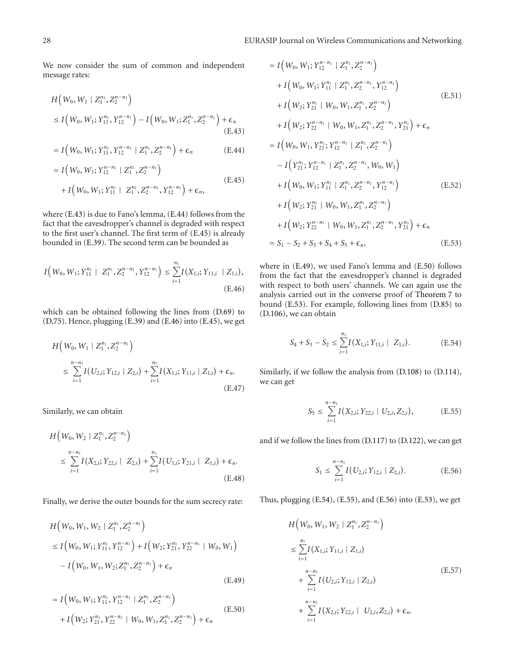We now consider the sum of common and independent message rates:

$$
H(W_0, W_1 | Z_1^{n_1}, Z_2^{n-n_1})
$$
  
\n
$$
\leq I(W_0, W_1; Y_{11}^{n_1}, Y_{12}^{n-n_1}) - I(W_0, W_1; Z_1^{n_1}, Z_2^{n-n_1}) + \epsilon_n
$$
  
\n(E.43)

$$
= I\Big(W_0, W_1; Y_{11}^{n_1}, Y_{12}^{n-n_1} \mid Z_1^{n_1}, Z_2^{n-n_1}\Big) + \epsilon_n \tag{E.44}
$$

$$
= I\left(W_0, W_1; Y_{12}^{n-n_1} | Z_1^{n_1}, Z_2^{n-n_1}\right)
$$
  
+ 
$$
I\left(W_0, W_1; Y_{11}^{n_1} | Z_1^{n_1}, Z_2^{n-n_1}, Y_{12}^{n-n_1}\right) + \epsilon_n,
$$
 (E.45)

where (E.43) is due to Fano's lemma, (E.44) follows from the fact that the eavesdropper's channel is degraded with respect to the first user's channel. The first term of (E.45) is already bounded in (E.39). The second term can be bounded as

$$
I(N_0, W_1; Y_{11}^{n_1} \mid Z_1^{n_1}, Z_2^{n-n_1}, Y_{12}^{n-n_1}) \leq \sum_{i=1}^{n_1} I(X_{1,i}; Y_{11,i} \mid Z_{1,i}),
$$
\n(E.46)

which can be obtained following the lines from (D.69) to (D.75). Hence, plugging (E.39) and (E.46) into (E.45), we get

$$
H(N_0, W_1 | Z_1^{n_1}, Z_2^{n-n_1})
$$
  
\n
$$
\leq \sum_{i=1}^{n-n_1} I(U_{2,i}; Y_{12,i} | Z_{2,i}) + \sum_{i=1}^{n_1} I(X_{1,i}; Y_{11,i} | Z_{1,i}) + \epsilon_n.
$$
  
\n(E.47)

Similarly, we can obtain

$$
H(N_0, W_2 | Z_1^{n_1}, Z_2^{n-n_1})
$$
  
\n
$$
\leq \sum_{i=1}^{n-n_1} I(X_{2,i}; Y_{22,i} | Z_{2,i}) + \sum_{i=1}^{n_1} I(U_{1,i}; Y_{21,i} | Z_{1,i}) + \epsilon_n.
$$
  
\n(E.48)

Finally, we derive the outer bounds for the sum secrecy rate:

$$
H(W_0, W_1, W_2 | Z_1^{n_1}, Z_2^{n-n_1})
$$
  
\n
$$
\leq I(W_0, W_1; Y_{11}^{n_1}, Y_{12}^{n-n_1}) + I(W_2; Y_{21}^{n_1}, Y_{22}^{n-n_1} | W_0, W_1)
$$
  
\n
$$
- I(W_0, W_1, W_2; Z_1^{n_1}, Z_2^{n-n_1}) + \epsilon_n
$$
\n(E.49)

$$
= I(W_0, W_1; Y_{11}^{n_1}, Y_{12}^{n-n_1} | Z_1^{n_1}, Z_2^{n-n_1})
$$
  
+ 
$$
I(W_2; Y_{21}^{n_1}, Y_{22}^{n-n_1} | W_0, W_1, Z_1^{n_1}, Z_2^{n-n_1}) + \epsilon_n
$$
 (E.50)

$$
= I(W_0, W_1; Y_{12}^{n-n_1} | Z_1^{n_1}, Z_2^{n-n_1})
$$
  
+  $I(W_0, W_1; Y_{11}^{n_1} | Z_1^{n_1}, Z_2^{n-n_1}, Y_{12}^{n-n_1})$   
+  $I(W_2; Y_{21}^{n_1} | W_0, W_1, Z_1^{n_1}, Z_2^{n-n_1})$   
+  $I(W_2; Y_{22}^{n-n_1} | W_0, W_1, Z_1^{n_1}, Z_2^{n-n_1}, Y_{21}^{n_1}) + \epsilon_n$   
=  $I(W_0, W_1, Y_{21}^{n_1}; Y_{12}^{n-n_1} | Z_1^{n_1}, Z_2^{n-n_1})$   
-  $I(Y_{21}^{n_1}; Y_{12}^{n-n_1} | Z_1^{n_1}, Z_2^{n-n_1}, W_0, W_1)$   
+  $I(W_0, W_1; Y_{11}^{n_1} | Z_1^{n_1}, Z_2^{n-n_1}, Y_{12}^{n-n_1})$   
+  $I(W_2; Y_{21}^{n_1} | W_0, W_1, Z_1^{n_1}, Z_2^{n-n_1}, Y_{21}^{n_1}) + \epsilon_n$   
=  $S_1 - S_2 + S_3 + S_4 + S_5 + \epsilon_n$ , (E.53)

where in (E.49), we used Fano's lemma and (E.50) follows from the fact that the eavesdropper's channel is degraded with respect to both users' channels. We can again use the analysis carried out in the converse proof of Theorem 7 to bound (E.53). For example, following lines from (D.85) to (D.106), we can obtain

$$
S_4 + S_3 - S_2 \le \sum_{i=1}^{n_1} I(X_{1,i}; Y_{11,i} | Z_{1,i}). \tag{E.54}
$$

Similarly, if we follow the analysis from (D.108) to (D.114), we can get

$$
S_5 \leq \sum_{i=1}^{n-n_1} I(X_{2,i}; Y_{22,i} | U_{2,i}, Z_{2,i}), \qquad (E.55)
$$

and if we follow the lines from (D.117) to (D.122), we can get

$$
S_1 \leq \sum_{i=1}^{n-n_1} I(U_{2,i}; Y_{12,i} | Z_{2,i}). \tag{E.56}
$$

Thus, plugging  $(E.54)$ ,  $(E.55)$ , and  $(E.56)$  into  $(E.53)$ , we get

$$
H(N_0, W_1, W_2 | Z_1^{n_1}, Z_2^{n-n_1})
$$
  
\n
$$
\leq \sum_{i=1}^{n_1} I(X_{1,i}; Y_{11,i} | Z_{1,i})
$$
  
\n
$$
+ \sum_{i=1}^{n-n_1} I(U_{2,i}; Y_{12,i} | Z_{2,i})
$$
  
\n
$$
+ \sum_{i=1}^{n-n_1} I(X_{2,i}; Y_{22,i} | U_{2,i}, Z_{2,i}) + \epsilon_n.
$$
 (E.57)